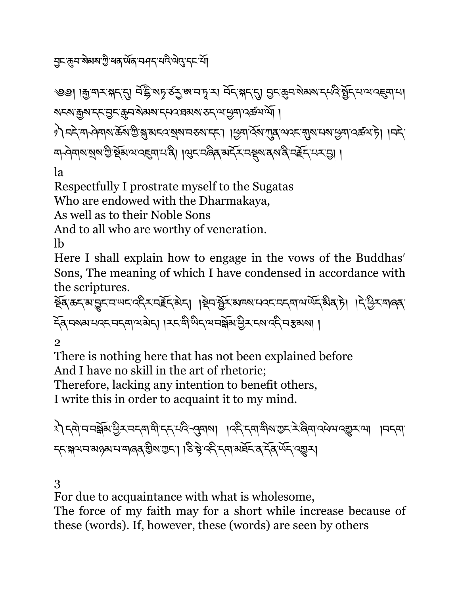<u>ঀ</u>ু⊏ॱক্ৰুব'ৰীমৰা'ট্ৰী'ধৰ'ৰ্ਘৰ'বাৰ্ব'মবীৰ বিশ্বে'ব্দ'ৰ্শী

༄༅། །\$་གར་(ད་\*། བ,་དྷ.་ས0་ཙ2་ཨ་བ་4་ར། བོད་(ད་\*། 6ང་8བ་སེམས་དཔའི་>ོད་པ་ལ་འ@ག་པ། སངས་\$ས་དང་6ང་8བ་སེམས་དཔའ་ཐམས་ཅད་ལ་Cག་འཚལ་ལོ། ། ༡༽བདེ་ག ཤེགས་ཆོས་Iི་J་མངའ་Kས་བཅས་དང་། །Cག་འོས་Lན་ལའང་Nས་པས་Cག་འཚལ་ཏེ། །བདེ་ ག ཤེགས་Kས་Iི་Pོམ་ལ་འ@ག་པ་ནི། །Qང་བཞིན་མདོར་བSས་ནས་ནི་བTོད་པར་6། །

la

Respectfully I prostrate myself to the Sugatas

Who are endowed with the Dharmakaya,

As well as to their Noble Sons

And to all who are worthy of veneration.

lb

Here I shall explain how to engage in the vows of the Buddhas' Sons, The meaning of which I have condensed in accordance with the scriptures.

ইব্কেন্মভূনন অন্তর্জন ক্রিক্টেন্স । ইনস্ত্রিস অন্য অন্য অন্য অন্য এক্টিন আৰু বি ঁক্সিমেমানেহেনেদ্বামন্ত্ৰী । ক্ষমীজিকান্ত্ৰী বিষয়ে বিদেশ বিষয়া।

2

There is nothing here that has not been explained before And I have no skill in the art of rhetoric; Therefore, lacking any intention to benefit others,

I write this in order to acquaint it to my mind.

३) दबोममञ्जूबाञ्चे रामदवासी दरम्पुर्दन्यवाला । ।दर्दन्यासुबाञ्चर्द्रुख्याद्ये अवच्या । मन्त्या ८८ अथवास अलब के बाद । । २३ के देन सा अर्घे द देन पेंद दक्ष्य।

3

For due to acquaintance with what is wholesome,

The force of my faith may for a short while increase because of these (words). If, however, these (words) are seen by others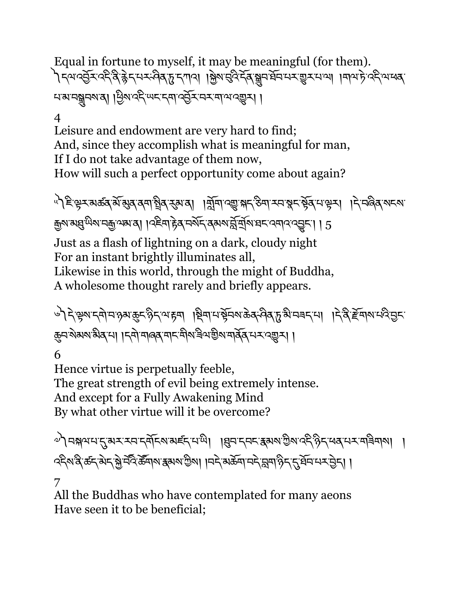Equal in fortune to myself, it may be meaningful (for them). ৗৃ দ্মান্ট্র্মাব্দ্বিষ্ণ দুদ্দান্দ্বিদ্ধুদার্শ্রান্ত্র্মান্ত্র্মি বিদ্রোদার্শ্ব্যাম্পা ।শামার্দ ব্রিমাধ্যে নসমন্ম্ৰনমন্ত্ৰ। ঠ্ৰিমত্ক্ৰশেহত্ব্যাত্ত্ব্ৰিমন্মানত্ত্ব্য।

4

Leisure and endowment are very hard to find; And, since they accomplish what is meaningful for man, If I do not take advantage of them now, How will such a perfect opportunity come about again?

৾<sup>৸</sup>ৗᢄॱড়ৼয়ড়ঽড়৻ড়৾ঀৼঀয়৾ৼয়৸ৼয়৸ৼঀৗ৸৸ৼঀৼঢ়ড়৸৸ৼঀৼ৸৸৸ৼঀৼ৸৸৸ৼঀৼ৸ৼ৸ৼ ক্সম্মন্নু অিমানক্সম্মেন। । এইনা দ্টব্ নৰ্মন বেম্মমন্ত্ৰীৰ বিনাৰ বেমাৰ বেড়ন। । 5

Just as a flash of lightning on a dark, cloudy night For an instant brightly illuminates all, Likewise in this world, through the might of Buddha,

A wholesome thought rarely and briefly appears.

৾৲৲ঽ৾ৼৄয়ৼয়৾ঀৼঀৢয়ড়ৼৡৼ৻৸ৼয়৾৾ঀ৾ৼয়ড়য়৸ড়ড়৸ৼড়ড়ৼ৻ড়৸ৼঢ়৻ড়৸ৼ৻ড়৸ৼঢ়৻ড়ৼ৾ ক্কুন`ম্বমম'ৰীৰ না ।< না নাৰৰ না< মুখ ৰাজ্য নাৰ্ছৰ নৰ এৰা ।

6

Hence virtue is perpetually feeble, The great strength of evil being extremely intense. And except for a Fully Awakening Mind By what other virtue will it be overcome?

ৢৢ৾ঀ मञ्जयमद् अरम् स्वाद्य अर्ह्दम्या । । अन्य स्वरुक्षया अर्था अर्थ के स्वयम्य बुद्धम् । ব্দিম'ৰ ৰ্জন'ৰ্মন'ৰ জীবনি ক্ৰমা বিখ্যা । বিশ্বৰ ক্ষমী বিশ্বৰ সমূহী । বিখ্যা বিশ্বৰ সমূহী । 7

All the Buddhas who have contemplated for many aeons Have seen it to be beneficial;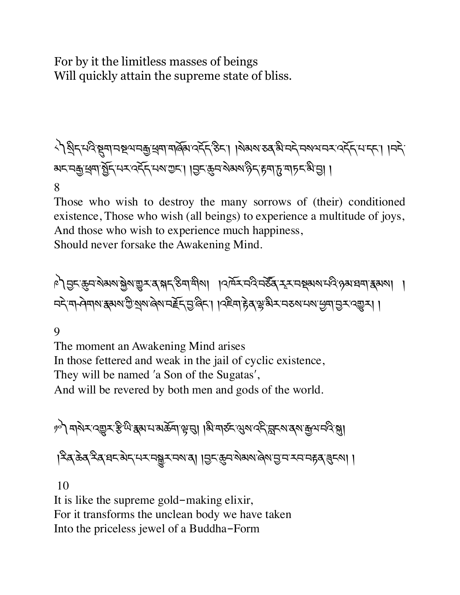## For by it the limitless masses of beings Will quickly attain the supreme state of bliss.

༨༽Kིད་པའི་Sག་བUལ་བ\$་~ག་གཞོམ་འདོད་ཅིང་། །སེམས་ཅན་མི་བདེ་བསལ་བར་འདོད་པ་དང་། །བདེ་ མང་བ\$་~ག་>ོད་པར་འདོད་པས་Iང་། །6ང་8བ་སེམས་ཉིད་rག་d་གཏང་མི་6། ། 8

Those who wish to destroy the many sorrows of (their) conditioned existence, Those who wish (all beings) to experience a multitude of joys, And those who wish to experience much happiness,

Should never forsake the Awakening Mind.

༩༽6ང་8བ་སེམས་fེས་\_ར་ན་(ད་ཅིག་གིས། །འཁོར་བའི་བཙ|ན་Äར་བPམས་པའི་ཉམ་ཐག་{མས། ། བདེ་ག ཤེགས་{མས་Iི་Kས་ཞེས་བTོད་6་ཞིང་། །འཇིག་rེན་Å་མིར་བཅས་པས་Cག་6ར་འ\_ར། །

9

The moment an Awakening Mind arises In those fettered and weak in the jail of cyclic existence, They will be named 'a Son of the Sugatas', And will be revered by both men and gods of the world.

৽৾ । শৃত্য মাজি বিভিন্ন স্কুল বিভিন্ন পৰি দিয়া । আৰু বিভিন্ন প্ৰথা বিভিন্ন প্ৰতি প্ৰা |རིན་རེན་རིན་བང་མེད་པར་བསྱྲུར་བས་ན། །བྱང་རྱུབ་སེམས་ୡེས་བྱ་བ་རབ་བརོན་རུབོདས། །

10

It is like the supreme gold-making elixir, For it transforms the unclean body we have taken Into the priceless jewel of a Buddha-Form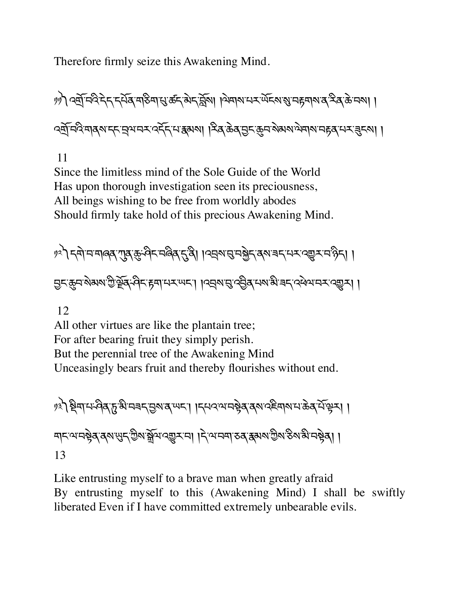Therefore firmly seize this Awakening Mind.

سِمَ الْكَلَّامِ الْكَرْبِي الْمَسْتَمَاسِينَ وَالْكُلْمُ إِنَّاهِمَ وَالْمُسْتَمَرِينَ إِلَى الْكُلْمَ وَالْ ব্র্ম্র্দ্বিশ্ব্ব্মন্দ্মুন্মন্দ্র্য্ক্র্ম্ক্রিমা। ক্রিক্টেব্র্ড্র্ম্ঞ্র্মণ্ড নিম্নার্স্ম নাম্ব্র্ম্ম।।

11

Since the limitless mind of the Sole Guide of the World Has upon thorough investigation seen its preciousness, All beings wishing to be free from worldly abodes Should firmly take hold of this precious Awakening Mind.

१२) दबोमयाबिब् गुब् कुं वेदमबिब् दुवै। । व्युषानुमञ्जेदा बराबदमर व्युरम्भद्री । <u>नु</u>द्भुनश्रेष्ठ्यश्रेष्ट्रेष्ठ्-विद्भुषायरण्या ।यत्र्यानुद्ध्रेष्ठ्राययश्चे बद्द्येव्यवर्द्भ्या ।

12

All other virtues are like the plantain tree; For after bearing fruit they simply perish. But the perennial tree of the Awakening Mind Unceasingly bears fruit and thereby flourishes without end.

༡༣༽Pིག་པ་ཤིན་d་མི་བཟད་6ས་ན་ཡང་། །དཔའ་ལ་བbེན་ནས་འཇིགས་པ་ཆེན་པོ་kར། ། གང་ལ་བbེན་ནས་äད་Iིས་ãོལ་འ\_ར་བ། །དེ་ལ་བག་ཅན་{མས་Iིས་ཅིས་མི་བbེན། ། 13

Like entrusting myself to a brave man when greatly afraid By entrusting myself to this (Awakening Mind) I shall be swiftly liberated Even if I have committed extremely unbearable evils.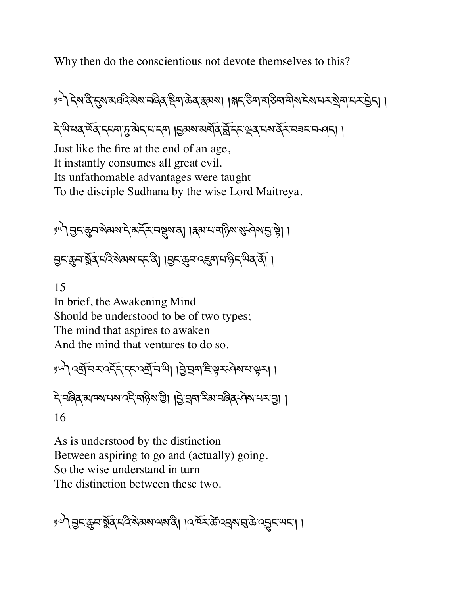Why then do the conscientious not devote themselves to this?

ৃ॰े देशद्वे दुरु अञ्चव के अन्विव स्थिता केव द्वयूषा । क्षद् रुवा महिमा मुख्य देशम् र बेना मन्द्र मेन्। । ন্ট্ৰিম্বেন্ট্ৰিন্দ্ৰাৰ ভিত্তি আৰু বিভিন্ন কৰি আৰু বিভিন্ন প্ৰকাশ বিভিন্ন প্ৰকাশ বিভিন্ন প্ৰকাশ বিভিন্ন প্ৰকাশ Just like the fire at the end of an age, It instantly consumes all great evil. Its unfathomable advantages were taught To the disciple Sudhana by the wise Lord Maitreya.

ဖ । हिन्दूकुमारोअर्थाने अर्ट्समञ्जूषाया । अर्थामार्थिय अन्वेषायो है। मुद्दम ब्रेंब परि बेसबाद दी। ।मुद्दम पहना पर्ने दर्भव दी।

15

In brief, the Awakening Mind Should be understood to be of two types; The mind that aspires to awaken And the mind that ventures to do so.

ဖြစ် မြေးဆုံးသည်။ မြို့ဆုံးမြီး မြို့ဆုံးများများ दे मलेब बामरा मया देने बाछे । बिंग्ने बाजुर मुख्य मुखेद से बामरा । 16

As is understood by the distinction Between aspiring to go and (actually) going. So the wise understand in turn The distinction between these two.

ীস্প বিশ্ৰুদ্ৰ খ্ৰুপ্ৰ দ্বাৰ্থ প্ৰশাসকাৰ্থ। ।বৰ্দ্ৰস্কু ব্ৰেপ্ন প্ৰস্তুদক্ষদ।।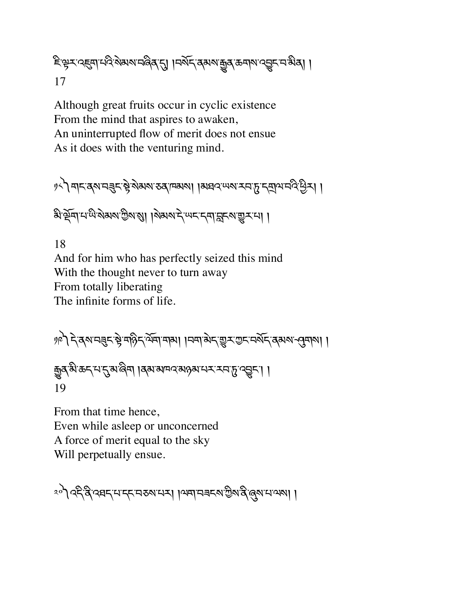≅৾ৼৢৼৼড়्यास्थिशेष्यास्थित्यु । ।स्थूर्भ्यञ्ज्ञ्यः क्रूबार्य्य्यूर्भ्यः भुव्र। । 17

Although great fruits occur in cyclic existence From the mind that aspires to awaken, An uninterrupted flow of merit does not ensue As it does with the venturing mind.

༡༨༽གང་ནས་བÑང་bེ་སེམས་ཅན་ཁམས། །མཐའ་ཡས་རབ་d་དtལ་བའི་Cིར། །

बैद्धिबामप्पेरे सेक्षया हो । बेहर में स्पर दवानुहरण सुरमा।

18 And for him who has perfectly seized this mind With the thought never to turn away From totally liberating The infinite forms of life.

༡༩༽དེ་ནས་བÑང་bེ་གཉིད་ལོག་གམ། །བག་མེད་\_ར་Iང་བསོད་ནམས་]གས། ། êན་མི་ཆད་པ་\*་མ་ཞིག །ནམ་མཁའ་མཉམ་པར་རབ་d་འVང་། ། 19

From that time hence, Even while asleep or unconcerned A force of merit equal to the sky Will perpetually ensue.

ংশী বহ্ৰবি ব্ৰহ্মদদেশ বিধানৰ বিজ্ঞানী প্ৰকাশ কৰা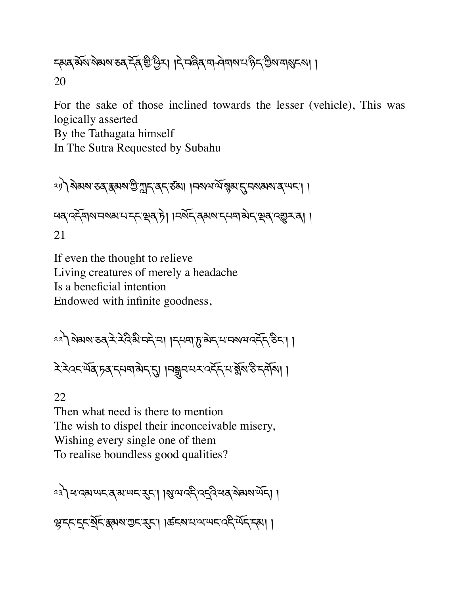དམན་མོས་སེམས་ཅན་དོན་aི་Cིར། །དེ་བཞིན་ག ཤེགས་པ་ཉིད་Iིས་གÜངས། ། 20

For the sake of those inclined towards the lesser (vehicle), This was logically asserted

By the Tathagata himself

In The Sutra Requested by Subahu

༢༡༽སེམས་ཅན་{མས་Iི་íད་ནད་ཙམ། །བསལ་ལོ་ìམ་\*་བསམས་ན་ཡང་། ། ཕན་འདོགས་བསམ་པ་དང་çན་ཏེ། །བསོད་ནམས་དཔག་མེད་çན་འ\_ར་ན། ། 21

If even the thought to relieve Living creatures of merely a headache Is a beneficial intention Endowed with infinite goodness,

༢༢༽སེམས་ཅན་རེ་རེའི་མི་བདེ་བ། །དཔག་d་མེད་པ་བསལ་འདོད་ཅིང་། །

རེ་རེའང་ཡོན་ཏན་དཔག་མེད་\*། །བhབ་པར་འདོད་པ་éོས་ཅི་དགོས། །

22 Then what need is there to mention The wish to dispel their inconceivable misery, Wishing every single one of them To realise boundless good qualities?

༢༣༽ཕ་འམ་ཡང་ན་མ་ཡང་nང་། །Ü་ལ་འདི་འîའི་ཕན་སེམས་ཡོད། ། <u>��द्द्द्द्ध्यास् अरुष्याम् अधिकार्याण्यास्य क्षेत्रम्या ।</u>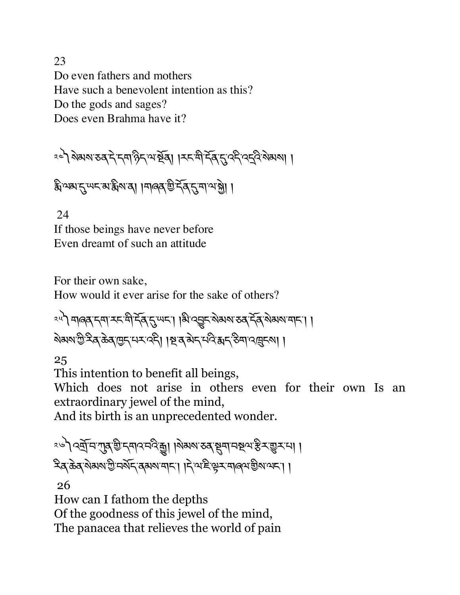23 Do even fathers and mothers Have such a benevolent intention as this? Do the gods and sages? Does even Brahma have it?

༢༤༽སེམས་ཅན་དེ་དག་ཉིད་ལ་Uོན། །རང་གི་དོན་\*་འདི་འîའི་སེམས། །

हैं अब्ग दुर् सन् हो अब्बा । मार्ब्स् सेन्द्र दुर् दा भा भे। ।

 24 If those beings have never before Even dreamt of such an attitude

For their own sake,

How would it ever arise for the sake of others?

ংশী মাৰ্ক্সান্দামী দ্বিদ্যুত্ত্বা । মি'ব্ছান্সিম্মান্তৰ দ্বি'ৰ্মম্মামান। । ষ্মমণ্ট্ৰ ইৰ্ক্টৰ্জেন্দেশৰ পৰী । ম্ল'ৰ্'ন্স মণ্ট্ৰ স্মন্ত ইন্ম' প্ৰদ্ৰুৰ্মা ।

25

This intention to benefit all beings,

Which does not arise in others even for their own Is an extraordinary jewel of the mind,

And its birth is an unprecedented wonder.

ং৬) বর্ষ্মদ'শ্যুষ্ খ্রি'দ্দাব'নবিদ্ধু। ।মক্ষম'ত্তৰ'ষ্টুমানষ্থ স্বস্কিম'খুম'মা। হিন্দ্ৰ ক্ৰম ৰাজ্য আৰু বিভাগৰ পৰা দিৱতা দিৱতা পৰিবল্প কৰি ।।

26

How can I fathom the depths Of the goodness of this jewel of the mind, The panacea that relieves the world of pain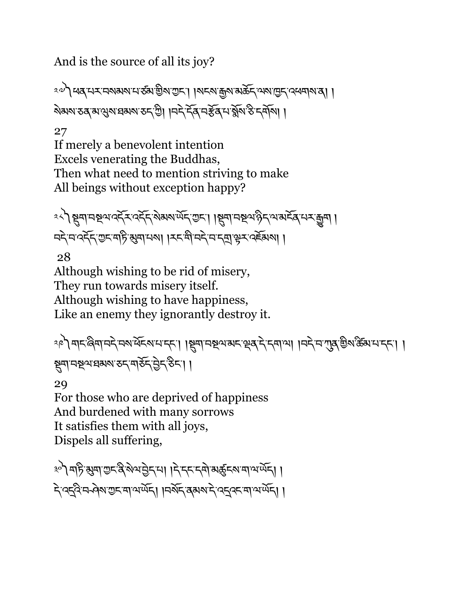And is the source of all its joy?

ং৺ী ধৰ্'মম'নমমম'ম'ৰ্ডম'খ্ৰীম'ম্ৰুম'। ।মৰম'ৰ্দ্ৰম'মক্তৰ্দ্ব'পম'ম্ৰুদ্'প্ৰধ্বাম'ৰা । ষ্মিষ্ম তৰ্ মাথ্ডমাধ্ৰম্ম তদ্ম গ্ৰী । দদ দৰ্শৰ অৰ্ষৰ মাৰ্শ্বৰ উদ্দেশ্য। ।

27

If merely a benevolent intention Excels venerating the Buddhas, Then what need to mention striving to make All beings without exception happy?

<u><</u><े अनामश्यादेन देन अग्रयार्णन ग्रन।। अनामश्याद्वेन यार्मेव मराकुम । নই ন'বর্হ্ন' শুন'মাট ঝুমা নম। । মন'মী নই ন'নমাঞ্জু বর্হমেমা ।

28

Although wishing to be rid of misery, They run towards misery itself. Although wishing to have happiness, Like an enemy they ignorantly destroy it.

ংশী মানজিমানেই নমাৰ্ঘৰমানাৰ। । মুমানম্বিমানাৰ দ্বাৰী দেখা । নই নামুৰ শ্ৰীমাৰ্ক্টমানাৰ্দ। । স্থ্নানম্থ্ৰায়ম্মান্তন্দ্বাইন্ট্ৰন্স্টিনা।

29

For those who are deprived of happiness And burdened with many sorrows It satisfies them with all joys, Dispels all suffering,

३०) महिन्सुमानुद्र बैरुभिनेदाया । देहदत्य महिन्दा भार्थेद। । दे ददुवे मन्वेष गुरू मार्थेषेद्। ।मर्बेद दुबस दे ददुवर मार्थेषेद्। ।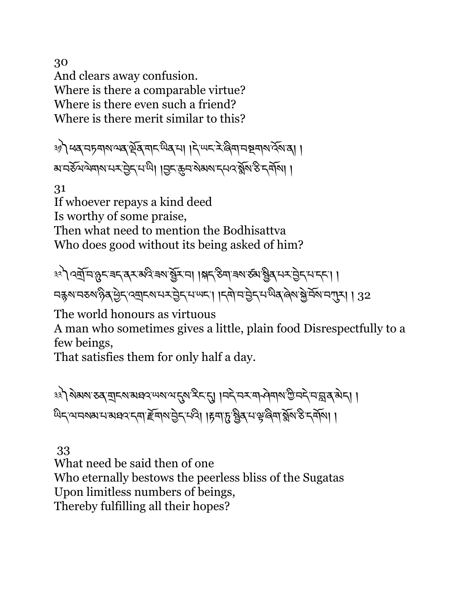30 And clears away confusion. Where is there a comparable virtue? Where is there even such a friend? Where is there merit similar to this?

�ৌ ধৰ্, নচমাম অৰ্ক্টৰ্, নাম অৰ্ডৰ না। দি অন ইঞ্জিনা নম্বনাম বৰ্মৰা। <u>য়ৼঽড়৻ড়৶ৼ৸ৼড়ৗৼ৻৸ৣ৻ৗঀৗঽৼ৾ড়ৼড়৶ৼ৸৻ৼয়৻৽৻ৼৣৼ৻ৼ৻ৼ৻৸৻</u>৸

31

If whoever repays a kind deed Is worthy of some praise, Then what need to mention the Bodhisattva Who does good without its being asked of him?

༣༢༽འtོ་བ་öང་ཟད་ནར་མའི་ཟས་Xོར་བ། །(ད་ཅིག་ཟས་ཙམ་Xིན་པར་6ེད་པ་དང་། ། བརྐས་བརས་འིན་བྱིད་འགྲུངས་པར་བྱེད་པ་ਘང་། ।དགེ་བ་བྱེད་པ་ਘིན་ནེས་སྐེ་བོས་བཀྲུད । 32

The world honours as virtuous

A man who sometimes gives a little, plain food Disrespectfully to a few beings,

That satisfies them for only half a day.

३३) शेअश ठव बादश अधव प्याय दुष देत द्वा । मने मन मोनेवार गुजने महाव अन् । । <u>ਘ</u>ੇદ ਘਟ ਕਾਰਾ ਆਪ ਦਾ ਸ਼ਹਿਰ ਵਿੱਚ ਆਪਣੇ ਸ਼ਹਿਰ ਹੈ। । ਇਹ ਇੱਕੋ ਇੱਕੋ ਆਪਣੇ ਆਪਣੇ ਜ਼ਰੀਆਂ ।

33

What need be said then of one Who eternally bestows the peerless bliss of the Sugatas Upon limitless numbers of beings, Thereby fulfilling all their hopes?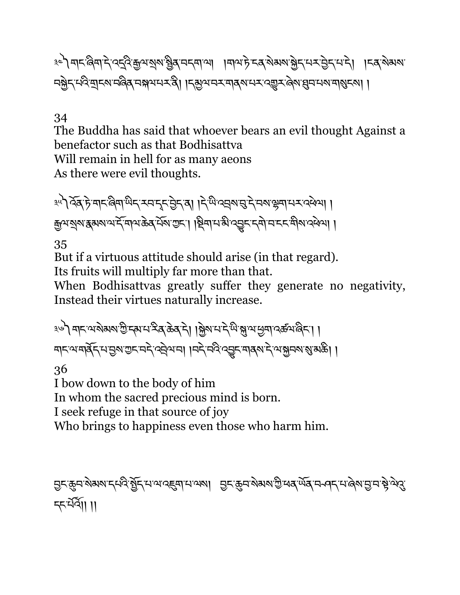३८) बाद बिबा दे वह्नै कुत्रा राय हैंब चनवाला । बात्रा के दब रोगया हैद सर मेरी । दब रोगया নষ্ট্ৰদূৰ্ঘণ্ড আৰম্ভিক বিভিন্ন কৰিব প্ৰাৰ্থ কৰা পৰিবলক প্ৰাৰ্থ কৰা প্ৰতিষ্ঠা ।

#### 34

The Buddha has said that whoever bears an evil thought Against a benefactor such as that Bodhisattva Will remain in hell for as many aeons As there were evil thoughts.

<u>३५</u>९ देव हे मानलिया पान राजना हेन्द्र में बाद के बाद मान के बाद के बाद के बाद के बाद मान के बाद मान कुथशुष हुम्भाय में बाथ के संबाग्रहा। श्रिवाय भे प्रञ्जन दवो चाहन वीष दिवा।

35

But if a virtuous attitude should arise (in that regard).

Its fruits will multiply far more than that.

When Bodhisattvas greatly suffer they generate no negativity, Instead their virtues naturally increase.

<u>३७) बादलायेबरा क</u>ुद्धान दुव केव दे। ब्रियान देख भ्रं अञ्चल एक्सबुद। । मदलम्बाद् समुहारामदे द्वेषम् । । मदे मदे द्वार मादय दे लभ्रमशास्त्री ।

36

I bow down to the body of him

In whom the sacred precious mind is born.

I seek refuge in that source of joy

Who brings to happiness even those who harm him.

<u>Ә</u>८ङ्म्य अब्याद्यदे ब्रैट्रिन्सालाद्ह्यानाल्ला विराक्मकुल्लाकुल्बर् लूर्यन्तन्तरा ब्रिलंडीन क्रैज़र्द <u></u> न्दर्भे ।।।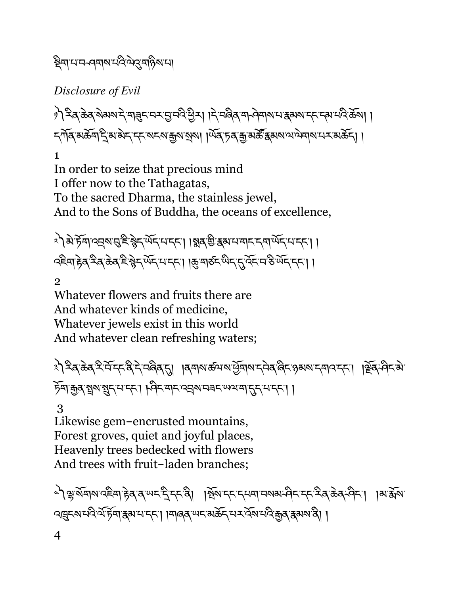## ষ্ট্ৰমাণসক্ৰমসমূহ উদ্যা

*Disclosure of Evil* 

৾) ২ৰ্ক্টৰ্স্ক্ৰম্বাই নাৰ্ছ নৰ্মৰ্ভ্ৰম্বিত্তীৰ। বিন্দুপ্তৰ নাৰ্ভ্ৰম্বাৰ স্থানত কৰা । ন্সাঁৰ মৰ্ক্টশ্ৰন্থ নিৰ্দেশ্য নাম ৰাজ্য আৰু দিব দিব আৰু স্থিতি কৰা প্ৰদান কৰি ।। 1

In order to seize that precious mind I offer now to the Tathagatas, To the sacred Dharma, the stainless jewel, And to the Sons of Buddha, the oceans of excellence,

<u>�</u>ৗऄॱॸॆॖ॔ॺॱख़ॖॺख़ॖॱॾऀॱऄॢॸॱ<sup>ॲॸ</sup>ॎॸॸॱॎऻॷॺॱऀऄॖॱॾख़ॱॸॴॱॷॸॱॸॸॴॱॷॸॱॸ २€मा हेत् देत् केत् हे श्लेन र्ਘेन मान्ता । कुमारुन थेन नुर्देन म डे र्ਘेन नना।

2

Whatever flowers and fruits there are And whatever kinds of medicine, Whatever jewels exist in this world And whatever clean refreshing waters;

ै रे दिव केव देने दर्दि दे प्रविव हा । विवाश क्षय राष्ट्रेयारा दमेव बिद अग्रय दमाव दत। । र्षेव विदये ঁচুনাক্কুৰ ন্থূম ন্থূৎ ন'ব্দ'। ৷ ধ্বিদ'নাদ'ৰ ন্ৰম'নৰদ'ঋৰা নুদ'ন দ্দ'। ৷

 3 Likewise gem-encrusted mountains, Forest groves, quiet and joyful places, Heavenly trees bedecked with flowers And trees with fruit-laden branches;

৾৲ৠয়য়য়ৼ৻ঢ়৸ৼঢ়ড়ড়৸ঢ়৸ড়৸ঢ়৸ড়৸ঢ়য়৾য়ৼঀ৸৸৸ৼ৸ঢ়৸ড়৸ৼঀ৸ৼ৸ৼঀৼঀ৸৸৸ৼঀৼঀ৸৸ৼ৻ৼঀৼঀ৸৸ৼ৻ৼঀৼঀ৸ৼ৻ৼঀৼঀ৾ৼঀৼঀৼঀৼঀৼঀৼঀৼঀৼঀৼঀৼঀৼ ৭দ্ভুন্ম নবিষ্ট্ৰম স্কুম না নাৰ্জ্য অন্য আৰু বিষ্টা ।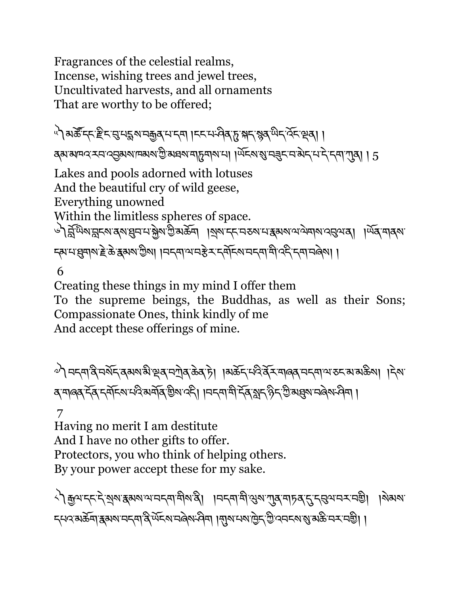Fragrances of the celestial realms, Incense, wishing trees and jewel trees, Uncultivated harvests, and all ornaments That are worthy to be offered;

༥༽མཚ|་དང་xིང་g་པ†ས་བ\$ན་པ་དག །ངང་པ་ཤིན་d་(ད་ìན་ཡིད་འོང་çན། ། ব্ৰুসমান বেন ব্ৰেৰ্ম নাম আৰু বিধে বাৰ্টি প্ৰাপ্ত কৰি বিধে বিধে বিধে বিধে বিধে বিধি । 2 Lakes and pools adorned with lotuses And the beautiful cry of wild geese, Everything unowned Within the limitless spheres of space. ৾৲র্শ্রিঅিমান্নমের্মেপ্রেনমন্ত্র্রমন্ত্রিমক্তীমক্রম ।মুমান্দমেতমমেস্কেমখন্যামান্ত্রমের্। ।অব্সমান্ত न्ह्या सुबार हे के हसर छैत्रा । मनवा या से रात्मा वा बाय मा बोल्हा नवा मोले । । 6

Creating these things in my mind I offer them To the supreme beings, the Buddhas, as well as their Sons; Compassionate Ones, think kindly of me And accept these offerings of mine.

ুশ নন্দান্ত্ৰ নৰ্মন ৰূমৰাস্মী স্থৰ নশ্ৰীৰ ক্ৰম দী । ৰাৰ্ক্তন নত্ত্ব বৰ্মনাৰৰ নন্দা অতন ৰাৰ্ক্তৰা । দৰা ব্ শাৰ্ক্ দ্বি দৰ্শনমান্বি মৰ্শৰ্ম শ্ৰমণ কৰি। । নদমা শীৰ্দ্বি মুদ্ৰ সিদ্ভিমব্ৰমা নৰ্বিমা পৰা।

 7 Having no merit I am destitute And I have no other gifts to offer. Protectors, you who think of helping others. By your power accept these for my sake.

༨༽\$ལ་དང་དེ་Kས་{མས་ལ་བདག་གིས་ནི། །བདག་གི་Qས་Lན་གཏན་\*་དgལ་བར་བaི། །སེམས་ হ্মবর্ম্স্ট্রম্মেন্দ্র্মান্ত্র্ম্ম্ব্রেন্স্মান্ত্র্য্ম্ব্র্ম্ব্র্ম্ব্র্ম্ম্ব্য্যমাট্র্য্স্ট্রান্স্ম্ব্র্ম্ব্রা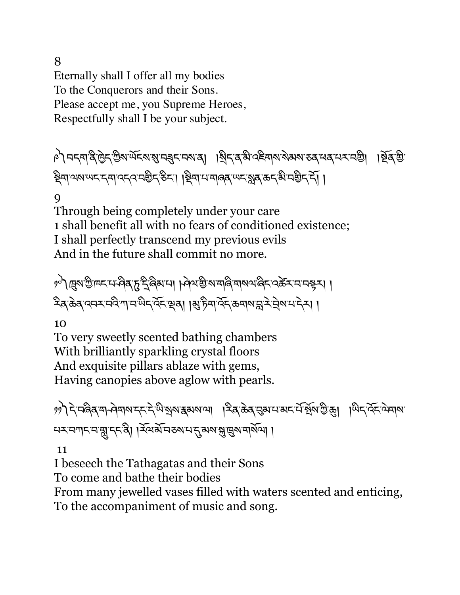8

Eternally shall I offer all my bodies To the Conquerors and their Sons. Please accept me, you Supreme Heroes, Respectfully shall I be your subject.

া নিব্ৰাৰ্থট্ৰিদ ভ্ৰিম অঁচৰাস্থানৱৰ অসমৰ ৰাষ্ট্ৰদেশ নিৰ্বাচনী । বিৰুদ্ধি ষ্ট্ৰিনাম্মান্দেন্দ্ৰান্দ্ৰ্ন্নউন্স্টিন্'ষ্টিন্'। স্থিনাম্মানৰ অন্যান্ত্ৰ্য্মৰ্'ক্ৰন্থি'নম্ভিন্'ৰ্ন্।

## 9

Through being completely under your care 1 shall benefit all with no fears of conditioned existence; I shall perfectly transcend my previous evils And in the future shall commit no more.

ৃণী ব্ৰিম ত্ৰীদ্দান দৰ্বৰ দুই বিৰুদ্যা । দৰ্বমন্ত্ৰী মামান্তি মামাৰী মাজত বিৰুদ্ধা । হিব্ক্টিব্ ব্যেম্মই শামন্দ্ৰী ব্যক্তি । ৰাষ্ট্ৰীস্কু ক্ৰিমান্ত্ৰী ৰাষ্ট্ৰীসমূহী ।

10

To very sweetly scented bathing chambers With brilliantly sparkling crystal floors And exquisite pillars ablaze with gems, Having canopies above aglow with pearls.

৽৽) দ্বিত্ৰ বাৰ্ণৰাৰ দ্বাৰ্থ কৰা বিৰোধ দেৱী আৰু বিৰোধ কৰা প্ৰতি কৰা প্ৰতি বিৰোধ কৰা প্ৰতি কৰা প্ৰতি কৰা বিৰোধ ন্মমানামানুমুদ্দেষী । ইমার্সান্ডমানামুদ্রান্ত্রমানার্থান।

11

I beseech the Tathagatas and their Sons

To come and bathe their bodies

From many jewelled vases filled with waters scented and enticing,

To the accompaniment of music and song.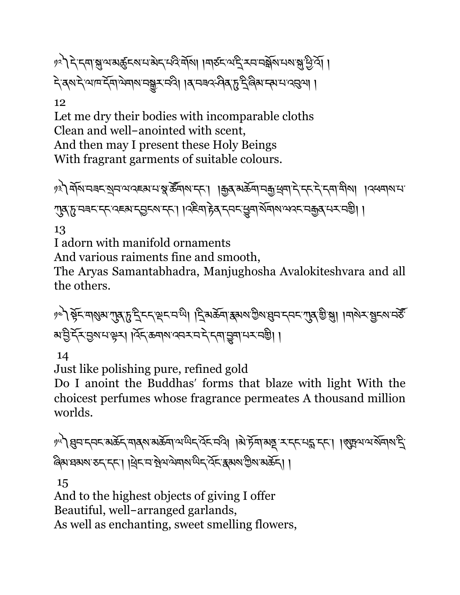१२) दे दमाञ्जलबर्हुदरामबेदमविर्मा ।मारुदल्य दे रममञ्जूष मराञ्जु पुर्वे। देखरुदेखालद्रेवालेबाराजञ्जरत्वे। ।ब्राजनक्षेत्रुष्ट्रिलैयान्यात्पत्रुत्रा ।

12

Let me dry their bodies with incomparable cloths Clean and well-anointed with scent, And then may I present these Holy Beings With fragrant garments of suitable colours.

ৢ। মৃত্যু মুখিনেৰ মুখন অব্দেখ্য মন্ত্ৰী স্কুৰ্মিন কৰি । । এই বিদ্যালয় বিদ্যালয় বিদ্যালয় । এক বিদ্যালয় ্যুষ্ক্ষ্ট নৰমান্দ বেছৰামুদ্ৰমান্দা । বিষ্ণাদ্ভিষ্ মুদ্ৰমান্ত্ৰী । বিষ্ণা বিৰ্তি নিৰ্দা

13

I adorn with manifold ornaments

And various raiments fine and smooth,

The Aryas Samantabhadra, Manjughosha Avalokiteshvara and all the others.

ৃৎ) ষ্টুহত্মগ্ৰম্যমুদ্ধান্ত দুইদহত্মহত্মজী। বিষ্ণুস্কুৰ্দি প্ৰথম উম্ব্ৰেল হেম্বান্ত স্থা। নাম হাম্বান্ত স্থি ঋট্ট হ্রিম্ড্রম্মস্থেম । ব্রিষ্ক্রন্মম বেমমন্ম ইন্দ্রান্ত্র্মা মমনগ্রী ।

14

Just like polishing pure, refined gold

Do I anoint the Buddhas' forms that blaze with light With the choicest perfumes whose fragrance permeates A thousand million worlds.

```
ဖ<sup>ျ</sup>) ह्युमन्तम् अर्केन् मात्रु अर्कमा अर्थन् देन् मदे। । अे फ्रेंमा अष्ट र न्तरमङ्ग न्ता । । अहय अर्थमा अन्ति
ৰিমাধৰমমাতন্দ্ৰো ।ধ্ৰিনানা ষ্ট্ৰাণাণ্ডাৰ অনুসৰ্বি ক্ৰমেণ্টা আৰু বিলি
```
15

And to the highest objects of giving I offer Beautiful, well-arranged garlands, As well as enchanting, sweet smelling flowers,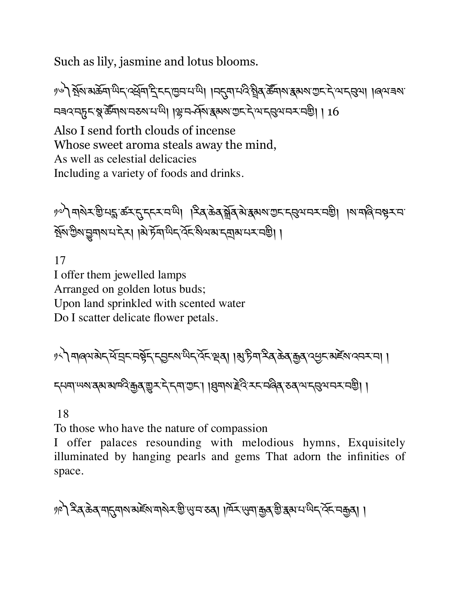Such as lily, jasmine and lotus blooms.

) है। अंबार के बांधिन क्षेत्र हैं इन बिनान का । महमानदे हैं। अन्य अलाक से जानविज्ञा । बित्र बंदा নৰবন্দুনস্ত্ৰ ক্ৰীমানকৰামাঞ্চী। শ্লিন-প্ৰমন্ত্ৰৰাজ্য শুনাই আন্নুৰ্মনমাজী। 16 Also I send forth clouds of incense

Whose sweet aroma steals away the mind, As well as celestial delicacies Including a variety of foods and drinks.

ッৢो मश्रेर यु.नई क्रूर देन्दर स्था । दुर्बक्रे ब्रुज् अर्था अस्तर से अस्य अस्तर से । अस्त्रियस्य ইমিউমন্ড্ৰম্মমন্দেইন। ৰিষ্ট্ৰমন্দ্ৰিক বিশেষ দ্ৰাৰানমন্ত্ৰী।

17 I offer them jewelled lamps Arranged on golden lotus buds; Upon land sprinkled with scented water Do I scatter delicate flower petals.

༡༨༽གཞལ་མེད་ཕོ་áང་བbོད་ད6ངས་ཡིད་འོང་çན། །l་ཏིག་རིན་ཆེན་\$ན་འCང་མཛèས་འབར་བ། ། དཔག་ཡས་ནམ་མཁའི་\$ན་\_ར་དེ་དག་Iང་། །qགས་Tེའི་རང་བཞིན་ཅན་ལ་དgལ་བར་བaི། །

18

To those who have the nature of compassion

I offer palaces resounding with melodious hymns, Exquisitely illuminated by hanging pearls and gems That adorn the infinities of space.

༡༩༽རིན་ཆེན་ག\*གས་མཛèས་གསེར་aི་ä་བ་ཅན། །ཁོར་äག་\$ན་aི་{མ་པ་ཡིད་འོང་བ\$ན། །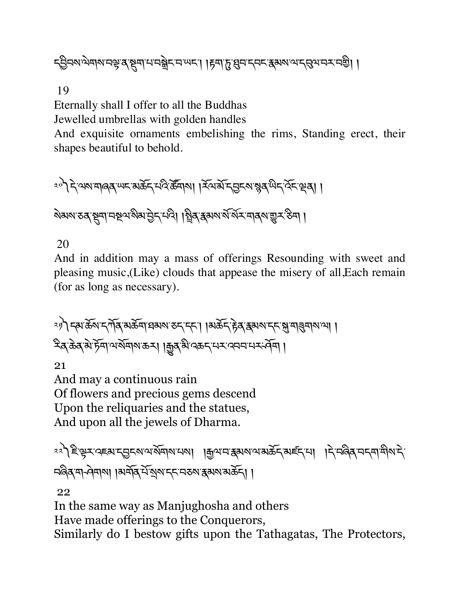# ্চ্ৰিনমন্দ্ৰমানস্কৃৰ্ ষ্ট্ৰমাণনক্ষ্ণ নামৰ । । দৃশ্যু খ্ৰনান্দৰ কৰমৰ নত্ৰী ।

19

Eternally shall I offer to all the Buddhas Jewelled umbrellas with golden handles

And exquisite ornaments embelishing the rims, Standing erect, their shapes beautiful to behold.

༢༠༽དེ་ལས་གཞན་ཡང་མཆོད་པའི་ཚ|གས། །རོལ་མོ་ད6ངས་ìན་ཡིད་འོང་çན། །

ষমৰ কৰে জিলা নহাৰ বিভাগৰ দিব পৰি দিয়া বিশ্বৰ সম্পৰ্ক কৰি ।

#### 20

And in addition may a mass of offerings Resounding with sweet and pleasing music,(Like) clouds that appease the misery of all,Each remain (for as long as necessary).

༢༡༽དམ་ཆོས་དཀོན་མཆོག་ཐམས་ཅད་དང་། །མཆོད་rེན་{མས་དང་J་གÑགས་ལ། ། རིན་ཆེན་མེ་ཏོག་ལ་སོགས་ཆར། །êན་མི་འཆད་པར་འབབ་པར་ཤོག །

21

And may a continuous rain Of flowers and precious gems descend Upon the reliquaries and the statues, And upon all the jewels of Dharma.

༢༢༽ཇི་kར་འཇམ་ད6ངས་ལ་སོགས་པས། །\$ལ་བ་{མས་ལ་མཆོད་མཛད་པ། །དེ་བཞིན་བདག་གིས་དེ་ བཞིན་ག ཤེགས། །མགོན་པོ་Kས་དང་བཅས་{མས་མཆོད། །

22

In the same way as Manjughosha and others Have made offerings to the Conquerors, Similarly do I bestow gifts upon the Tathagatas, The Protectors,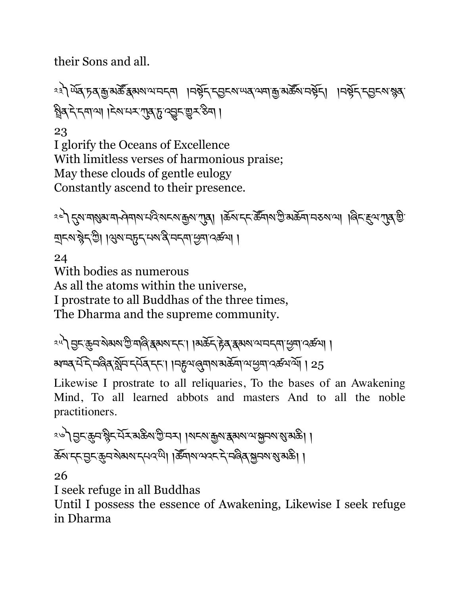their Sons and all.

ং) ਘੱਕ চৰ্'ক্ৰামৰ্জ্ৰ স্বৰ্মমান্মদেশ ।নৰ্শ্বন মূলনেম্মৰ অসম ক্ৰমি নৰ্শ্বন। ।নৰ্শ্বন মূলনেম্বৰ গ্নিব দ্বান্দ্ৰ। । দিখামম্যাৰ দ্বিত অৱদ্যাত্ম স্কুম ।

23

I glorify the Oceans of Excellence With limitless verses of harmonious praise; May these clouds of gentle eulogy Constantly ascend to their presence.

༢༤༽\*ས་གÜམ་ག ཤེགས་པའི་སངས་\$ས་Lན། །ཆོས་དང་ཚ|གས་Iི་མཆོག་བཅས་ལ། །ཞིང་®ལ་Lན་aི་ দ্রাহ্ম'স্ট্রুন'ট্রী। খ্রিম'নচুন্'নম'র্ষ্ব'নন্দা'শ্রুমা'বর্ক্সা।

24

With bodies as numerous As all the atoms within the universe, I prostrate to all Buddhas of the three times, The Dharma and the supreme community.

<sup>ঽ৸</sup>ৗড়ৢৼড়ৢড়ৼৗ৶য়ৼড়ৢড়ঀড়ৢৼয়ড়ৼড়৻৸৸ৼড়ড়ড়ড়ৼঢ়ড়ড়ৼঢ়ড়ড়ৼঢ়ড়ড়৸ড়ড়৸ৼ৻ৼড়ড়ড়৸ড়ড়৸ড়ড়৸ ঋদৰ্, মঁদি, নৰিৰ, মুঁদি দুৰ্মৰ, দুদ্য। দুদ্ন শৰ্মৰ, নাজি আৰু বিজেপিতা । 25

Likewise I prostrate to all reliquaries, To the bases of an Awakening Mind, To all learned abbots and masters And to all the noble practitioners.

ং৺ী নুদ্জেনস্ট্ৰদ্দেই অক্টমণ্ড নেম। । মদমাদ্ভমা স্কুমমান্ম স্থানমান্ত আৰু । ক্রিম'ন্দ'ন্ডুন'ক্রুন'ম্বামা'ন্দেব'<sup>য়ে</sup>। ।ক্রীমাম'থব্দ'দ্দীর ন্নান্দাম্ভামক্রী ।

26

I seek refuge in all Buddhas

Until I possess the essence of Awakening, Likewise I seek refuge in Dharma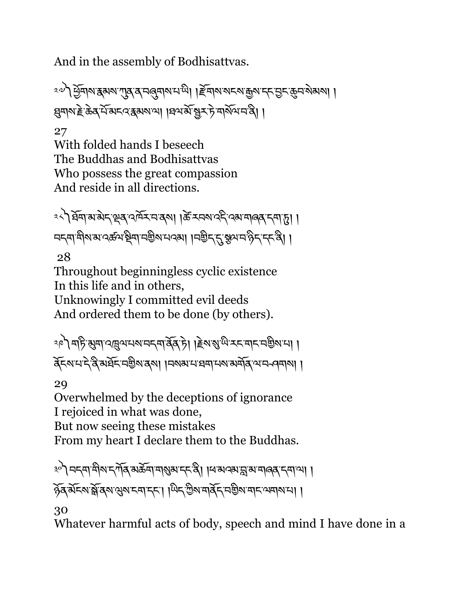And in the assembly of Bodhisattvas.

ংশী শ্ৰমণ ক্ৰমণ শ্ৰম বাৰ্ত্তমান আৰু । ইনান নাৰ অন্য ক্ৰম ক্ৰম ক্ৰম আৰু । ধ্র্মামাই ক্রিব্র মিঁমান বাস্কার্যা । বিনার্সাম্ব্রী এ দিব নির্বিতা ।

27

With folded hands I beseech The Buddhas and Bodhisattvas Who possess the great compassion And reside in all directions.

༢༨༽ཐོག་མ་མེད་çན་འཁོར་བ་ནས། །ཚè་རབས་འདི་འམ་གཞན་དག་d། ། নন্দাশীমামান্ক্ৰমাষ্ট্ৰমানম্ভীমানন্মা। ।নম্ভীন্'ন্কুমান'ৰ্গীন'ন্দ'ৰী। 28

Throughout beginningless cyclic existence In this life and in others, Unknowingly I committed evil deeds And ordered them to be done (by others).

ৃণী শচ্টি ৰ্মুশ বল্লুন্মমম নদ্মাৰ্ষ্টৰ টা ।ইম্মন্ত্ৰ অক্টোন্ম নাই আৰু প্ৰ ནོངས་པ་དེ་ནི་མཐོང་བaིས་ནས། །བསམ་པ་ཐག་པས་མགོན་ལ་བ ཤགས། །

29

Overwhelmed by the deceptions of ignorance I rejoiced in what was done, But now seeing these mistakes

From my heart I declare them to the Buddhas.

༣༠༽བདག་གིས་དཀོན་མཆོག་གÜམ་དང་ནི། །ཕ་མའམ་s་མ་གཞན་དག་ལ། ། ঠুৰ মঁহৰ স্ক্ৰীৰ্ষ স্ত্ৰৰ হো হে। । অিন্ট্ৰেম নৰ্বি নিষ্ঠিৰ নাম অসম না।

30

Whatever harmful acts of body, speech and mind I have done in a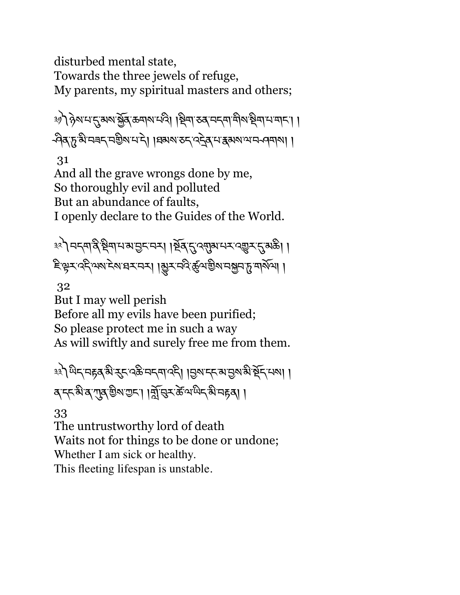disturbed mental state, Towards the three jewels of refuge, My parents, my spiritual masters and others;

�ৌ हेरामाहुबारा क्लेंबुक मारा हो। । ष्टिमा रुवा मनमा मारा भारा। । -পিৰ্মুদ্ৰ ঋষা নাই। ।মুখ্য সম্পৰ্কৰ মাজ্য একাৰ প্ৰধা ।

31

And all the grave wrongs done by me, So thoroughly evil and polluted But an abundance of faults, I openly declare to the Guides of the World.

३२) नद्दमाद्वे श्वेषा मञ्जानुदानम् । रूवाद् उत्सावा मद्रायुज्ञा राज्ञ अक्षे। । इे से राउट ज्ञाड़ प्रायं स्थान के बाल के स्थान से अध्या ।

32

But I may well perish Before all my evils have been purified; So please protect me in such a way As will swiftly and surely free me from them.

༣༣༽ཡིད་བrན་མི་nང་འཆི་བདག་འདི། །6ས་དང་མ་6ས་མི་Pོད་པས། ། ব্ দ্দন্মব্দ্মজুমত্ত্ৰা। ৰ্মুদ্ধুমক্ত অধ্য নাত্ৰা।

33

The untrustworthy lord of death Waits not for things to be done or undone; Whether I am sick or healthy. This fleeting lifespan is unstable.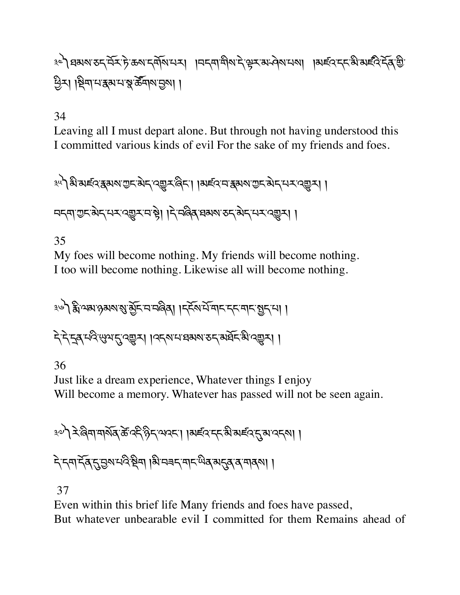༣༤༽ཐམས་ཅད་བོར་ཏེ་ཆས་དགོས་པར། །བདག་གིས་དེ་kར་མ་ཤེས་པས། །མཛའ་དང་མི་མཛའི་དོན་aི་ Cིར། །Pིག་པ་{མ་པ་p་ཚ|གས་6ས། །

## 34

Leaving all I must depart alone. But through not having understood this I committed various kinds of evil For the sake of my friends and foes.

<u>३५) अं अर्ह्</u>दर सुरूष गुरु सेन् द्र्युत्र बिर। ।अर्ह्द म सुरूष गुरु सेन् मत्र दर्युत्र। । བདག་གྱང་མེད་པར་འརྱར་བ་སྲེ། ।རེ་བ๑ིན་བམས་རད་མེད་པར་འརྱར། ।

#### 35

My foes will become nothing. My friends will become nothing. I too will become nothing. Likewise all will become nothing.

༣༦༽ïི་ལམ་ཉམས་Ü་õོང་བ་བཞིན། །དངོས་པོ་གང་དང་གང་>ད་པ། ། देदेदुबद्भियदुर् दुर्ग । उद्बारा ब्रह्मा र बर्बेद ब्रे दुर्ग

#### 36

Just like a dream experience, Whatever things I enjoy Will become a memory. Whatever has passed will not be seen again.

३२) दे बिना मार्शेव के दर्दे छैन अदम। ।अर्डव दर्द औ अर्डव तु अ दम् शा ।

বিদ্যার্হির্দ্রান্ত্র্মার্দ্বিষ্ট্র্মা । মি'নৰ্দ্মান্থ্য একার্মান্ত্র্যান্ত্র্যাণ

#### 37

Even within this brief life Many friends and foes have passed, But whatever unbearable evil I committed for them Remains ahead of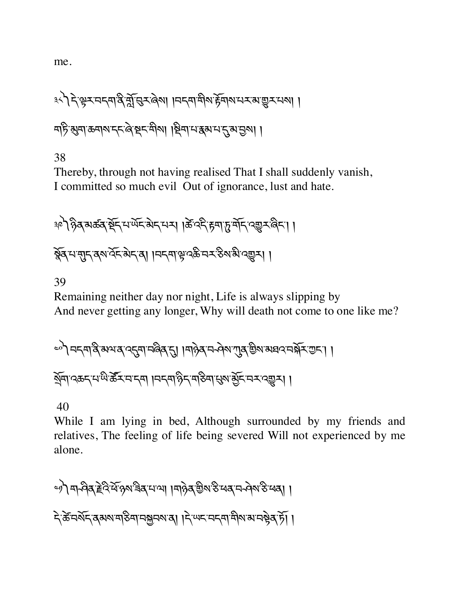me.

༣༨༽དེ་kར་བདག་ནི་oོ་gར་ཞེས། །བདག་གིས་rོགས་པར་མ་\_ར་པས། ། གཏི་lག་ཆགས་དང་ཞེ་Pང་གིས། །Pིག་པ་{མ་པ་\*་མ་6ས། །

38

Thereby, through not having realised That I shall suddenly vanish, I committed so much evil Out of ignorance, lust and hate.

ঞ্চী हेत्र अर्क्ष्व सें दार्थेद बेदायन् । केंदरी हवा हर्षेदायुम्बैदा । क्रॅब्स्स्सुद्ब्ब्स्ब्व्ह्र्रा । मद्ब्याञ्चेद्क्ष्म् अञ्चल्लुक्ष्म् ।

39

Remaining neither day nor night, Life is always slipping by And never getting any longer, Why will death not come to one like me?

༤༠༽བདག་ནི་མལ་ན་འ\*ག་བཞིན་\*། །གཉེན་བ ཤེས་Lན་aིས་མཐའ་བ(ོར་Iང་། ། Kོག་འཆད་པ་ཡི་ཚ|ར་བ་དག །བདག་ཉིད་གཅིག་Öས་õོང་བར་འ\_ར། །

40

While I am lying in bed, Although surrounded by my friends and relatives, The feeling of life being severed Will not experienced by me alone.

ৃ) না বিৰ দ্বীৰ ক্ষেপ্ত ৰাজ্য ৰাজ্য ৰাজ্য বিৰ দিবী । दे के चर्शेद वरूप महिना नक्षमा है। । दे प्पद चदना मील अपने बेत हैं। ।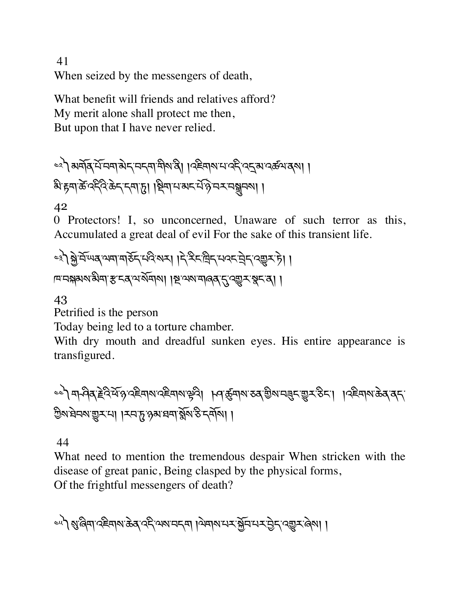41 When seized by the messengers of death,

What benefit will friends and relatives afford? My merit alone shall protect me then, But upon that I have never relied.

== ) अर्बोब् में चवा अन्यनवा बीरा है। । पहेवारा मार्क्षे पतुः अपर्क्षयवरु । མི་rག་ཚè་འདིའི་ཆེད་དག་d། །Pིག་པ་མང་པ,་ཉ©་བར་བhབས། །

42

0 Protectors! I, so unconcerned, Unaware of such terror as this, Accumulated a great deal of evil For the sake of this transient life.

༤༣༽fེ་བོ་ཡན་ལག་གཅོད་པའི་སར། །དེ་རིང་ིད་པའང་áེད་འ\_ར་ཏེ། ། ཁ་བ(མས་མིག་[་ངན་ལ་སོགས། །U་ལས་གཞན་\*་འ\_ར་pང་ན། །

43

Petrified is the person

Today being led to a torture chamber.

With dry mouth and dreadful sunken eyes. His entire appearance is transfigured.

<u></u>ৼ्रो मार्गवेदादेविर्येष परिचारा परिचारा सेवा । भवार्कुमारा उत् छैरा मनुमारा उन्हें । । पर्दमारा केवावम् গ্রিম'ষ্টনম'ভ্রুম'না। মন'চূ'গ্গম'ষন'ৰ্মুম'ষ্ট'দর্মমা।

44

What need to mention the tremendous despair When stricken with the disease of great panic, Being clasped by the physical forms, Of the frightful messengers of death?

ুন) থ্যুপ্তমা ব্ৰহ্মাখ ক্ৰয় বহ্ল অথমবাৰ । অমাৰাম স্মূল নম্বট্ৰন বেল্লমৰেৰা ।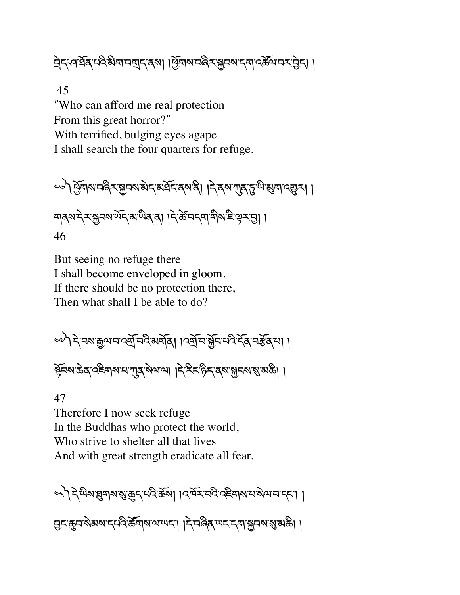मेदन्वर्धेदमदेभेमामयुदादशा । सुबारामद्विराञ्चमश्रमपदर्केसमरपुरा ।

45

ʺWho can afford me real protection From this great horror?" With terrified, bulging eyes agape I shall search the four quarters for refuge.

ေါ် ဟြီဒါ များများ အခြင်းဆိုင်းဆိုင်းဆိုင်း မြင်းဆုံး အခြင်း<br>ကျွန်မြင်းဆိုင်း မြင်းဆိုင်း မြင်းဆိုင်း မြင်းဆိုင်း ঘৰ্ষ দ্মস্থাৰ আৰু বিজে বিজেপ দি কৰি পৰি প্ৰতি দি বিজেপ দি বিজেপ দি বিজেপ দি বিজেপ দি বিজেপ দি বিজেপ দি বিজেপ দ 46

But seeing no refuge there I shall become enveloped in gloom. If there should be no protection there, Then what shall I be able to do?

༤༧༽དེ་བས་\$ལ་བ་འtོ་བའི་མགོན། །འtོ་བ་fོབ་པའི་དོན་བ[ོན་པ། ། bོབས་ཆེན་འཇིགས་པ་Lན་སེལ་ལ། །དེ་རིང་ཉིད་ནས་fབས་Ü་མཆི། །

47

Therefore I now seek refuge In the Buddhas who protect the world, Who strive to shelter all that lives And with great strength eradicate all fear.

<<े देखिबाझुबाबाञ्चाकुन् मदिकेला । प्राप्त्र मदिख्हिबाबामाञ्जयानान्ना । सुद्धान से अर्थान परिकेति । । दिलिक्ष्य अर्थको ।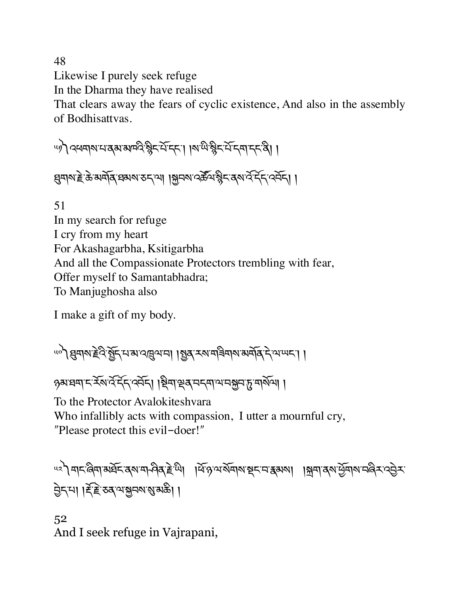48

Likewise I purely seek refuge

In the Dharma they have realised

That clears away the fears of cyclic existence, And also in the assembly of Bodhisattvas.

༥༡༽འཕགས་པ་ནམ་མཁའི་ìིང་པོ་དང་། །ས་ཡི་ìིང་པོ་དག་དང་ནི། །

দ্ভ্ৰম্মাই ক্ৰ'মমৰ্মি ঘৰুমা কৰ্মা । মুনমা বৰ্ক্টমঞ্জীৰ বৰ্মা বৰ্ বৰ্মান। ।

51 In my search for refuge I cry from my heart For Akashagarbha, Ksitigarbha And all the Compassionate Protectors trembling with fear, Offer myself to Samantabhadra; To Manjughosha also

I make a gift of my body.

༥༠༽qགས་Tེའི་>ོད་པ་མ་འóལ་བ། །>ན་རས་གཟིགས་མགོན་དེ་ལ་ཡང་། །

१३ अमय दिल के बार के बार के बार के बार के बार के सुरक्षण ।

To the Protector Avalokiteshvara Who infallibly acts with compassion, I utter a mournful cry, "Please protect this evil-doer!"

༥༢༽གང་ཞིག་མཐོང་ནས་ག ཤིན་Tེ་ཡི། །ཕོ་ཉ་ལ་སོགས་Pང་བ་{མས། །Æག་ནས་Cོགས་བཞིར་འ6ེར་ 6ེད་པ། །Ø,་T©་ཅན་ལ་fབས་Ü་མཆི། །

52 And I seek refuge in Vajrapani,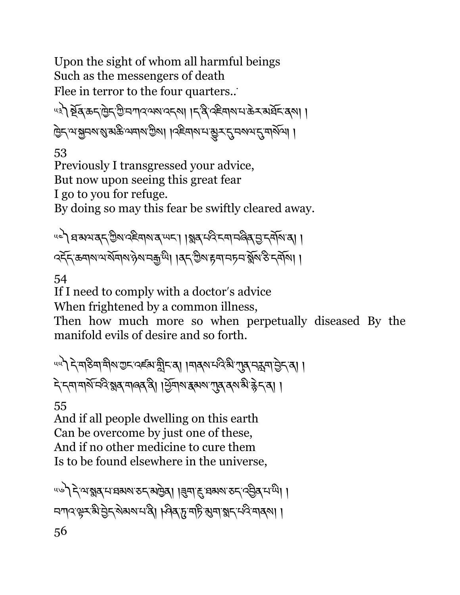Upon the sight of whom all harmful beings Such as the messengers of death Flee in terror to the four quarters..

<u>५३) ब्र</u>ेंब् क्रम प्रियं पायरायरूप । मुद्धिवारा के संबर्धन क्ष ট্রিন্সম্মুনমন্ত্র মন্ত্র স্মামস্ত্রীম। । স্ক্রিনামন্ত্র্যু-্রান্সমান্ত্র্যুসমান্ত্র

53

Previously I transgressed your advice, But now upon seeing this great fear I go to you for refuge.

By doing so may this fear be swiftly cleared away.

ue) बळायदर् ग्रेश देहवारा व स्पट । । श्लव मंदि दवा मलेव सु दर्मारा वा । ব্হঁহ ক্ৰম্ম অর্মনমণ্ঠম নক্ৰম্ম। ।ৰহ গ্ৰীম দ্বমা নচন ৰ্মুম ঠ হৰ্মমা ।

54

If I need to comply with a doctor's advice

When frightened by a common illness,

Then how much more so when perpetually diseased By the manifold evils of desire and so forth.

प्पो देखडिवा वीरा प्रदायहरू ह्रीदावा ।वादरा पद्धा गुदावरू मन्ने दा । दे दमा मार्गे मदि भ्रुव मालव दी। सिमा सबा राज्ञ दा भी दे दा ।

55

And if all people dwelling on this earth Can be overcome by just one of these, And if no other medicine to cure them Is to be found elsewhere in the universe,

५७) देव्यञ्जब पात्रका उदाराष्ट्रेव। । इमाह व्रष्य उदार देवियाली । मगदस्र्म् बे हेन् बेग्बरम् है। भिवान महि युवाञ्चन प्रदे मादवा।। 56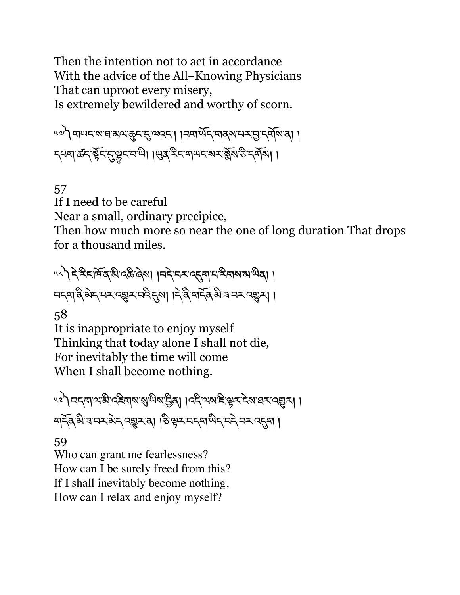Then the intention not to act in accordance With the advice of the All-Knowing Physicians That can uproot every misery, Is extremely bewildered and worthy of scorn.

༥༧༽གཡང་ས་ཐ་མལ་8ང་²་ལའང་། །བག་ཡོད་གནས་པར་6་དགོས་ན། ། ন্মমার্ক্টন্স্কুন্দ্রভ্লেম্মী । এর্স্টনমালদের মুম্ভিদ্র্মী।

## 57

If I need to be careful

Near a small, ordinary precipice,

Then how much more so near the one of long duration That drops for a thousand miles.

༥༨༽དེ་རིང་ཁོ་ན་མི་འཆི་ཞེས། །བདེ་བར་འ\*ག་པ་རིགས་མ་ཡིན། ། བདག་ནི་མེད་པར་འ\_ར་བའི་\*ས། །དེ་ནི་གདོན་མི་ཟ་བར་འ\_ར། །

58

It is inappropriate to enjoy myself Thinking that today alone I shall not die, For inevitably the time will come When I shall become nothing.

"�ৌ བངག་ལ་མི་འརིབ།ས་སུ་ལིས་བྱིན། ।འརི་ལས་རི་ལྲར་རེས་བར་འརྱར། । मार्च् बी बानर बेद द्युर वा । हे सेर नर्यालू राम नर द्युष ।

## 59

Who can grant me fearlessness? How can I be surely freed from this? If I shall inevitably become nothing, How can I relax and enjoy myself?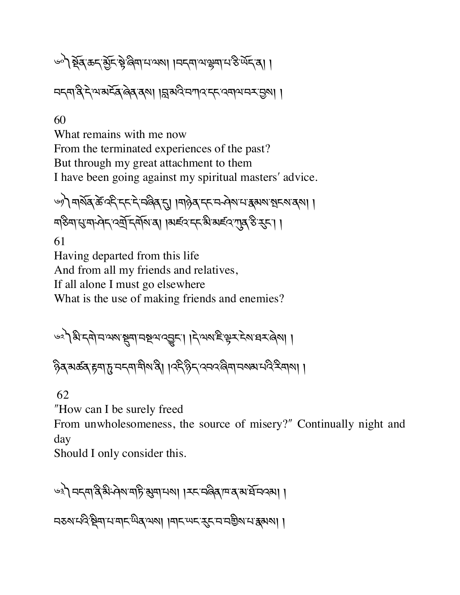১৯) ষ্ট্ৰ্ক্সেন্ট্ৰ্ন্ট্ৰ্ন্ট্ৰ্ন্ট্ৰিণ্যাম্মা । । নন্দামাঞ্জ্ৰণামস্তিৰ্অন্বা।

བདག་ནི་དེ་ལ་མངོན་ཞེན་ནས། །s་མའི་བཀའ་དང་འགལ་བར་6ས། །

60

What remains with me now From the terminated experiences of the past? But through my great attachment to them I have been going against my spiritual masters' advice.

ঙ) মাৰ্মৰ্ক্টবেং দ্দান নজিৰ না । মাৰ্গৰ দ্দান নিৰ্মাণ স্কুদমাৰ্মা । শতিনা ম্রাস্ট কর্ণা বিদ্যালয় । বার্লিসেন জিয়া ৰাজ্য কর্ণা ।

61 Having departed from this life And from all my friends and relatives, If all alone I must go elsewhere What is the use of making friends and enemies?

$$
\mathcal{A}_{\mathcal{A}}\left(\mathcal{A}_{\mathcal{A}}\right)=\mathcal{A}_{\mathcal{A}}\left(\mathcal{A}_{\mathcal{A}}\right)\left(\mathcal{A}_{\mathcal{A}}\right)\left(\mathcal{A}_{\mathcal{A}}\right)
$$

ৡিব্'ঝর্ক্রব'ৰ্চুমা'চ্'মন্মাশীম'ৰী। ।৭ই'ষ্টুন'৭মন্থ'ৰীমামকামাই:ইমামা।।

62

"How can I be surely freed

From unwholesomeness, the source of misery?" Continually night and day

Should I only consider this.

༦༣༽བདག་ནི་མི་ཤེས་གཏི་lག་པས། །རང་བཞིན་ཁ་ན་མ་ཐོ་བའམ། ། བཅས་པའི་Pིག་པ་གང་ཡིན་ལས། །གང་ཡང་nང་བ་བaིས་པ་{མས། །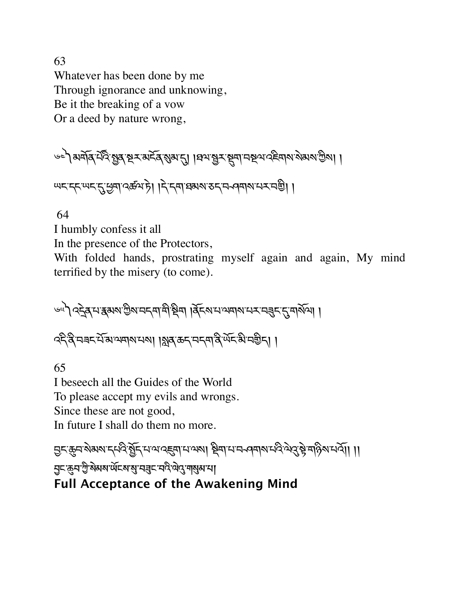63 Whatever has been done by me Through ignorance and unknowing, Be it the breaking of a vow Or a deed by nature wrong,

$$
\text{exp}(\text{exp}(X\text{ and }X\text{ and }Y\text{).})
$$

٣८ दुरु २२ मान्य अर्थके १२ मान्य अर्थ २२ मान्य अर्थन ।

64

I humbly confess it all

In the presence of the Protectors,

With folded hands, prostrating myself again and again, My mind terrified by the misery (to come).

ঙ্খী বহুৰ্'ন'ক্কমম'গ্ৰীম'নহমাশী শ্বিশা । ব্ৰিহম'ন'অশাম'নেৰ্হ্বহ'হ্ৰ'মাৰ্মিশা ।

ক্ষ্ণ ব্ৰহ মাজ্য কৰে। ।ফ্লাৰ কৰ্ম কৰ্মী বিদেশ বিদেশ কৰিব। ।

65

I beseech all the Guides of the World To please accept my evils and wrongs. Since these are not good, In future I shall do them no more.

मुद्र्कुनश्रेयराद्दपिः सेंद्र्मपायरह्मपायरुषा श्रेयायान अवारायदेले देश्रे बहिरायर्गे। ।। **!ང་\$བ་)ི་སེམས་ཡོངས་6་བ7ང་བའི་ལེ4་ག6མ་པ། Full Acceptance of the Awakening Mind**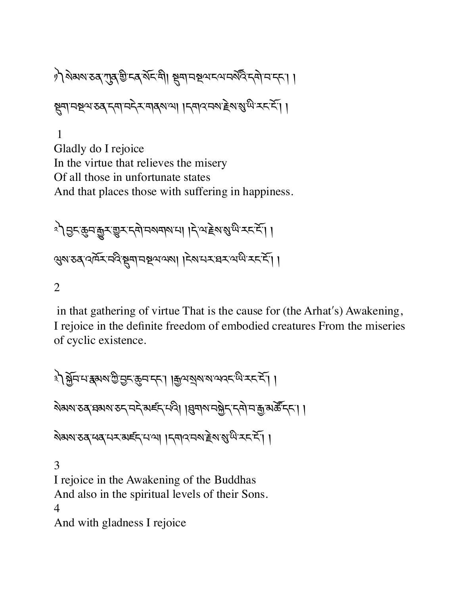१) शेमरा उत् गुत गुन्दर् ग्रह मा सूमा मध्य दय मर्शन दमा । ষ্ট্ৰমানষ্ণ ব্যৱস্থা নিৰ্মাণ । বিৰাৰ বৰ্ষ বিজ্ঞাপে স্বৰ্শী । 1

Gladly do I rejoice In the virtue that relieves the misery Of all those in unfortunate states And that places those with suffering in happiness.

ै । इसकुमकुर सुर दमे नवमया । देख हे राष्ट्री । २४४ उर दमिर नदे सुमानस्यायया । देश मर बर वार्ष रहाने ।

2

in that gathering of virtue That is the cause for (the Arhat's) Awakening, I rejoice in the definite freedom of embodied creatures From the miseries of cyclic existence.

३) क्लॅन माझुक्ष सुराज्य करना । कुत्र बाल बाल सुराज्य करना । ऄॺॺॱऊदॱघबश्यरुद्दानदे अर्हद्दायदे । बिचारा तञ्जेद द्वान कुत्रार्केन्द्दा । ষমমত ব্যব্দৰ দেখা । জনবেমাইমত্ত এক 3 I rejoice in the Awakening of the Buddhas And also in the spiritual levels of their Sons. 4

And with gladness I rejoice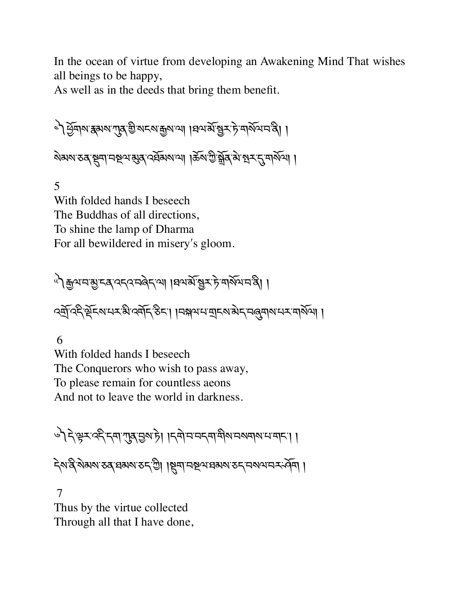In the ocean of virtue from developing an Awakening Mind That wishes all beings to be happy,

As well as in the deeds that bring them benefit.

৾ এঁ উনাথ ধৰা আৰু ক্ৰিপ্ৰে আৰু বিভাগ পৰি প্ৰকাশ কৰি। । ষমমাত্ত জুনানম্বন জ্যান বিশ্বজন কৰি বিশ্বজন কৰিব।

5 With folded hands I beseech The Buddhas of all directions, To shine the lamp of Dharma For all bewildered in misery's gloom.

া। ক্রিঅনস্ত্রান্ত বেনবেনৰ দেখা। বিৰাম জীব্রা সম্প্রান বি ्क्लॅ देर सॅट्स् स्ट्रॅं देवॉर्ट् इट्रा । नक्षयमबुद्रुभं से तल्लाराम् वर्षेत्रा ।

6

With folded hands I beseech The Conquerors who wish to pass away, To please remain for countless aeons And not to leave the world in darkness.

ुौदेञ्जर दिन्दा गुरु कुल है। ।दबाचनदवाचुबाचबाबायायाना ।

ন্মন্ত্ৰীৰ মৰাৰ ব্যৱসাৰ কৰি। ছিনা নহৰ প্ৰথম কৰা নকৰা ।

 7 Thus by the virtue collected Through all that I have done,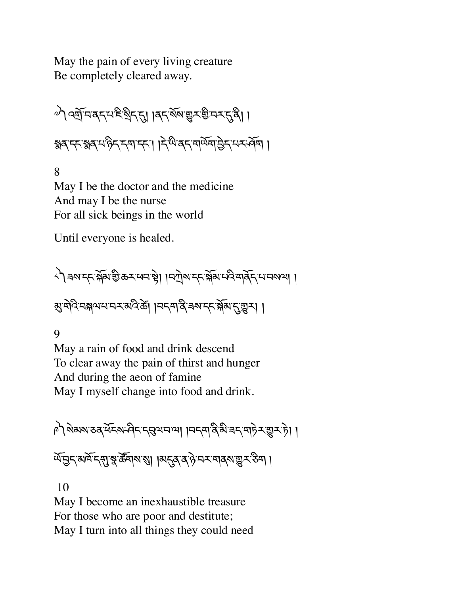May the pain of every living creature Be completely cleared away.

༧༽འtོ་བ་ནད་པ་ཇི་Kིད་\*། །ནད་སོས་\_ར་aི་བར་\*་ནི། ། éན་དང་éན་པ་ཉིད་དག་དང་། །དེ་ཡི་ནད་གཡོག་6ེད་པར་ཤོག །

8 May I be the doctor and the medicine And may I be the nurse For all sick beings in the world

Until everyone is healed.

্বী ৰমাদ্দাৰ্শ্লিষ্ট ক্ৰমাধনাঞ্চী । বিটাৰান্দাৰ্শ্লিষ্ট বিভিন্ন প্ৰথম । बुद्धेवदिन्नक्षयमम्बद्धार्थदेखा ।मद्दमद्विज्ञशम् द्विष्णुदुष्ट्वम् ।

9

May a rain of food and drink descend To clear away the pain of thirst and hunger And during the aeon of famine May I myself change into food and drink.

༩༽སེམས་ཅན་ཕོངས་ཤིང་དgལ་བ་ལ། །བདག་ནི་མི་ཟད་གཏེར་\_ར་ཏེ། ། र्षे मुद्र अमे द्रुपा श्रु रहे बारा है। ।अद्रुव द हे मन मानवा सुरु हेम ।

10

May I become an inexhaustible treasure For those who are poor and destitute; May I turn into all things they could need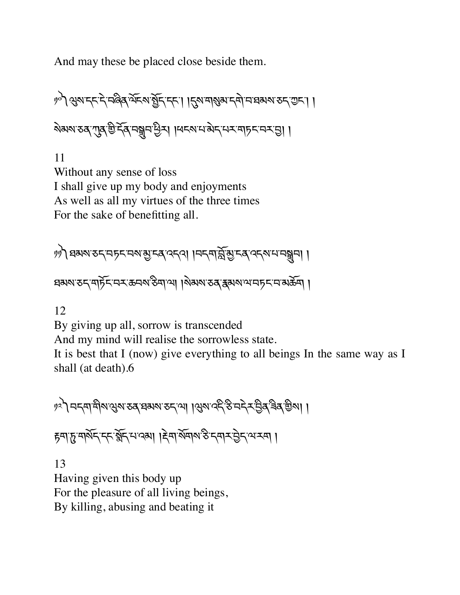And may these be placed close beside them.

༡༠༽Qས་དང་དེ་བཞིན་ལོངས་>ོད་དང་། །\*ས་གÜམ་དགེ་བ་ཐམས་ཅད་Iང་། ། ষিমমাত্ত মৃত্যু বিশেষ্ট্ৰন দ্বিশ্য । বিশেষ বিশিক্ষণ কৰা প্ৰতিষ্ঠা

11 Without any sense of loss I shall give up my body and enjoyments As well as all my virtues of the three times For the sake of benefitting all.

༡༡༽ཐམས་ཅད་བཏང་བས་õ་ངན་འདའ། །བདག་sོ་õ་ངན་འདས་པ་བhབ། ། ঘঝঝ'ঠন'মাৰ্চৰ অৰ্থ উদ্যাপ্য । মিৰ্মম'ঠৰ স্কুমম'ন্সামাৰ্চৰ অক্টমা।

12

By giving up all, sorrow is transcended

And my mind will realise the sorrowless state.

It is best that I (now) give everything to all beings In the same way as I shall (at death).6

ৃঃ) নন্দাশীমন্ত্ৰম ভব্ৰস্নম ভন্না ।থ্ৰম ব্দ্ৰ উন্দ্ৰ ইৰ্জিম। ।

हवा ह वार्षेद दद ब्लैंद याद्या । हेवार्षेवार ठे दवार ठेट था रवा ।

13 Having given this body up For the pleasure of all living beings, By killing, abusing and beating it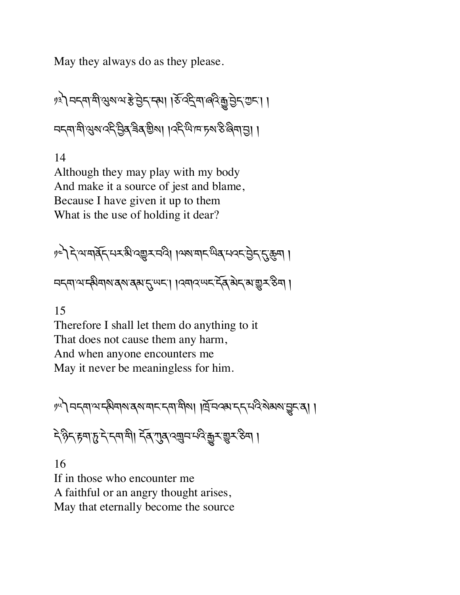May they always do as they please.

१३) नदमाभी सुरुष्य हे चुद्द दमा । ठे व्हे मालवे कुचुद्द गुद्दा ।। নন্দাশীস্ত্ৰৰ উৰ্বাৰ্ত্তীৰ বিদ্যালক কৰিবলৈ ৷ ।

14

Although they may play with my body And make it a source of jest and blame, Because I have given it up to them What is the use of holding it dear?

१८) देखबर्बिन सर ही देखर बढ़ी ।ज्ञाबाद लुब सवन के राष्ट्रिय । <u> নন্</u>মাণক্ষিনাৰাৰৰাৰ্মন্দ্ৰা । ব্ৰাবন্দ্ৰ ইৰ্মন্মভূৰ্স্কিন ।

15

Therefore I shall let them do anything to it That does not cause them any harm, And when anyone encounters me May it never be meaningless for him.

༡༥༽བདག་ལ་དམིགས་ནས་གང་དག་གིས། །ོ་བའམ་དད་པའི་སེམས་Vང་ན། །

དེ་ཉིད་rག་d་དེ་དག་གི། དོན་Lན་འ¥བ་པའི་êར་\_ར་ཅིག །

16 If in those who encounter me A faithful or an angry thought arises, May that eternally become the source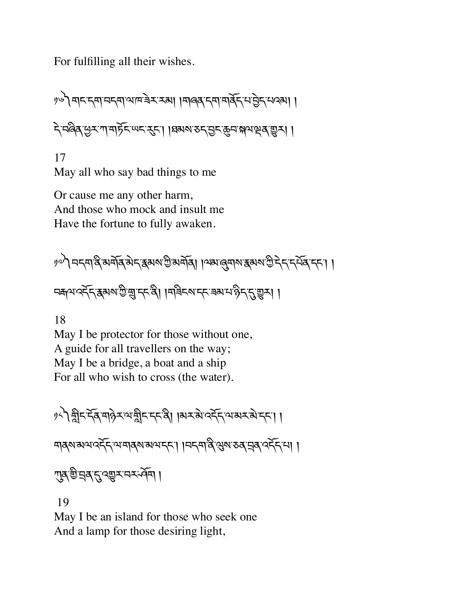For fulfilling all their wishes.

༡༦༽གང་དག་བདག་ལ་ཁ་ཟེར་རམ། །གཞན་དག་གནོད་པ་6ེད་པའམ། ། དེ་བཞིན་Cར་ཀ་གཏོང་ཡང་nང་། །ཐམས་ཅད་6ང་8བ་(ལ་çན་\_ར། །

17 May all who say bad things to me

Or cause me any other harm, And those who mock and insult me Have the fortune to fully awaken.

$$
11^{10} \text{Tr} \left( \text{Tr} \left( \text{Tr} \left( \text{Tr} \left( \text{Tr} \left( \text{Tr} \left( \text{Tr} \left( \text{Tr} \left( \text{Tr} \left( \text{Tr} \left( \text{Tr} \left( \text{Tr} \left( \text{Tr} \left( \text{Tr} \left( \text{Tr} \left( \text{Tr} \left( \text{Tr} \left( \text{Tr} \left( \text{Tr} \left( \text{Tr} \left( \text{Tr} \left( \text{Tr} \left( \text{Tr} \left( \text{Tr} \left( \text{Tr} \left( \text{Tr} \left( \text{Tr} \left( \text{Tr} \left( \text{Tr} \left( \text{Tr} \left( \text{Tr} \left( \text{Tr} \left( \text{Tr} \left( \text{Tr} \left( \text{Tr} \left( \text{Tr} \left( \text{Tr} \left( \text{Tr} \left( \text{Tr} \left( \text{Tr} \left( \text{Tr} \left( \text{Tr} \left( \text{Tr} \left( \text{Tr} \left( \text{Tr} \left( \text{Tr} \left( \text{Tr} \left( \text{Tr} \left( \text{Tr} \left( \text{Tr} \left( \text{Tr} \left( \text{Tr} \left( \text{Tr} \left( \text{Tr} \left( \text{Tr} \left( \text{Tr} \left( \text{Tr} \left( \text{Tr} \left( \text{Tr} \left( \text{Tr} \left( \text{Tr} \left( \text{Tr} \left( \text{Tr} \left( \text{Tr} \left( \text{Tr} \left( \text{Tr} \left( \text{Tr} \left( \text{Tr} \left( \text{Tr} \left( \text{Tr} \left( \text{Tr} \left( \text{Tr} \left( \text{Tr} \left( \text{Tr} \left( \text{Tr} \left( \text{Tr} \left( \text{Tr} \left( \text{Tr} \left( \text{Tr} \left( \text{Tr} \left( \text{Tr} \left( \text{Tr} \left( \text{Tr} \left( \text{Tr} \left( \text{Tr} \left( \text{Tr} \left( \text{Tr} \left( \text{Tr} \left( \text{Tr} \left( \text{Tr} \left( \text{Tr} \left( \text{Tr} \left( \text{Tr} \left( \text{Tr} \left( \
$$

নক্ৰমণ্ট্ৰ্ন্দ্ৰমৰাষ্ট্ৰাম্বৰ্দ্ধী। । মৰিদৰাদ্দৰ ৰামাঞ্জী দুৰ্দ্ৰে ।

18

May I be protector for those without one, A guide for all travellers on the way; May I be a bridge, a boat and a ship For all who wish to cross (the water).

༡༨༽oིང་དོན་གཉེར་ལ་oིང་དང་ནི། །མར་མེ་འདོད་ལ་མར་མེ་དང་། །

གནས་མལ་འདོད་ལ་གནས་མལ་དང་། །བདག་ནི་Qས་ཅན་áན་འདོད་པ། །

राब चित्र दुः क्ष्य र नर वेन ।

19

May I be an island for those who seek one And a lamp for those desiring light,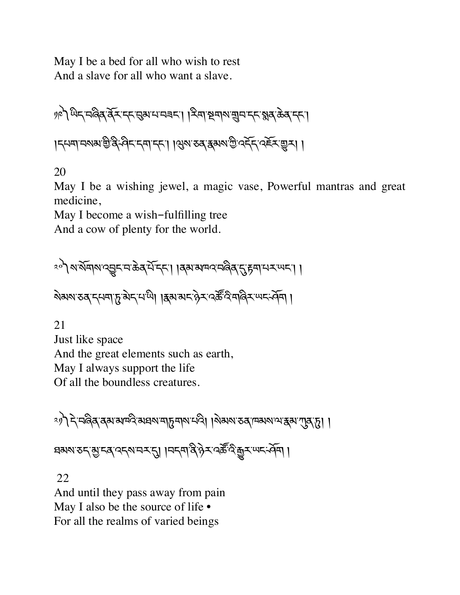May I be a bed for all who wish to rest And a slave for all who want a slave.

༡༩༽ཡིད་བཞིན་ནོར་དང་gམ་པ་བཟང་། །རིག་Uགས་¥བ་དང་éན་ཆེན་དང་། །དཔག་བསམ་aི་ནི་ཤིང་དག་དང་། །Qས་ཅན་{མས་Iི་འདོད་འཇོར་\_ར། །

20

May I be a wishing jewel, a magic vase, Powerful mantras and great medicine,

May I become a wish-fulfilling tree

And a cow of plenty for the world.

$$
\text{exp}(1+\text{exp}(1+\text{exp}(1+\text{exp}(1+\text{exp}(1+\text{exp}(1+\text{exp}(1+\text{exp}(1+\text{exp}(1+\text{exp}(1+\text{exp}(1+\text{exp}(1+\text{exp}(1+\text{exp}(1+\text{exp}(1+\text{exp}(1+\text{exp}(1+\text{exp}(1+\text{exp}(1+\text{exp}(1+\text{exp}(1+\text{exp}(1+\text{exp}(1+\text{exp}(1+\text{exp}(1+\text{exp}(1+\text{exp}(1+\text{exp}(1+\text{exp}(1+\text{exp}(1+\text{exp}(1+\text{exp}(1+\text{exp}(1+\text{exp}(1+\text{exp}(1+\text{exp}(1+\text{exp}(1+\text{exp}(1+\text{exp}(1+\text{exp}(1+\text{exp}(1+\text{exp}(1+\text{exp}(1+\text{exp}(1+\text{exp}(1+\text{exp}(1+\text{exp}(1+\text{exp}(1+\text{exp}(1+\text{exp}(1+\text{exp}(1+\text{exp}(1+\text{exp}(1+\text{exp}(1+\text{exp}(1+\text{exp}(1+\text{exp}(1+\text{exp}(1+\text{exp}(1+\text{exp}(1+\text{exp}(1+\text{exp}(1+\text{exp}(1+\text{exp}(1+\text{exp}(1+\text{exp}(1+\text{exp}(1+\text{exp}(1+\text{exp}(1+\text{exp}(1+\text{exp}(1+\text{exp}(1+\text{exp}(1+\text{exp}(1+\text{exp}(1+\text{exp}(1+\text{exp}(1+\text{exp}(1+\text{exp}(1+\text{exp}(1+\text{exp}(1+\text{exp}(1+\text{exp}(1+\text{exp}(1+\text{exp}(1+\text{exp}(1+\text{exp}(1+\text{exp}(1+\text{exp}(1+\text{exp}(1+\text{exp}(1+\text{exp}(1+\text{exp}(1+\text{exp}(1+\text{exp}(1+\text{exp}(1+\text{exp}(1+\text{exp}(1+\text{exp}(1+\text{exp}(1+\text{exp}(1+\text{exp}(1+\text{exp}(1+\text{exp}(1+\text{exp}(1+\text{exp}(1+\text{exp}(1+\text{exp}(1+\text{exp}(1+\text{exp}(1+\text{exp}(1+\text{exp}(1+\text{exp}(1+\text{exp}(1+\text{exp}(1+\text{exp}(1+\text{exp}(1+\text{exp}(1+\text{exp}(1+\text{exp}(1+\text{exp}(1+\text{exp}(1+\text{exp}(1+\text{exp}(1+\text{exp}(1+\text{exp}(1+\text{exp
$$

ষेষ্মমাত্তৰ দ্যমাদু ৰাদান্দী । ইমামাদান্ত সম্প্ৰতি মাৰিসামালি ।

21 Just like space And the great elements such as earth, May I always support the life Of all the boundless creatures.

ং)। ব্ৰিজিৰ কৰা আৰু বিধাসমূদৰ পৰি। বিধাস প্ৰকাল কৰা প্ৰকাশ কৰা

ঘঝন্য তদ্মুদৰ্ বিদ্যানমন্ত্ৰ । । নদ্দাৰ্থ দ্বিম্বৰ্ত্ত ইন্নুমান্দৰ্দ্দা ।

22

And until they pass away from pain May I also be the source of life • For all the realms of varied beings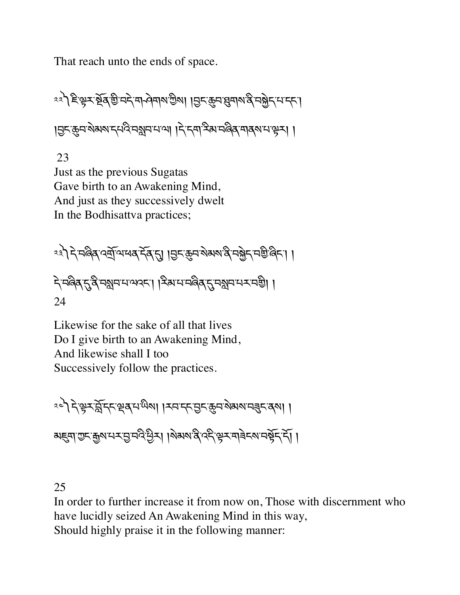That reach unto the ends of space.

༢༢༽ཇི་kར་Uོན་aི་བདེ་ག ཤེགས་Iིས། །6ང་8བ་qགས་ནི་བfེད་པ་དང་། །6ང་8བ་སེམས་དཔའི་བ¢བ་པ་ལ། །དེ་དག་རིམ་བཞིན་གནས་པ་kར། །

 23 Just as the previous Sugatas Gave birth to an Awakening Mind, And just as they successively dwelt In the Bodhisattva practices;

༢༣༽དེ་བཞིན་འtོ་ལ་ཕན་དོན་\*། །6ང་8བ་སེམས་ནི་བfེད་བaི་ཞིང་། ། དེ་བཞིན་\*་ནི་བ¢བ་པ་ལའང་། །རིམ་པ་བཞིན་\*་བ¢བ་པར་བaི། ། 24

Likewise for the sake of all that lives Do I give birth to an Awakening Mind, And likewise shall I too Successively follow the practices.

༢༤༽དེ་kར་sོ་དང་çན་པ་ཡིས། །རབ་དང་6ང་8བ་སེམས་བÑང་ནས། ། མ@ག་Iང་\$ས་པར་6་བའི་Cིར། །སེམས་ནི་འདི་kར་གཟེངས་བbོད་དོ། །

25

In order to further increase it from now on, Those with discernment who have lucidly seized An Awakening Mind in this way, Should highly praise it in the following manner: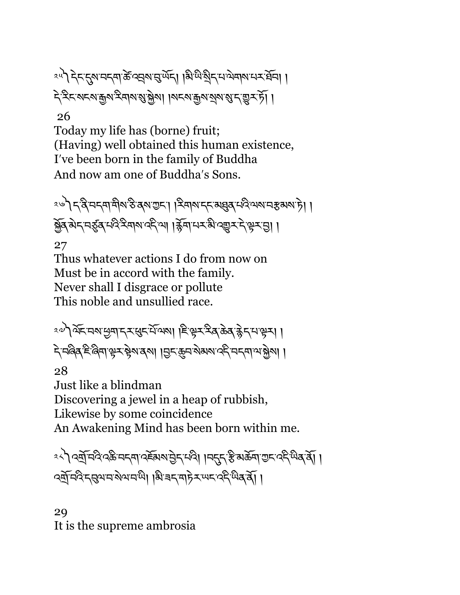ংশী নিদ্দদ্দেশের ক্রিপ্রেমান্ড এর্ড এই এই বিধানসমূহে। । ২২২ মন্মন্ত্ৰুমস্ক্ৰান্ত স্থিত । বিশেষ ইদ্ৰান্ত স্থাপনীত স্থিত

#### 26

Today my life has (borne) fruit; (Having) well obtained this human existence, Iʹve been born in the family of Buddha And now am one of Buddhaʹs Sons.

<u><</u>े दिनदमासैर उत्राण्डा। दिनारा दारामुक् मदिया नहरू ।। ब्रॅब् अेन् नईब् मदेदस्थालर् जा। र्ड्स्पानन्ध्री प्रक्रमने सेन्सो । 27

Thus whatever actions I do from now on Must be in accord with the family. Never shall I disgrace or pollute This noble and unsullied race.

ং৺) মুহূত্ৰ এন্ট্ৰাই ব্ৰেছবা । ছিউৰ ভূপ-পূৰ্ণ প্ৰৱা दे नर्बिब दे बिना से र क्ला बेला। । निर कैन शब्बा उर्ह नर्या जसेला ।

28

Just like a blindman Discovering a jewel in a heap of rubbish, Likewise by some coincidence An Awakening Mind has been born within me.

ংশ বর্ষ্রান্দ্র বস্ক্র নদমা ব্যা ন্যান্ট্রদা এবা । নদমে স্ক্রী আমার্ট এবা বিদ্বার্থী । འtོ་བའི་དgལ་བ་སེལ་བ་ཡི། །མི་ཟད་གཏེར་ཡང་འདི་ཡིན་ནོ། །

29 It is the supreme ambrosia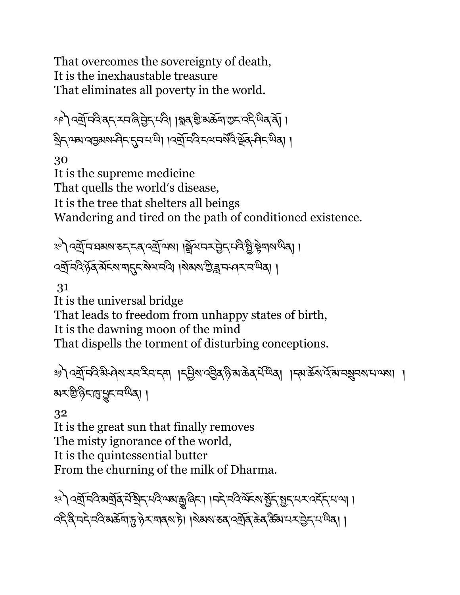That overcomes the sovereignty of death, It is the inexhaustable treasure That eliminates all poverty in the world.

ংশী বর্ষ্রামণ্ড বন্দমেল্লিট্রন্দাত্ত্বী। গ্লুব্রাগুমার্ক্রনা ভূদাব্দার্থবা । ষ্ট্ৰিন্স্ম'ন্মদ্ৰুমমান্দ্ৰিন্দ্ৰমাণ্ট্ৰী। । বৰ্ষ্ৰামবিংন্সামৰ্ষিক্ৰ শ্ৰিন্স শ্ৰিৰা।

30

It is the supreme medicine That quells the world's disease, It is the tree that shelters all beings Wandering and tired on the path of conditioned existence.

༣༠༽འtོ་བ་ཐམས་ཅད་ངན་འtོ་ལས། །ãོལ་བར་6ེད་པའི་>ི་bེགས་ཡིན། ། ্ষ্র্রান্দ্রিষ্ট্র মর্ম্মান্দ্র্মান্দ্র্মী। বিষমাণ্ড্রান্দ্র্য মাধ্য।

31

It is the universal bridge That leads to freedom from unhappy states of birth, It is the dawning moon of the mind That dispells the torment of disturbing conceptions.

༣༡༽འtོ་བའི་མི་ཤེས་རབ་རིབ་དག །དªིས་འ6ིན་ཉི་མ་ཆེན་པ,་ཡ.ན། །དམ་ཆོས་འོ་མ་བºབས་པ་ལས། ། མར་aི་ཉིང་½་§ང་བ་ཡིན། །

32

It is the great sun that finally removes The misty ignorance of the world, It is the quintessential butter From the churning of the milk of Dharma.

३२) दर्बो मदिसबॅबि में बुद्धाय बाह्य बेद। । मदे मदिले क्रम बुद्धाय स्वद्ग दर्भ माला । ক্ষ্ণ বি'ন্দ্ৰ 'ন্দ্ৰ মৰ্ক্তৰ্' দু' গ্ৰু-'নাৰ্ম' চা। ৰিম্মৰ স্বৰ্'ৰ্মূৰ 'ক্ৰৱ'ৰ্ক্তিম' নৰ্ম্ম নুদ্ৰ 'ন' শ্মৰা ।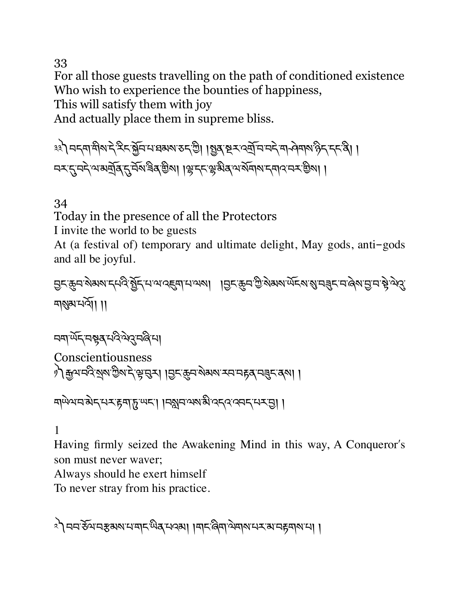33

For all those guests travelling on the path of conditioned existence Who wish to experience the bounties of happiness,

This will satisfy them with joy

And actually place them in supreme bliss.

३३) मदमाभीर दे दैद क्लॅम माध्य रुद थ्री । ह्युबार द्याप्मका मने माने भारत है दान ন্স্মুন্দ্ৰ অমৰ্য্ৰ্ মুৰ্মুন্ন বিৰ্ত্তিৰ। ।স্কুদ্দাঞ্জীৰ অৰ্থমাৰ দ্বাৰ্ত্তি সম্ভিল। ।

#### 34

Today in the presence of all the Protectors

I invite the world to be guests

At (a festival of) temporary and ultimate delight, May gods, anti-gods and all be joyful.

6ང་8བ་སེམས་དཔའི་>ོད་པ་ལ་འ@ག་པ་ལས། །6ང་8བ་Iི་སེམས་ཡོངས་Ü་བÑང་བ་ཞེས་6་བ་bེ་ལེù་ གÜམ་པའོ།། །།

$$
\text{exp}(\widehat{\mathcal{M}}_{\text{c}}\text{-}\text{exp}(\mathcal{M}_{\text{c}}\text{-}\text{exp}(\mathcal{M}_{\text{c}}\text{-}\text{exp}(\mathcal{M}_{\text{c}}\text{-}\text{exp}(\mathcal{M}_{\text{c}}\text{-}\text{exp}(\mathcal{M}_{\text{c}}\text{-}\text{exp}(\mathcal{M}_{\text{c}}\text{-}\text{exp}(\mathcal{M}_{\text{c}}\text{-}\text{exp}(\mathcal{M}_{\text{c}}\text{-}\text{exp}(\mathcal{M}_{\text{c}}\text{-}\text{exp}(\mathcal{M}_{\text{c}}\text{-}\text{exp}(\mathcal{M}_{\text{c}}\text{-}\text{exp}(\mathcal{M}_{\text{c}}\text{-}\text{exp}(\mathcal{M}_{\text{c}}\text{-}\text{exp}(\mathcal{M}_{\text{c}}\text{-}\text{exp}(\mathcal{M}_{\text{c}}\text{-}\text{exp}(\mathcal{M}_{\text{c}}\text{-}\text{exp}(\mathcal{M}_{\text{c}}\text{-}\text{exp}(\mathcal{M}_{\text{c}}\text{-}\text{exp}(\mathcal{M}_{\text{c}}\text{-}\text{exp}(\mathcal{M}_{\text{c}}\text{-}\text{exp}(\mathcal{M}_{\text{c}}\text{-}\text{exp}(\mathcal{M}_{\text{c}}\text{-}\text{exp}(\mathcal{M}_{\text{c}}\text{-}\text{exp}(\mathcal{M}_{\text{c}}\text{-}\text{exp}(\mathcal{M}_{\text{c}}\text{-}\text{exp}(\mathcal{M}_{\text{c}}\text{-}\text{exp}(\mathcal{M}_{\text{c}}\text{-}\text{exp}(\mathcal{M}_{\text{c}}\text{-}\text{exp}(\mathcal{M}_{\text{c}}\text{-}\text{exp}(\mathcal{M}_{\text{c}}\text{-}\text{exp}(\mathcal{M}_{\text{c}}\text{-}\text{exp}(\mathcal{M}_{\text{c}}\text{-}\text{exp}(\mathcal{M}_{\text{c}}\text{-}\text{exp}(\mathcal{M}_{\text{c}}\text{-}\text{exp}(\mathcal{M}_{\text{c}}\text{-}\text{exp}(\mathcal{M}_{\text{c}}\text{-}\text{exp}(\mathcal{M}_{\text{c}}\text{-}\text{exp}(\mathcal{M}_{\text{c}}\text{-}\text{exp}(\mathcal{M}_{\text{c
$$

Conscientiousness ै) कुथमदेशुरु छैश दे भूमुन । छुदकुम रोमश स्वानहरू मनुदार का। ।

```
मायेथमन बोन मन्दा हुना हु या । महान अरु बी वन व वन मन्दा ।
```
#### 1

Having firmly seized the Awakening Mind in this way, A Conqueror's son must never waver;

Always should he exert himself

To never stray from his practice.

৾৲ ননস্তমনস্তমমানান্দ্ৰীৰ্'নৰমা ।মানজিমান্সমানসমানানা।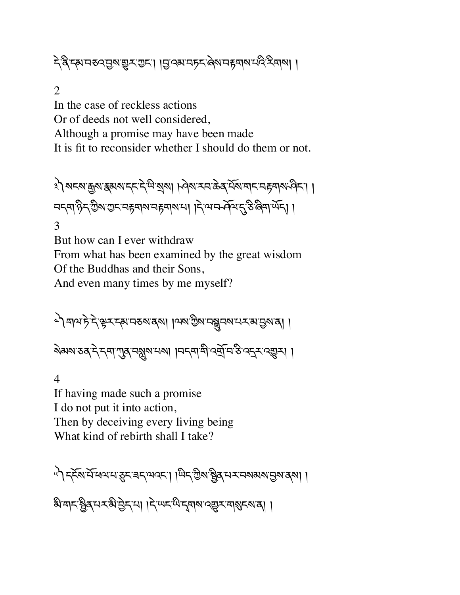दे द्वे स्थानरुदञ्जिः सुरूद्धाः । ।ञ्चाद्भान्यरे पुषानहमार्था रदिउपाया ।

2

In the case of reckless actions Or of deeds not well considered, Although a promise may have been made It is fit to reconsider whether I should do them or not.

३) अद्रुष कुष हुअरु दत् में भेड़ा । जिल उत्त क्रे प्रज्ञा बाद वहवार जीत। । मद्दमार् दिशाय सम्बार महमारा । दिला सम्मेदा । 3

But how can I ever withdraw From what has been examined by the great wisdom Of the Buddhas and their Sons, And even many times by me myself?

৾ । क्रियं में अर्च क्रम क्षम कर के बारी । क्षम क्रम क्षम कर का अर्थ ।

য়য়য়ৼঽঽ৾ৼ৾ৼঀৗ৻ঀৗ৾৾৶ৼ৶য়৸ৼ৸৽৸৸৸ৼঀৗ৻৻ড়ৢঢ়ৼ৻ড়ড়ড়৻৸

4 If having made such a promise I do not put it into action, Then by deceiving every living being What kind of rebirth shall I take?

५) ह्रॅड्रा सॅम्बयम् हुम् बम् अवस्य । जिम् ग्रेश ह्रैव् सम् महाराज्ञ ।

औय|< श्वैद्धय रुभे होन्स। ।दे ਘन थे नुवारा रक्ष र बारान्या ।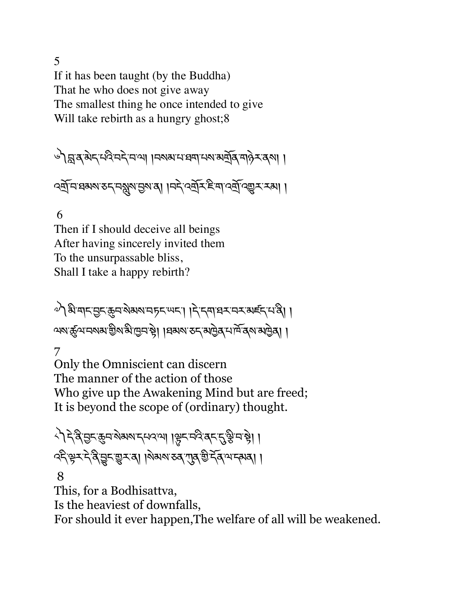5 If it has been taught (by the Buddha) That he who does not give away The smallest thing he once intended to give Will take rebirth as a hungry ghost;8

༦༽s་ན་མེད་པའི་བདེ་བ་ལ། །བསམ་པ་ཐག་པས་མtོན་གཉེར་ནས། །

বর্ষ্ম ঘষমমত ব্রমুমন্তমত্রা । নই বর্ষ্ম ই না বর্ষ্ম ব্র্যু হা হমা ।

#### 6

Then if I should deceive all beings After having sincerely invited them To the unsurpassable bliss, Shall I take a happy rebirth?

༧༽མི་གང་6ང་8བ་སེམས་བཏང་ཡང་། །དེ་དག་ཐར་བར་མཛད་པ་ནི། ། ལས་ôལ་བསམ་aིས་མི་ñབ་bེ། །ཐམས་ཅད་མñེན་པ་ཁོ་ནས་མñེན། །

7

Only the Omniscient can discern The manner of the action of those Who give up the Awakening Mind but are freed; It is beyond the scope of (ordinary) thought.

৻ৗঽ৾৽য়ৢড়ৼড়ড়য়ড়৸ৼ৻৸৻৻৽৸ৗড়ৼড়ড়৻৸ৼ৻ৼ৻ড়ৢ৸ড়ৗ २६२३ २२ है। २२ मा २२ मा २२ मा २२ मा २२ मा २१ मा २१

#### 8

This, for a Bodhisattva, Is the heaviest of downfalls, For should it ever happen,The welfare of all will be weakened.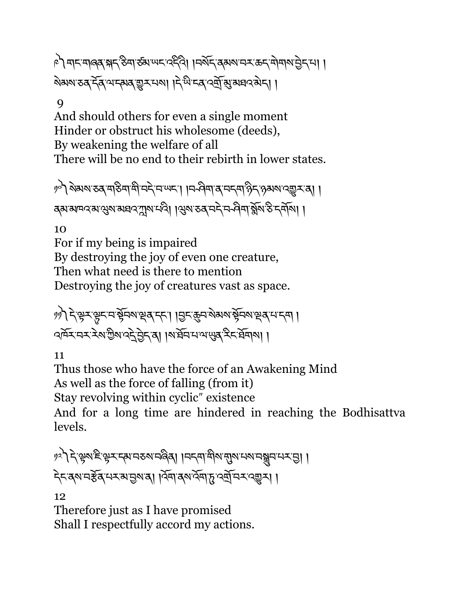ै। बादमालव भद्र हुना रुवा पदल्ले। ।वर्षेद वक्षय वरकदमोनाय हेदमा । ষমমাত্ত হৈ আৰু মুখ নৰা। দিয়ে বেৰ্তুৰ সম্ভাৱী।

#### $\mathbf Q$

And should others for even a single moment Hinder or obstruct his wholesome (deeds), By weakening the welfare of all There will be no end to their rebirth in lower states.

༡༠༽སེམས་ཅན་གཅིག་གི་བདེ་བ་ཡང་། །བ ཤིག་ན་བདག་ཉིད་ཉམས་འ\_ར་ན། ། ব্ৰুষামান্দৰে'মুম্বাম্বাৰৰ'মুম্ম'নৰী ।মুম'তৰ'নই'ন-প্ৰিন'ৰ্ক্সম'ণ্ড'ৰ্'ন্সমা।

10

For if my being is impaired By destroying the joy of even one creature, Then what need is there to mention Destroying the joy of creatures vast as space.

ッ) देঞ্জरঞ্জুद्रा सेन्स् अञ्चल दत्। । सुद्ध्य रोग्या सेन्स् स्वयन्तम् । বদ্মমানমাঞ্জীয় বৰ্টট্ৰাই পৰি । ৰাষ্ট্ৰাসন্মন্ত্ৰ সম্বন্ধৰ বি

11

Thus those who have the force of an Awakening Mind As well as the force of falling (from it) Stay revolving within cyclic<sup>"</sup> existence And for a long time are hindered in reaching the Bodhisattva levels.

१२) देख्ञाहिन्ध्र प्राप्तरु स्वाप्रेले । मन्त्रा मुरुष्मा स्वाय मञ्जन प्राप्त देद वरु चर्डेन सम्बाल । जिला क्षेत्र सुर्ग मन र ब्युम् ।

12

Therefore just as I have promised Shall I respectfully accord my actions.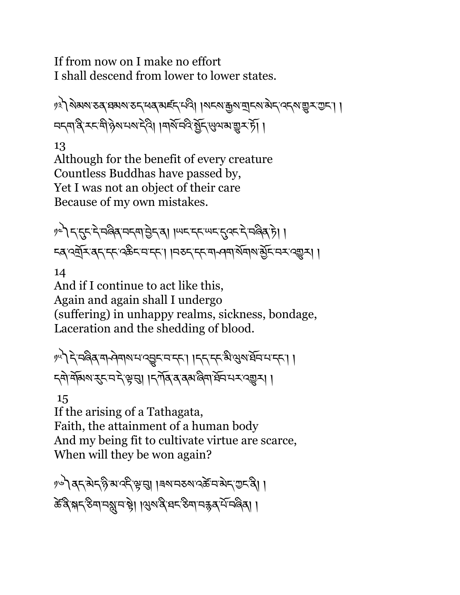If from now on I make no effort I shall descend from lower to lower states.

/३) ऄॺॺॱठवॱঘঝষॱठ८ पव बार्ह्द पदे। ।ॺ८ॺॱक़ॗॺॱॺॖॸॺॱऄॸॱ२८ॺॱॼॢऽॱॻॸॱ। । ন্দ্ৰান্ত্ৰ হৰ্দেষ্টি গৰামান্ত্ৰী । ৰাৰ্মন্দ্ৰ মুঁদু খ্যুমন্মভূৰ্মণ্টা ।

13 Although for the benefit of every creature Countless Buddhas have passed by, Yet I was not an object of their care Because of my own mistakes.

१८) दादुदारे मलैबामदमाञ्जेदावा । स्पाददारामदादुक्ते मलैबाजे। । ८८ दर्जुर दुर दह देखेद व दहा। । नकर दर मन्या सेवार ब्रेंट वर द्युत्र। ।

14 And if I continue to act like this, Again and again shall I undergo (suffering) in unhappy realms, sickness, bondage, Laceration and the shedding of blood.

༡༥༽དེ་བཞིན་ག ཤེགས་པ་འVང་བ་དང་། །དད་དང་མི་Qས་ཐོབ་པ་དང་། ། ॸ्षे मॅब्स्शरस्तमे सुमु । हर्गेदवत्य अल्पार्थे मार्ग्यस्था।

15

If the arising of a Tathagata, Faith, the attainment of a human body And my being fit to cultivate virtue are scarce, When will they be won again?

༡༦༽ནད་མེད་ཉི་མ་འདི་k་g། །ཟས་བཅས་འཚè་བ་མེད་Iང་ནི། ། केंद्रिभ**-** ठेमामञ्जूमसे। । युरुदिम् वर्- ठेमामङ्गदर्भिमलेता ।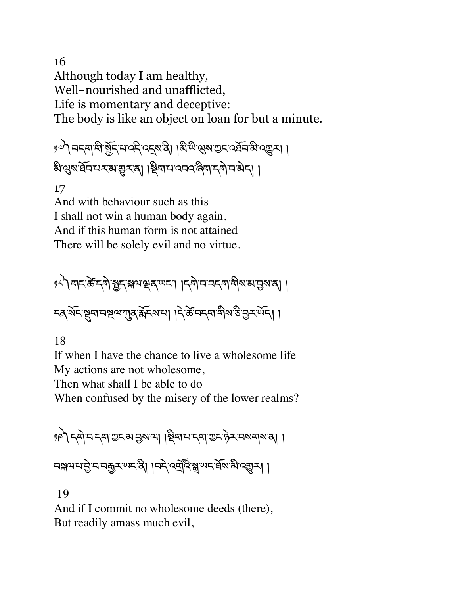16 Although today I am healthy, Well-nourished and unafflicted, Life is momentary and deceptive: The body is like an object on loan for but a minute.

ঁ৯) নৰ্দ্ৰাস্থ্ৰ ষ্ট্ৰন্দ নৰ্দ্দ বৰ্দ্দৰ ৰাখি ৰিক্ষা ক্ৰম প্ৰদাস কৰি বিষয়া। ষিওৰার্ষ্ট মেখ্যা । দিখা এবেগুৰা বিদ্যালয় ।

17

And with behaviour such as this I shall not win a human body again, And if this human form is not attained There will be solely evil and no virtue.

१८) बाद केंदवो बुद अथञ्चलयन। ।दवो न नदवा बील अञ्चल बा ८३ মহর্স্ম নম্বর্শ শ্রম স্থার বিদ্যালী । দিক্ষা একা বিদ্যালী ।

18

If when I have the chance to live a wholesome life My actions are not wholesome,

Then what shall I be able to do

When confused by the misery of the lower realms?

১৬) < ব্যান < মাক্ত ৰা ব্ৰিমান < মাক্ট ব্যান হাৰী । ন্সাপন্ট নন্দ্রু মাদস্ত্রী ।নদ্র ওর্ত্রু স্লা ঋদ প্র্যাপ্তা ।

19

And if I commit no wholesome deeds (there), But readily amass much evil,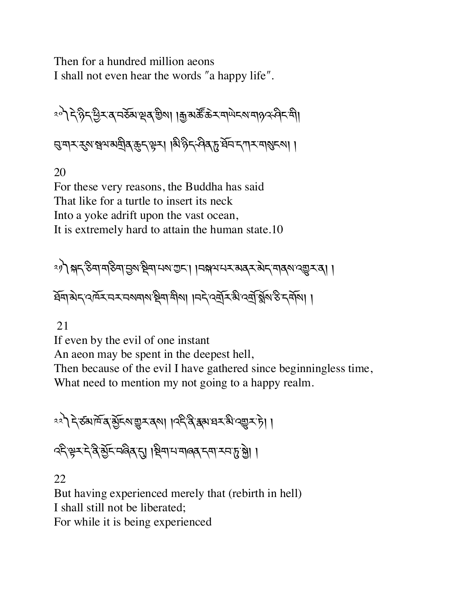Then for a hundred million aeons I shall not even hear the words "a happy life".

༢༠༽དེ་ཉིད་Cིར་ན་བཅོམ་çན་aིས། །\$་མཚ¶་ཆ¬ར་གཡེངས་གཉའ་ཤིང་གི། g་གར་nས་Ãལ་མtིན་8ད་kར། །མི་ཉིད་ཤིན་d་ཐོབ་དཀར་གÜངས། །

20

For these very reasons, the Buddha has said That like for a turtle to insert its neck Into a yoke adrift upon the vast ocean, It is extremely hard to attain the human state.10

༢༡༽(ད་ཅིག་གཅིག་6ས་Pིག་པས་Iང་། །བ(ལ་པར་མནར་མེད་གནས་འ\_ར་ན། ། ཐོག་མེད་འཁོར་བར་བསགས་Pིག་གིས། །བདེ་འtོར་མི་འt,་éuས་ཅི་དགོས། །

21

If even by the evil of one instant

An aeon may be spent in the deepest hell,

Then because of the evil I have gathered since beginningless time, What need to mention my not going to a happy realm.

$$
1
$$
  $3$   $3$   $4$   $5$   $6$   $3$   $7$   $3$   $6$   $3$   $6$   $3$   $6$   $3$   $6$   $3$   $6$   $3$   $6$   $3$   $6$   $3$   $6$   $3$   $6$   $3$   $6$   $3$   $6$   $3$   $6$   $3$   $6$   $3$   $6$   $3$   $6$   $3$   $6$   $3$   $6$   $3$   $6$   $3$   $6$   $3$   $6$   $3$   $6$   $3$   $6$   $3$   $6$   $3$   $6$   $3$   $6$   $3$   $6$   $3$   $6$   $3$   $6$   $3$   $6$   $3$   $6$   $3$   $6$   $3$   $6$   $3$   $6$   $3$   $6$   $3$   $6$   $3$   $6$   $3$   $6$   $3$   $6$   $3$   $6$   $3$   $6$   $3$   $6$   $3$   $6$   $3$   $6$   $3$   $6$   $3$   $6$   $3$   $6$   $3$   $6$   $3$   $6$   $3$   $6$   $3$   $6$   $3$  

२६३ स्ट्रेन्ट्रेन्ट्रे बुँद्रम्भविद् हु। । क्षित्रा समावद् दत्ता उत्तर् हु हु। ।

22

But having experienced merely that (rebirth in hell) I shall still not be liberated; For while it is being experienced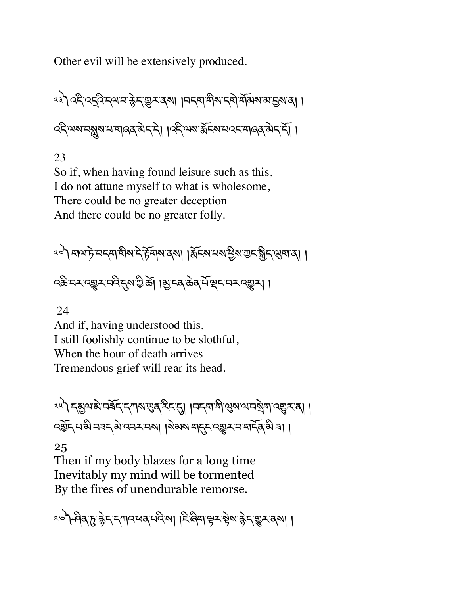Other evil will be extensively produced.

༢༣༽འདི་འîའི་དལ་བ་cེད་\_ར་ནས། །བདག་གིས་དགེ་གོམས་མ་6ས་ན། ། འདི་ལས་བæས་པ་གཞན་མེད་དེ། །འདི་ལས་ïོངས་པའང་གཞན་མེད་དོ། །

23

So if, when having found leisure such as this, I do not attune myself to what is wholesome, There could be no greater deception And there could be no greater folly.

༢༤༽གལ་ཏེ་བདག་གིས་དེ་rོགས་ནས། །ïོངས་པས་Cིས་Iང་ƒིད་Qག་ན། ། འཆི་བར་འ\_ར་བའི་\*ས་Iི་ཚè། །õ་ངན་ཆེན་པོ་çང་བར་འ\_ར། །

 24 And if, having understood this, I still foolishly continue to be slothful, When the hour of death arrives Tremendous grief will rear its head.

༢༥༽དõལ་མེ་བཟོད་དཀས་äན་རིང་\*། །བདག་གི་Qས་ལ་བKེག་འ\_ར་ན། ། ব্র্স্তিন্'ম'ঝ'নৰন্'ঝ'ব্বেম'নমা ।মৰম'মান্দ্র'ব্র্মুম'ন'মার্ন্কি'ঝ'ৰা ।

25

Then if my body blazes for a long time Inevitably my mind will be tormented By the fires of unendurable remorse.

<u><</u>ेक्षित्रुहुन्द्रन्दगादयब्ध्वेदा। हिल्लिमाञ्चर ष्ठेशन्नेद्रुषुरुद्रशा ।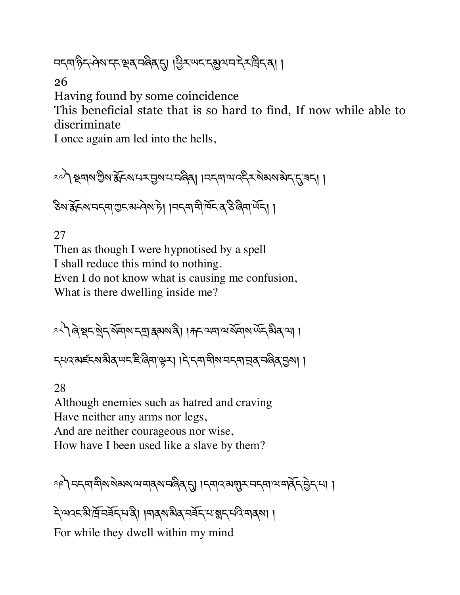¤ন্মণ্ঠন্দ্প্ৰমন্দ্স্ৰেৰ্'নৰ্জ্জি'ন্ম। শ্ৰিম'ঋন'ন্মুশন'ন্ম'ৰ্মা ।

26

Having found by some coincidence

This beneficial state that is so hard to find, If now while able to discriminate

I once again am led into the hells,

ং৺) প্ৰুশ্ম ট্টিম'ৰ্ম্নিম'থেস্'ন্ৰাজ্জ্বৰ । । নন্দা অ'ব্লেস্কেম্'ৰ্মা মা

উথ'ৰ্ক্সনম'ন অ' অ'ন কৰা হা । । । मनमा मौर्मन क रु बिमा र्पेन। ।

27

Then as though I were hypnotised by a spell I shall reduce this mind to nothing. Even I do not know what is causing me confusion, What is there dwelling inside me?

ং১) জিন্থন মুন মন্যা ক্ষেপ্ত ৰা । দান অব্যাত মন্যা এক স্থিপতা । ८५२४ हेट्स्य से बुष्य है दिना से ना । दे दवा मोबा नदमा मुबा न दिन हो ।।

28

Although enemies such as hatred and craving Have neither any arms nor legs, And are neither courageous nor wise, How have I been used like a slave by them?

༢༩༽བདག་གིས་སེམས་ལ་གནས་བཞིན་\*། །དགའ་མNར་བདག་ལ་གནོད་6ེད་པ། །

देखददशेखें मर्बेद संदी। बिथियार के संदिग्धान के संदिग्य For while they dwell within my mind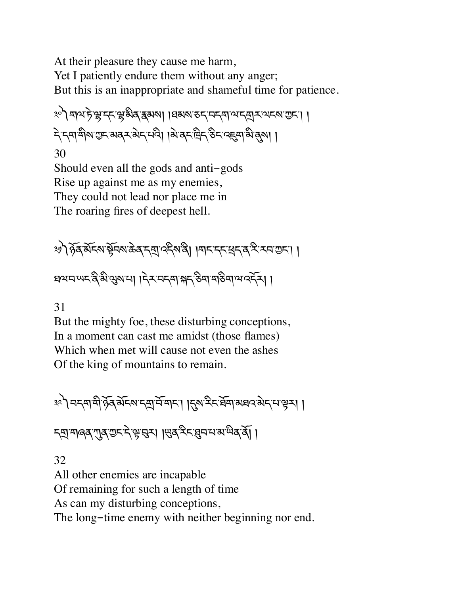At their pleasure they cause me harm, Yet I patiently endure them without any anger; But this is an inappropriate and shameful time for patience.

༣༠༽གལ་ཏེ་Å་དང་Å་མིན་{མས། །ཐམས་ཅད་བདག་ལ་དtར་ལངས་Iང་། ། དེ་དག་གིས་Iང་མནར་མེད་པའི། །མེ་ནང་ིད་ཅིང་འ@ག་མི་Æས། ། 30 Should even all the gods and anti-gods

Rise up against me as my enemies, They could not lead nor place me in The roaring fires of deepest hell.

༣༡༽ཉོན་མོངས་bོབས་ཆེན་དt་འདིས་ནི། །གང་དང་~ད་ན་རི་རབ་Iང་། ། ཐལ་བ་ཡང་ནི་མི་Qས་པ། །དེར་བདག་(ད་ཅིག་གཅིག་ལ་འདོར། །

#### 31

But the mighty foe, these disturbing conceptions, In a moment can cast me amidst (those flames) Which when met will cause not even the ashes Of the king of mountains to remain.

༣༢༽བདག་གི་ཉོན་མོངས་དt་བོ་གང་། །\*ས་རིང་ཐོག་མཐའ་མེད་པ་kར། །

ন্ম মাৰ্ক শ্ৰুণ ভূম দুৰ্দ্ৰ দুৰ্দ্ৰ দুৰ্দ্ৰ দুৰ্দ্ৰ দুৰ্দ্ৰ দুৰ্দ্ৰ দুৰ্দ্ৰ দুৰ্দ্ৰ দুৰ্দ্ৰ দুৰ্দ্ৰ দুৰ্দ্ৰ দু

#### 32

All other enemies are incapable Of remaining for such a length of time As can my disturbing conceptions, The long-time enemy with neither beginning nor end.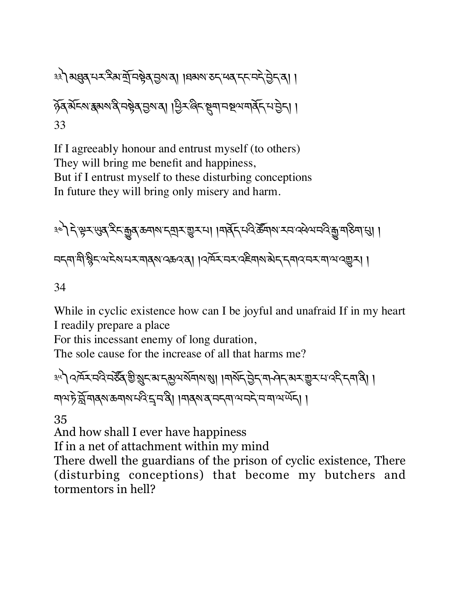༣༣༽མqན་པར་རིམ་tོ་བbེན་6ས་ན། །ཐམས་ཅད་ཕན་དང་བདེ་6ེད་ན། ། ཉོན་མོངས་{མས་ནི་བbེན་6ས་ན། །Cིར་ཞིང་Sག་བUལ་གནོད་པ་6ེད། ། 33

If I agreeably honour and entrust myself (to others) They will bring me benefit and happiness, But if I entrust myself to these disturbing conceptions In future they will bring only misery and harm.

༣༤༽དེ་kར་äན་རིང་êན་ཆགས་དtར་\_ར་པ། །གནོད་པའི་ཚ|གས་རབ་འཕེལ་བའི་ê་གཅིག་Ö། ། བདག་གི་ìིང་ལ་ངེས་པར་གནས་འཆའ་ན། །འཁོར་བར་འཇིགས་མེད་དགའ་བར་ག་ལ་འ\_ར། །

34

While in cyclic existence how can I be joyful and unafraid If in my heart I readily prepare a place

For this incessant enemy of long duration,

The sole cause for the increase of all that harms me?

༣༥༽འཁོར་བའི་བཙ|ན་aི་ºང་མ་དõལ་སོགས་Ü། །གསོད་6ེད་ག ཤེད་མར་\_ར་པ་འདི་དག་ནི། ། གལ་ཏེ་sོ་གནས་ཆགས་པའི་«་བ་ནི། །གནས་ན་བདག་ལ་བདེ་བ་ག་ལ་ཡོད། །

35

And how shall I ever have happiness

If in a net of attachment within my mind

There dwell the guardians of the prison of cyclic existence, There (disturbing conceptions) that become my butchers and tormentors in hell?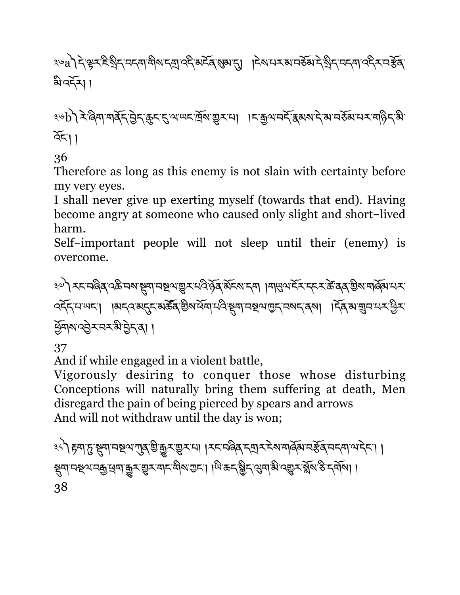### ३७a)देक्ष्ट्रहेशुदादवार्षोषादशुलद्देश्वद्रबुरुषुबाद्गा ।देषामराबानरुबादेशुदावदवार्द्दरावर्हेव् ৯ বর্ম।

<u>৽</u>ড়৳৾ঀ৾ৼ৾৾৻য়য়ড়ৗয়ড়ঢ়ৼড়ৼৼঀৼড়ৼৼড়ড়ড়ড়ৼ৸৸৸৸ৼঀৼ৾৸ৼঀ৽৸ৼ৸ড়  $\widetilde{\mathcal{R}}$ ।

36

Therefore as long as this enemy is not slain with certainty before my very eyes.

I shall never give up exerting myself (towards that end). Having become angry at someone who caused only slight and short-lived harm.

Self-important people will not sleep until their (enemy) is overcome.

<u>३</u>०) रहनबिब दक्षेत्रक स्थानस्रुपसूर परिष्ठेव सेंहरू हम । मासुभद्रे रहन के बब ख़ैरा मार्क्सामर ক্ক্স্মান্দ্রা । । মন্বৰমন্ত্র্য মন্ত্রী অর্থমান্দ্র্য স্মান্দ্র্য একা বিশ্বাস্মান্দ্র্য । বিশ্বাস্মান্দ্র্য Cོགས་འ6ེར་བར་མི་6ེད་ན། །

37

And if while engaged in a violent battle,

Vigorously desiring to conquer those whose disturbing Conceptions will naturally bring them suffering at death, Men disregard the pain of being pierced by spears and arrows And will not withdraw until the day is won;

<u>३</u>८ी हवा हु सुवा मध्य गुब् चुकुर चुरम् । । रहमविब हवार हे अमलिंग महेंब महवा थोहेहा । ইনান্দ্ৰন্দৰ্ভুৰ্ন্নজুম্ভুমন্দ্ৰমিত্ৰমা। অিক্ট্ৰেন্ড্ৰমঞ্জিম্প্ৰমন্ত্ৰীৰ্ত্ত দৰ্শন।। 38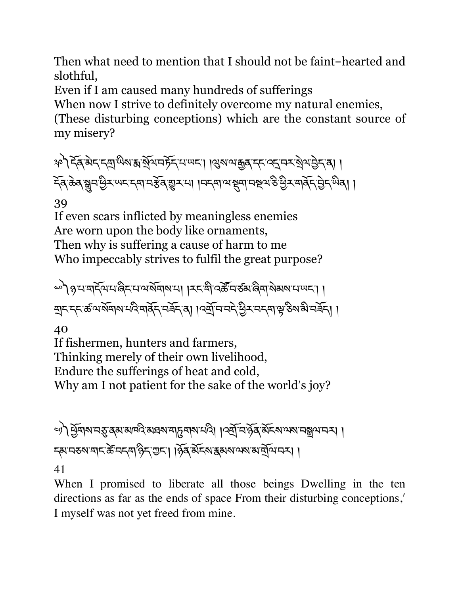Then what need to mention that I should not be faint-hearted and slothful,

Even if I am caused many hundreds of sufferings

When now I strive to definitely overcome my natural enemies, (These disturbing conceptions) which are the constant source of my misery?

<u> अ</u>टी देव बेद द्वार्थिय अर्थेय मर्हेद मण्यदा । युरु यक्कु द्वार द्वाय येथप्रेद वा । ইব্ক্টব্লুনউম্ডম্মেনম্বানষ্টব্ভুম্মা ।নন্দামাষ্থ্ৰানষ্থমঙ্গ্ৰীম্মাৰ্ক্স্ট্ৰেশ্ম্মৰা ।

39

If even scars inflicted by meaningless enemies Are worn upon the body like ornaments, Then why is suffering a cause of harm to me Who impeccably strives to fulfil the great purpose?

༤༠༽ཉ་པ་གདོལ་པ་ཞིང་པ་ལ་སོགས་པ། །རང་གི་འཚ|་བ་ཙམ་ཞིག་སེམས་པ་ཡང་། ། ব্যুনন্দজন্মইন( বিজিপি দেৱী । বিদ্যুন্দি বিজিৎ এক্সিডি বিজিপি বিজি

40

If fishermen, hunters and farmers, Thinking merely of their own livelihood, Endure the sufferings of heat and cold, Why am I not patient for the sake of the world's joy?

༤༡༽Cོགས་བø་ནམ་མཁའི་མཐས་གdགས་པའི། །འtོ་བ་ཉོན་མོངས་ལས་བãལ་བར། ། དམ་བཅས་གང་ཚè་བདག་ཉིད་Iང་། །ཉོན་མོངས་{མས་ལས་མ་tོལ་བར། ། 41

When I promised to liberate all those beings Dwelling in the ten directions as far as the ends of space From their disturbing conceptions, I myself was not yet freed from mine.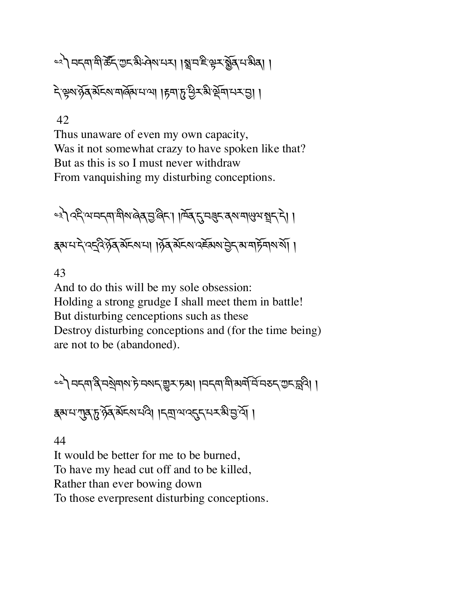# <u><</u><>>> नदमायी के राज्य अन्यान । ब्रानहरू से रुखिता अर्थ ।

নি ক্লম সূর্ব মন্দিম নার্জিনে না। দিনাদি ব্রিম্বার্থ মুদ্রা ।

#### 42

Thus unaware of even my own capacity, Was it not somewhat crazy to have spoken like that? But as this is so I must never withdraw From vanquishing my disturbing conceptions.

ေး) २६ थमदमा बीरा बेब सुर्खिद। । जिब दुमनुदायरा बासुया ब्रुदाने । क्षयमदे दद्देश्वे बेहरूमा । हेर्व बेहरू देखरू हेर अमर्जियार् ।

#### 43

And to do this will be my sole obsession: Holding a strong grudge I shall meet them in battle! But disturbing cenceptions such as these Destroy disturbing conceptions and (for the time being) are not to be (abandoned).

<u></u> ১৯১১ নম্বার্জিন স্পার্ট নম্বান্ডু স্পা । বিদ্যালী সম্মিতি বিদ্যালী । <u> </u> इब्गम गुरु द्वि केंद्र अंदर मध्ये । दब् अक्टू सम्बन्ध के बुर्ख़ ।

#### 44

It would be better for me to be burned, To have my head cut off and to be killed, Rather than ever bowing down To those everpresent disturbing conceptions.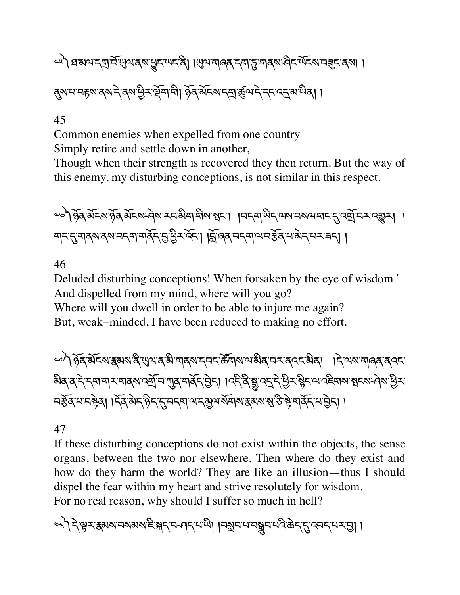## ১৯) প্ৰ ৰুণ নত্ৰা মুখ্য বৰ্ষ শ্ৰুন অনন্তী । অৱসমৰ বিশ্ব দেখা দ্বীন অনন্ত নৰ্থা। ৰ্মমানেচ্নমন্কম দ্বিমাণ্ড্ৰিমাণ্ড্ৰীৰ ষ্ট্ৰমিনমান্মাৰ্জ্ঞান দ্বাৰামীৰা ।

#### 45

Common enemies when expelled from one country Simply retire and settle down in another,

Though when their strength is recovered they then return. But the way of this enemy, my disturbing conceptions, is not similar in this respect.

ৼ৾৾ড়৾ঀৢড়ৼড়ড়য়ড়ড়ৼঢ়৻ড়৸ৼৼৼৼড়ড়ৼঢ়৻৸ড়ৼ৸ড়ৼ৸ড়ৼ৸ড়ৼ৸ড়৸ৼঀৼ৸ৼঀৼঀৼঀ৻৸ৼঀৼঀ৻৸ৼ৸ৼঀৼঀ৻৸ৼ৸ৼঀ৻৸ৼ৸ৼ৻৻ড়৸ मदत्मवरावरामदमामर्वेदमुष्ट्रेरस्ता ।क्लिब् मदमायमर्डव्यमबेदमरबन् ।

46

Deluded disturbing conceptions! When forsaken by the eye of wisdom ʹ And dispelled from my mind, where will you go? Where will you dwell in order to be able to injure me again? But, weak-minded, I have been reduced to making no effort.

ৢ৽৽) हेढ़ सेंद्रु हुमश देखुभद से मानू मदन् रेंजारा भन्ने दायर दिया । देखरा मानूद दाय <u>য়</u>ঀৼ৾ৼৼঀড়ৼয়ঀয়ড়য়৾ড়ৼৗৣঀৼঀ৾ৼৼড়ৼৗৢঀৼড়ৼঀৢয়ৢড়ৼৼড়ৼয়ৼড়ৼয়ৼড়ৼড়ৼড়ৼ নৰ্ক্টৰ্'ম'নষ্ট্ৰৰ্। । দ্ৰ্ৰ'ৰ্মদ'ৰ্গীদ'দ্ৰ'মদ্মা ম'দ্ৰুম'ৰ্মৰাম'ৰ্মুক্ত'ৰ বিদ্যালয়'ৰ্ষ্ট'ৰ মাৰ্ক্সি'ম'ট্ৰদ। ।

#### 47

If these disturbing conceptions do not exist within the objects, the sense organs, between the two nor elsewhere, Then where do they exist and how do they harm the world? They are like an illusion—thus I should dispel the fear within my heart and strive resolutely for wisdom. For no real reason, why should I suffer so much in hell?

<<े दि'क्ष्म् अथानयबायहाञ्चन पदाया। निश्चनातानञ्चनात्रुक्रम् स्ट्रायनम् अभा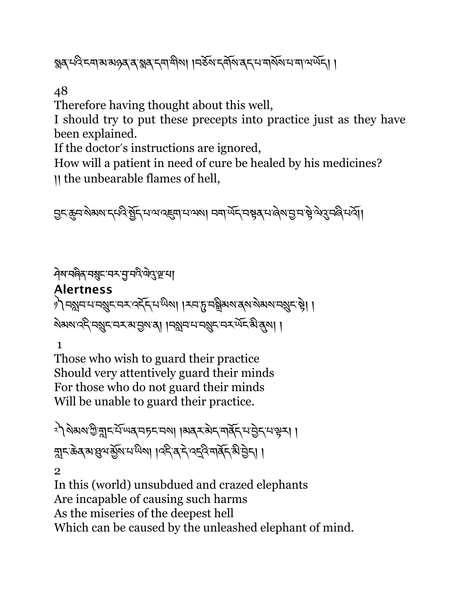হ্মব্দ্পিন্দামান্ত্ৰ ব্যস্ত্ৰৰ হুম্বন্দিৰী । । নৰ্হৰ নৰ্মৰ ব্যস্ত্ৰৰ মানাক্ষৰ দাস্ত্ৰ

48

Therefore having thought about this well,

I should try to put these precepts into practice just as they have been explained.

If the doctor's instructions are ignored,

How will a patient in need of cure be healed by his medicines? །། the unbearable flames of hell,

त्त्र्ह्म्यारोअराम् मदिष्कुम् मात्रादह्म्यामात्राशा मनार्थेम् मञ्चतमालेरामुन्यञ्चे लेदमलिमत्री।

<u>৾</u>ঀेष'यबैुब्'यब्रु्ट'यर्'यु'यदे'लेदुःख्'या **Alertness** े) नश्चिनमानञ्जूनमन्दर्दनमध्येषा । स्वर्गुम् नञ्जलारुखारमञ्जूनम् । । <u> ষ্</u>পৰা বৰ্ত্ত এক্সামেন্দ্ৰী । এখন এক্সামেন্দ্ৰী প্ৰদেশী । 1

Those who wish to guard their practice Should very attentively guard their minds For those who do not guard their minds Will be unable to guard their practice.

ং) মৰমাত্ৰীয়ানমিন্দৰ নচনাৰ ৷ ৷ ৰাৰ্মকীন মৰ্ষিদ নাট্টন নাট্টন। দ্নান্ক্ৰিক্সাম্ন্ৰ্স্মজ্যমন্দ্ৰীয়া । ব্ৰিক্সাম্বৰ্ত্ত্ব্বিজিটিভা ।

2 In this (world) unsubdued and crazed elephants Are incapable of causing such harms As the miseries of the deepest hell Which can be caused by the unleashed elephant of mind.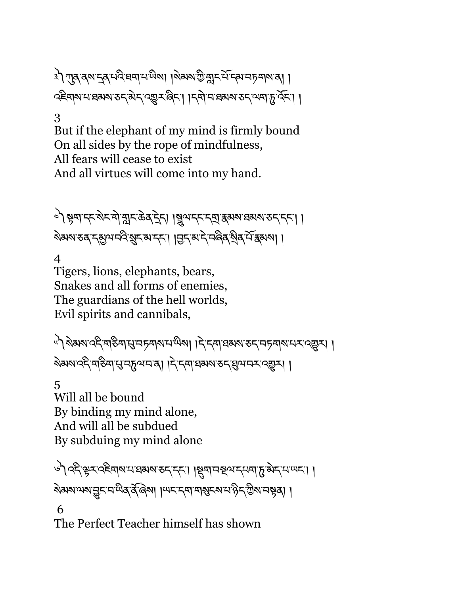३) শূব্র্ষদ্র্ব্য মন্বি ঘ্রশ মার্জিকা। বিষমা জীব্রান মন্দির অনুসামার।। २६सारामासमया उदलेन २ अन्य के १ । दिना माम अरु उदा । ।

#### 3

But if the elephant of my mind is firmly bound On all sides by the rope of mindfulness, All fears will cease to exist And all virtues will come into my hand.

༤༽bག་དང་སེང་གེ་oང་ཆེན་îེད། ། ལ་དང་དt་{མས་ཐམས་ཅད་དང་། ། ষ্মম ত্ৰ দ্মুণ নবি খুদ মাদ্দ। ।মুদ মাদ্দ নৰ্জ্ন শ্ৰিষ শিক্ষমা।

4

Tigers, lions, elephants, bears, Snakes and all forms of enemies, The guardians of the hell worlds, Evil spirits and cannibals,

িশী ষ্টমম'ৰ্ব্ম'ন্বাইন্স'মু'নচুন্দাম'শ্মিমা । ব'ব্ৰা'ব্ৰম্ম'তব'নচনাম'ন্বেম্ভুস্। । ষ্টিম বিলি বিলি বিলি প্ৰায় কৰি । বিলি বিলি বিলি বিলি বিলি প্ৰায় কৰি ।

5 Will all be bound By binding my mind alone, And will all be subdued By subduing my mind alone

```
७) २६३ २५ २६ कार्य संस्था २६८ र दिए । असे अर्थवार से प्रशिक्षा ।
ষমমানমান্ত্ৰণাৰ বিৰিমা । অনন্দাৰ বিৰোক্ত বিৰোক্ত বিৰোধ
 6
```
The Perfect Teacher himself has shown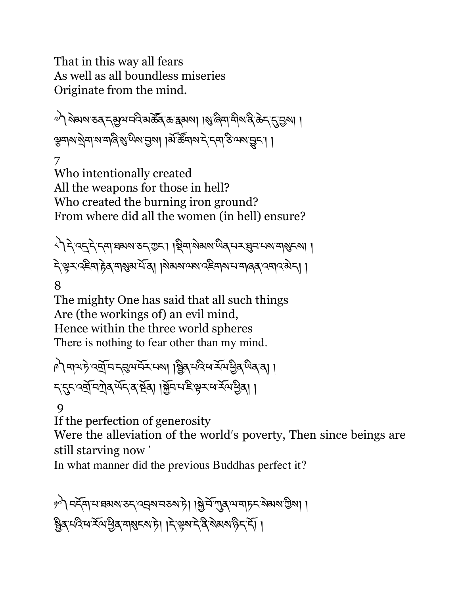That in this way all fears As well as all boundless miseries Originate from the mind.

 $\omega$ ) ବିଧାବା ଚବ୍' । ଏଇଁ ଏକ୍ଟିଆ । ଏହି ଏକା । ଏକି ଏକା ସ୍ଥାନ ବିତ୍ୟା । ଏ ইনাথ্যন্থনা মান্ত্রি প্রান্ত্রা এ, ছিন্না দুরু দ্বা হ্রা সমান্ত্রী।

7 Who intentionally created All the weapons for those in hell? Who created the burning iron ground? From where did all the women (in hell) ensure?

८) देख्नुदेखाञ्चर उदरण्टा। श्रियारोगया प्रवास्त्र सुमाराया मुखरु । देखूर दहना हेब माराया में बा । बेबस समय दहना माना क्षेत्र । ।

8

The mighty One has said that all such things Are (the workings of) an evil mind, Hence within the three world spheres There is nothing to fear other than my mind.

ৃটী মাম'ট ও্ম্ৰ্লিম'ম্মুমম্ৰ মাজৰ ৷ | ম্ব্ৰিম'ম্বিম'ৰ্ম্মুৰ'ম্বি' মাজৰ বা ད་\*ང་འtོ་བ°ེན་ཡོད་ན་Uོན། །fོབ་པ་ཇི་kར་ཕ་རོལ་Cིན། །

9

If the perfection of generosity

Were the alleviation of the world's poverty, Then since beings are still starving now ʹ

In what manner did the previous Buddhas perfect it?

��ী নৰ্দ্ৰমান্দ্ৰমৰাকন বন্নৰানকৰা চাঁ। ৰিম্নি আৰু অন্যচন ৰামৰা গ্ৰীৰা। । ষ্ট্রিব্ নবি নর্ ইনে দ্রিব নাম্বনমাটা। দিক্ষমান বি মামমান্ত দি ।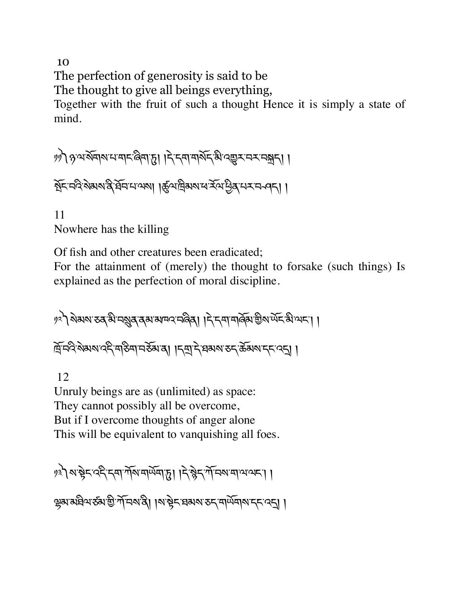10 The perfection of generosity is said to be The thought to give all beings everything, Together with the fruit of such a thought Hence it is simply a state of mind.

༡༡༽ཉ་ལ་སོགས་པ་གང་ཞིག་d། །དེ་དག་གསོད་མི་འ\_ར་བར་བÆད། ། ইন নবি ৰামান্ত্ৰ ইনি নাক্ষা । কুঁঅন্ৰিমৰ নবি প্ৰিৰ নৰ নবন। ।

11 Nowhere has the killing

Of fish and other creatures been eradicated;

For the attainment of (merely) the thought to forsake (such things) Is explained as the perfection of moral discipline.

ৃঃ ) থৰামাত্তৰ স্নামৰ বিশ্বাসনে প্ৰাণী । দুদ্ৰা নাৰ্ভুমা জীৱনী । দ্রিন্দ্রই মর্মান্ত বিদ্যান কৰা । বিদ্রা দ্রায়া কর্মান্ত কর্মিমান্দ বেন।

12

Unruly beings are as (unlimited) as space: They cannot possibly all be overcome, But if I overcome thoughts of anger alone This will be equivalent to vanquishing all foes.

१३) राष्ट्रेद दिन्दमार्गेशियार्प्रेया हु । दिल्लेद गाँ मरायात्रात्रा । ৼ्युब्राब्रथियरुब्रा ग्री मन्यादी। । अञ्चे स्वब्य उदयार्थ्य बाल्य दिन् ।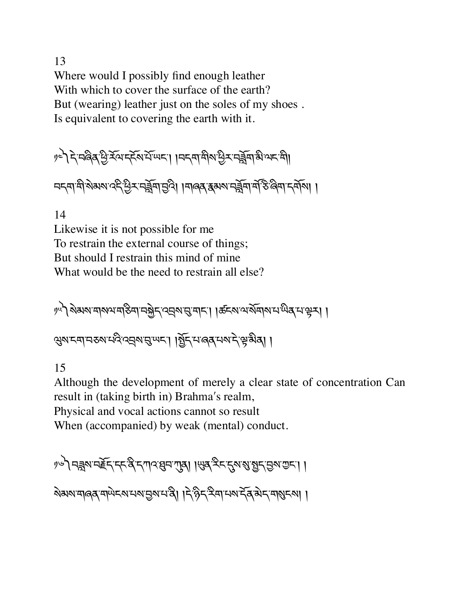13 Where would I possibly find enough leather With which to cover the surface of the earth? But (wearing) leather just on the soles of my shoes . Is equivalent to covering the earth with it.

ৃৎ) दे चलित पुरस्का संस्था । । मन्त्रा मीरा पुर मुर्जुमा अे अन्या নন্দাশী ৰাজ্য বন্দী ইন্দুৰা নিৰ্তা । নাৰৰ স্কুৰা নৰ্ভ্লি জিলা নৰ্মাণ।

14

Likewise it is not possible for me To restrain the external course of things; But should I restrain this mind of mine What would be the need to restrain all else?

༡༥༽སེམས་གསལ་གཅིག་བfེད་འáས་g་གང་། །ཚངས་ལ་སོགས་པ་ཡིན་པ་kར། ། ঞ্জম'ম্বা'নহুম'ন্ব্ৰি'বন্নুম'ন্মু'ম'ন্বি','ন'ৰ্জ্ৰ'নম'ন্'শ্লুস্কাৰা ।

15

Although the development of merely a clear state of concentration Can result in (taking birth in) Brahma's realm,

Physical and vocal actions cannot so result

When (accompanied) by weak (mental) conduct.

१७) नङ्गल महूर दरक्षे र गाउँ विनागव। । सब देर र स्ला ब्रै र विना कर। ।

ষ্মমানৰে নাউচ্চান কৰা দুৰ্গ নাই। দুৰ্গ দুৰ্গ দুৰ্গ দুৰ্গ দুৰ্গ দুৰ্গ দুৰ্গ দুৰ্গ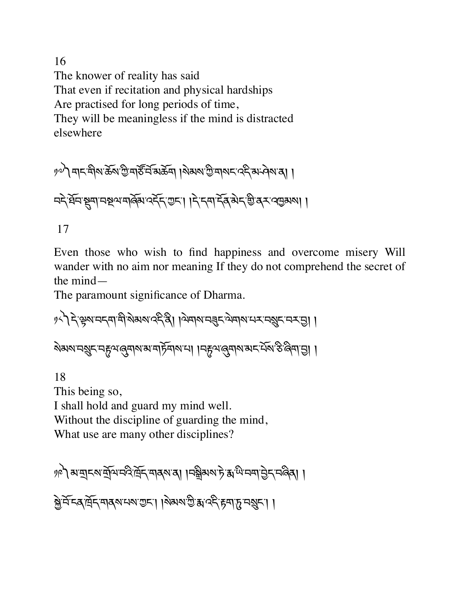16 The knower of reality has said That even if recitation and physical hardships Are practised for long periods of time, They will be meaningless if the mind is distracted elsewhere

��ী নাম নীৰা ভূঞা আৰু বিভিন্ন দিয়া ৰাজ্য আৰু বিভিন্ন প্ৰদেশ পৰা নই ষ্ট্ৰন ষ্ট্ৰমানষ্ট্ৰমান্ত্ৰিমান্ত্ৰ দিয়ালা। । দিক্ষা দ্বীৰ মাৰ্ট ৰক্ষাৰ ৰাজ্য 17

Even those who wish to find happiness and overcome misery Will wander with no aim nor meaning If they do not comprehend the secret of the mind—

The paramount significance of Dharma.

१८) दे स्रेश वदवा सु अरुष उद्दे थे । ज़्याय वर्डर ज़र्याय तर वर्षर वर वि। । ऄॺॺॱॸॺॣॸॱॸॸॖॺख़ॣॸॺॎॱॺॱॸॸॎॕॖॺॺॱॻऻॱॸॎड़ॴख़ॣॺॺॎॱॺॸॱऄ॔ॺॱऄॱऄज़ॱॶऻ

18 This being so, I shall hold and guard my mind well. Without the discipline of guarding the mind, What use are many other disciplines?

ৃ/? মম্মদম্মুনিদ্দ্বিদ্দ্বাৰ্মৰ। ।নষ্ট্ৰমম্ট য়াঁ শিদ্ৰান্ত্ৰ দ্বিৰা। क्रे मॅम्बलॅंड् मार्ग मार्ग । अब्य स्ट्रे मार्ग के मार्ग महाना।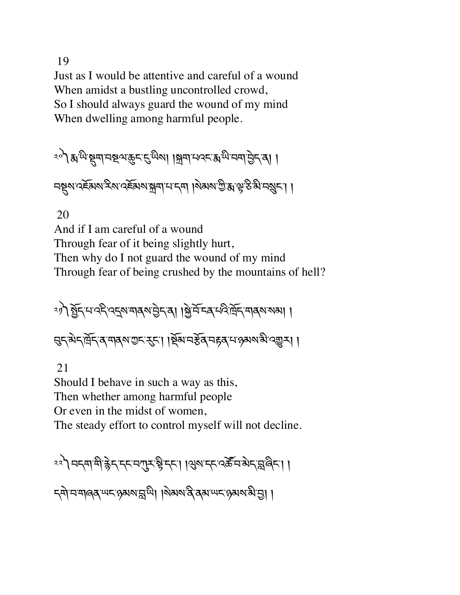19

Just as I would be attentive and careful of a wound When amidst a bustling uncontrolled crowd, So I should always guard the wound of my mind When dwelling among harmful people.

ংশী স্থান্ত ভিনেতি আৰু প্ৰায়া আৰু বিভাগৰ পৰি বিভাগৰ পৰি বিভাগৰ পৰি বিভাগৰ পৰি বিভাগৰ পৰি বিভাগৰ পৰি বিভাগৰ পৰ<br>বিভাগৰ পৰি বিভাগৰ পৰি বিভাগৰ পৰি বিভাগৰ পৰি বিভাগৰ পৰি বিভাগৰ পৰি বিভাগৰ পৰি বিভাগৰ পৰি বিভাগৰ পৰি বিভাগৰ পৰি নম্বুম ব্ৰ্ম্ভমম ইম ব্ৰ্ম্ভিমম স্ক্ৰম দেশ । ৰিষম গ্ৰীষ্ম দ্বীক্ষম নৰ্থন। ।

20

And if I am careful of a wound Through fear of it being slightly hurt, Then why do I not guard the wound of my mind Through fear of being crushed by the mountains of hell?

ং) মূর্দ্ম এই ব্রেম নার্মান্ত্রন বা । মুর্মি দেব এই দ্রিদ নার্মা মন্ত্রা। मुद्रु बेदार्मुद्र व मावरु गुद्र रहा। ।र्षेत्र महेव महव मा अया बी दशुन्। ।

21

Should I behave in such a way as this, Then whether among harmful people Or even in the midst of women, The steady effort to control myself will not decline.

<u><<ी नद्दमाञ्ची क्लेदाद्दानगुरुङ्केद्दा ।अरुपद्दावरूद्विज्ञेदाङ्ग</u>लैदा ।

དགེ་བ་གཞན་ཡང་ཉམས་s་ཡི། །སེམས་ནི་ནམ་ཡང་ཉམས་མི་6། །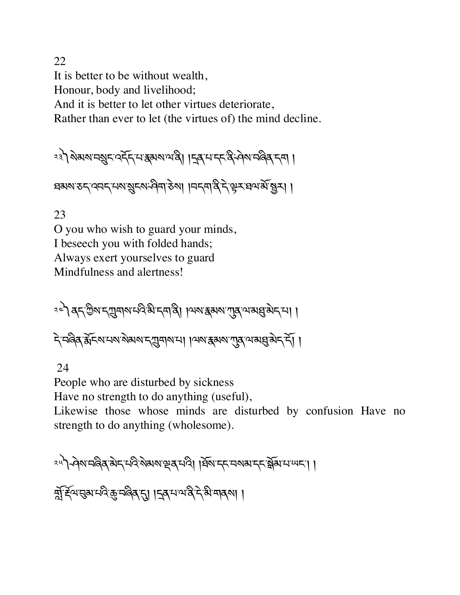22 It is better to be without wealth, Honour, body and livelihood; And it is better to let other virtues deteriorate, Rather than ever to let (the virtues of) the mind decline.

༢༣༽སེམས་བºང་འདོད་པ་{མས་ལ་ནི། །îན་པ་དང་ནི་ཤེས་བཞིན་དག །

ঘঝমাতন, বেনন, নামাইনিসম্বৰ, কুমা । নৰ্দ্ৰ, ধুৰ, ৰিন, মুখ্য গ্ৰিম।

23

O you who wish to guard your minds, I beseech you with folded hands; Always exert yourselves to guard Mindfulness and alertness!

ংশ ব্ৰদ্ৰ শ্ৰীষ্ম দুয়াৰাৰ অধীন নাৰী । অমান্তৰ অৱত্যা বিদ্যালয়ৰ বিদ্যালয়

दे मलेव केंद्र अमयशोग देवाबार मा । अरु स्थल ग्रह अवसु बेद दो।

24

People who are disturbed by sickness

Have no strength to do anything (useful),

Likewise those whose minds are disturbed by confusion Have no strength to do anything (wholesome).

༢༥༽ཤེས་བཞིན་མེད་པའི་སེམས་çན་པའི། །ཐོས་དང་བསམ་དང་Zོམ་པ་ཡང་། །

সুস্থিসমূৰ প্ৰতিষ্কৃত কৰি বুল বিশ্বৰ শৰ্মী ।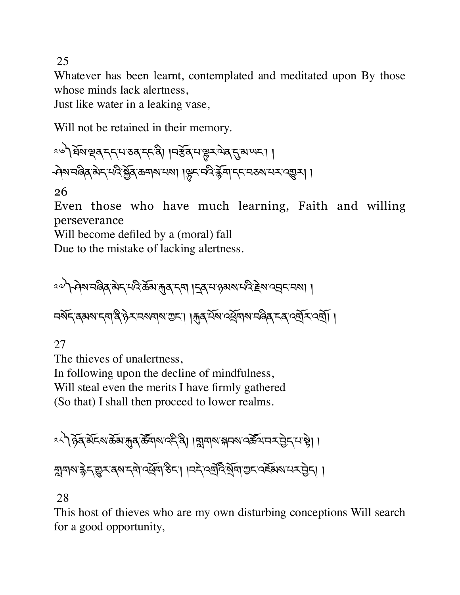25

Whatever has been learnt, contemplated and meditated upon By those whose minds lack alertness,

Just like water in a leaking vase,

Will not be retained in their memory.

ং৺ৌ ষ্ট্ৰমন্থে বৃদ্দেশ্য তৰ্'দ্দেত্তী। ।নৰ্ষ্টৰ্'মন্থে মণ্ড্ৰমন্থে দুৰুখ অদ্যা। - প্ৰমান্ত্ৰিক ৰাবাৰ ক্ষুত্ৰি ক্ৰমাৰা নাৰ। । দ্লিন নবি ক্লমা নেনে নেন্দ্ৰে ।

26

Even those who have much learning, Faith and willing perseverance

Will become defiled by a (moral) fall

Due to the mistake of lacking alertness.

ং৺ ) প্ৰমানৰ্জিষ্ মন্দ্ৰ মন্ত্ৰী ক্ৰমান্ত্ৰ মন্ত্ৰী ৷ বিৰ্মাণ্ডৰ মন্ত্ৰী ৰাজ্যৰ বিৰ্মাণ্ডৰ মান

নৰ্মন্ব্ৰমমান্নাৰ্ষ্টি, কুমানমামাত্তন। ৷ মুৰ্মিমান্ৰ্ৰ্মৰামান্ত্ৰিৰ দৰ্শন্মৰ্শ্য।

27

The thieves of unalertness,

In following upon the decline of mindfulness,

Will steal even the merits I have firmly gathered

(So that) I shall then proceed to lower realms.

ক্ষী গুৰুৰ মাৰ্গ কৰা প্ৰাৰম্ভিত ৰাজ্য প্ৰশ্নী । বিভিন্ন প্ৰস্থা প্ৰস্তিত প্ৰতি কৰি দিয়া । ন্নানাম'ক্কेন্'ভ্ৰুন'ৰ্ম'ন্না'ৰ্শ্ৰন'ঠন'। ।নন্দৰ্শনিষ্মাত্ম'ৰ্শ্লিমম'ন্নাইনা।

28

This host of thieves who are my own disturbing conceptions Will search for a good opportunity,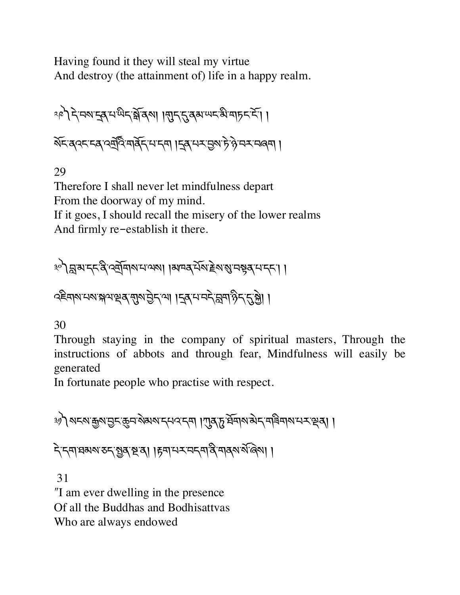Having found it they will steal my virtue And destroy (the attainment of) life in a happy realm.

༢༩༽དེ་བས་îན་པ་ཡིད་Zོ་ནས། །Nད་\*་ནམ་ཡང་མི་གཏང་ངོ་། ། སོང་ནའང་ངན་འt,འ.་གནོད་པ་དག །îན་པར་6ས་ཏེ་ཉེ་བར་བཞག །

29

Therefore I shall never let mindfulness depart From the doorway of my mind. If it goes, I should recall the misery of the lower realms And firmly re-establish it there.

༣༠༽s་མ་དང་ནི་འtོགས་པ་ལས། །མཁན་པོས་Tེས་Ü་བbན་པ་དང་། ། འཇིགས་པས་(ལ་çན་Nས་6ེད་ལ། །îན་པ་བདེ་sག་ཉིད་\*་fེ། །

30

Through staying in the company of spiritual masters, Through the instructions of abbots and through fear, Mindfulness will easily be generated

In fortunate people who practise with respect.

༣༡༽སངས་\$ས་6ང་8བ་སེམས་དཔའ་དག །Lན་d་ཐོགས་མེད་གཟིགས་པར་çན། ། ন্দ্ৰাঘ্নমান্ত ৰাষ্ট্ৰৰ পৰা ৷ দিমান্দৰ নদৰী ৰাৰ্থ মূৰ্ত্তি ৷ । 31 ʺI am ever dwelling in the presence

Of all the Buddhas and Bodhisattvas

Who are always endowed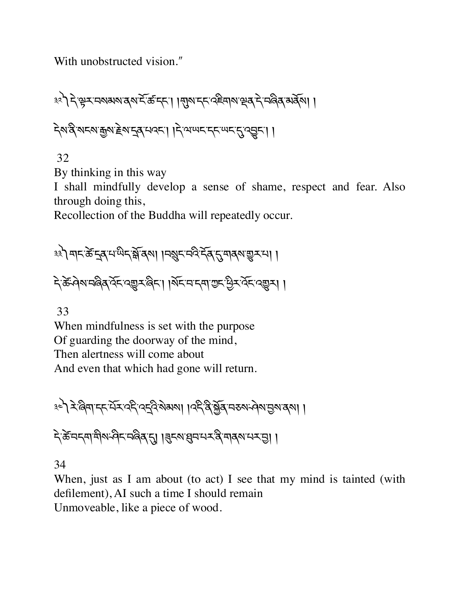With unobstructed vision."

༣༢༽དེ་kར་བསམས་ནས་ངོ་ཚ་དང་། །Nས་དང་འཇིགས་çན་དེ་བཞིན་མནོས། ། དེས་ནི་སངས་\$ས་Tེས་îན་པའང་། །དེ་ལ་ཡང་དང་ཡང་\*་འVང་། །

32

By thinking in this way

I shall mindfully develop a sense of shame, respect and fear. Also through doing this,

Recollection of the Buddha will repeatedly occur.

<u>३३) बाद केन्दुब् सायन क्षेत्र ब</u>ा । मशुरामदे देव दुमाबुषा शुरामा । देऊँ-वेषामदिवार्येदारसुमार्बेदा। ।र्षेदामादमाराद्मिर्थेदारसुमा ।

33

When mindfulness is set with the purpose Of guarding the doorway of the mind, Then alertness will come about And even that which had gone will return.

༣༤༽རེ་ཞིག་དང་པོར་འདི་འîའི་སེམས། །འདི་ནི་fོན་བཅས་ཤེས་6ས་ནས། །

देकें चन्त्रा बीरा सीन न बिबार । बिन्यार्थन न दे बाबरा मन्त्रा ।

34

When, just as I am about (to act) I see that my mind is tainted (with defilement), AI such a time I should remain Unmoveable, like a piece of wood.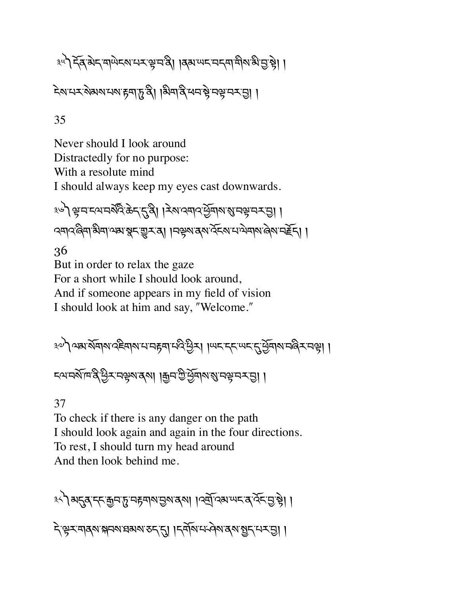<u> ३५</u>) देव बेद माणेदरामर सम्बन्धे । विवाणदमदमामील बीजु से। ।

২মানের্সামানমাদ্নমাট্রপ্র। দ্বির্মাপ্ত মেন্দ্রী এই বিষ্টা প্রা

35

Never should I look around Distractedly for no purpose: With a resolute mind I should always keep my eyes cast downwards.

३७) भ्रमस्यमर्थेदि: केन्'नुवि। । रेशययादर्भेत्राश्रमभ्रमस्य सु। । २मा२ बिमा अमा असा सूम सूम त्या । मक्ष्म त्या देन मा नेमाया बेया महेन्। ।

36

But in order to relax the gaze For a short while I should look around, And if someone appears in my field of vision I should look at him and say, "Welcome."

༣༧༽ལམ་སོགས་འཇིགས་པ་བrག་པའི་Cིར། །ཡང་དང་ཡང་\*་Cོགས་བཞིར་བk། ། ངལ་བསོ་ཁ་ནི་Cིར་བkས་ནས། །\$བ་Iི་Cོགས་Ü་བk་བར་6། །

37

To check if there is any danger on the path I should look again and again in the four directions. To rest, I should turn my head around And then look behind me.

३५) अनुवान कुंचा हु महमारा छुत्रा देवा । । दर्बो देवा थम वार्वेन छुन्ने। । देखरमावराश्चानवाद्या हुन्दा । दर्वायामनेवादवाञ्चनम्बन्ध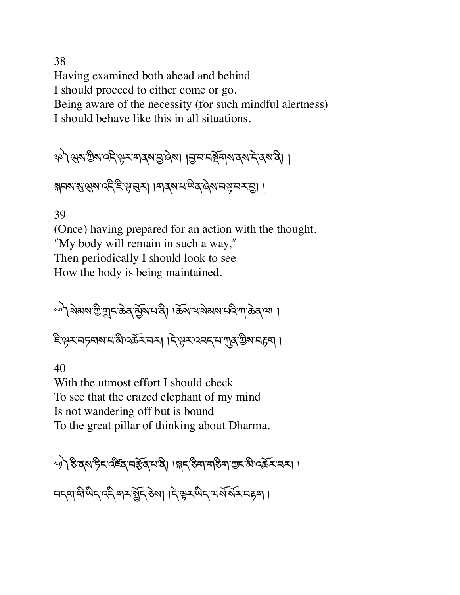38 Having examined both ahead and behind I should proceed to either come or go. Being aware of the necessity (for such mindful alertness) I should behave like this in all situations.

ষ্ণ) থৰু জ্ঞা বহ্ল স্কুম নাৰ্থ নিজ্জা । বি ন নৰ্ছনাৰ প্ৰদৰ্শ প্ৰৰাষ্ট্ৰ। ।

ক্সবম্মন্ত্ৰ প্ৰমাণ কৰি জিত্ৰ পৰা । নাৰ্বৰ ন্যান্ত্ৰ ৰেমান্ক্ৰ নৰ ত্ৰী।

39

(Once) having prepared for an action with the thought, "My body will remain in such a way," Then periodically I should look to see How the body is being maintained.

ৃণী থপৰা ক্ৰীৱাই ভূগিয়াৰ বিৰাপক বিৰোধ কৰি পৰি পৰি বিৰোধী ৷ दिः सेर् वर्षे बोल मुख्य प्रभुर स्था। इं. केर उसर त्र ब्राग्रे कुल वर्षे ।

40

With the utmost effort I should check To see that the crazed elephant of my mind Is not wandering off but is bound To the great pillar of thinking about Dharma.

্গ) উত্তম চিন বৰ্ষৰ নক্টৰ নত্ত্ব। ।সন্ ক্ৰম নত্ত্বি আৰু স্কুৰ নৰ। ।

নন্দান্দী অন্তর্জন কৰা । নিষ্ট্রন অন্যান্দিক বিদ্যা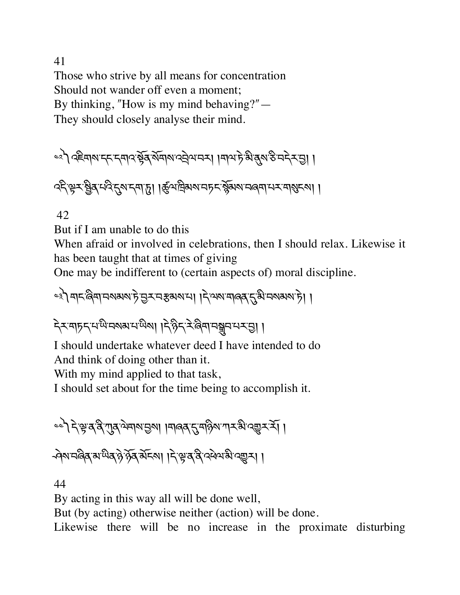41 Those who strive by all means for concentration Should not wander off even a moment; By thinking, "How is my mind behaving?" $-$ They should closely analyse their mind.

$$
\approx\!\!\int\!\!\!\int\!\!\!\!\int\!\!\!\!\int\!\!\!\!\int\!\!\!\!\int\!\!\!\!\int\!\!\!\!\int\!\!\!\!\int\!\!\!\!\int\!\!\!\!\int\!\!\!\!\int\!\!\!\!\int\!\!\!\!\int\!\!\!\!\int\!\!\!\!\int\!\!\!\!\int\!\!\!\!\int\!\!\!\!\int\!\!\!\int\!\!\!\int\!\!\!\int\!\!\!\int\!\!\!\int\!\!\!\int\!\!\!\int\!\!\!\int\!\!\!\int\!\!\!\int\!\!\!\int\!\!\!\int\!\!\!\int\!\!\!\int\!\!\!\int\!\!\!\int\!\!\!\int\!\!\!\int\!\!\!\int\!\!\!\int\!\!\!\int\!\!\!\int\!\!\!\int\!\!\!\int\!\!\!\int\!\!\!\int\!\!\!\int\!\!\!\int\!\!\!\int\!\!\!\int\!\!\!\int\!\!\!\int\!\!\!\int\!\!\!\int\!\!\!\int\!\!\!\int\!\!\!\int\!\!\!\int\!\!\!\int\!\!\!\int\!\!\!\int\!\!\!\int\!\!\!\int\!\!\!\int\!\!\!\int\!\!\!\int\!\!\!\int\!\!\!\int\!\!\!\int\!\!\!\int\!\!\!\int\!\!\!\int\!\!\!\int\!\!\!\int\!\!\!\int\!\!\!\int\!\!\!\int\!\!\!\int\!\!\!\int\!\!\!\int\!\!\!\int\!\!\!\int\!\!\!\int\!\!\!\int\!\!\!\int\!\!\!\int\!\!\!\int\!\!\!\int\!\!\!\int\!\!\!\int\!\!\!\int\!\!\!\int\!\!\!\int\!\!\!\int\!\!\!\int\!\!\!\int\!\!\!\int\!\!\!\int\!\!\!\int\!\!\!\int\!\!\!\int\!\!\!\int\!\!\!\int\!\!\!\int\!\!\!\int\!\!\!\int\!\!\!\int\!\!\!\int\!\!\!\int\!\!\!\int\!\!\!\int\!\!\!\int\!\!\!\int\!\!\!\int\!\!\!\int\!\!\!\int\!\!\!\int\!\!\!\int\!\!\!\int\!\!\!\int\!\!\!\int\!\!\!\int\!\!\!\int\!\!\!\int\!\!\!\int\!\!\!\int\!\!\!\int\!\!\!\int\!\!\!\int\!\!\!\int\!\!\!\int\!\!\!\int\!\!\!\int\!\!\!\int\!\!\!\int\!\!\!\int\!\!\!\int\!\!\!\int\!\!\!\int\!\!\!\int\!\!\!\int\!\!\!\int\!\!\!\int\!\!\!\int\!\!\!\int\!\!\!\int\!\!\!\int\!\!\!\int\!\!\!\int\!\
$$

ব্হিষ্ণু মুৰ্ষু নবি নুম নৰা দৃ। ।ৰ্জু শদ্ৰিমম নচন স্কুমম নৰ্না ন মাৰামনা।।

42

But if I am unable to do this

When afraid or involved in celebrations, then I should relax. Likewise it has been taught that at times of giving

One may be indifferent to (certain aspects of) moral discipline.

༤༣༽གང་ཞིག་བསམས་ཏེ་6ར་བ[མས་པ། །དེ་ལས་གཞན་\*་མི་བསམས་ཏེ། །

देरमाहन्याये मरायाया । देहेन रेलिमा मञ्जनमय छा।

I should undertake whatever deed I have intended to do And think of doing other than it.

With my mind applied to that task,

I should set about for the time being to accomplish it.

༤༤༽དེ་k་ན་ནི་Lན་ལེགས་6ས། །གཞན་\*་གཉིས་ཀར་མི་འ\_ར་རོ། ། ক্ষান্দ্বিৰ মান্দ্ৰীৰ সূৰ্ত্ত মূৰ্য্য । ক্ষান্ত বিভিন্ন ।

44

By acting in this way all will be done well,

But (by acting) otherwise neither (action) will be done.

Likewise there will be no increase in the proximate disturbing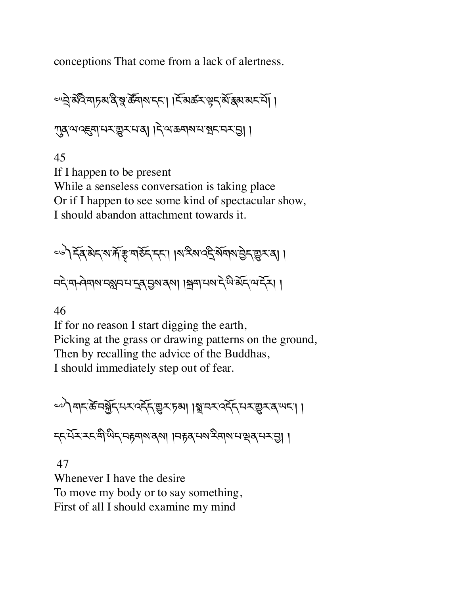conceptions That come from a lack of alertness.

ল্ল্ল্বর্মবিমাচমাব স্বার্ষ্টমামান্দা। দিয়ের্ক্রমন্ত্র্বার্ষ্কমান্দা। নুমুখেণ্ড্ৰান্ম্ভুম্মৰা । দ্ৰাজ্ঞৰাম্মস্থ্ৰম্ম্ৰ

45 If I happen to be present While a senseless conversation is taking place Or if I happen to see some kind of spectacular show, I should abandon attachment towards it.

<u>=</u>७) देव बेद रा में हु मार्डेद दत। । रा देश वर्द रेमारा प्रेद सुर वा । নই না-প্ৰমান নগ্নন না নুৰাজ্যৰ ৷ ৷ মুমা নন্দ ইন্দ্ৰ গ্ৰহী ৷ ৷

46

If for no reason I start digging the earth, Picking at the grass or drawing patterns on the ground, Then by recalling the advice of the Buddhas, I should immediately step out of fear.

ေပါ बाद के नर्भेद सर दर्दे सूर हुआ । ब्रानर दर्दे सर सूर व पद। । ददम्यं र र में स्थित महमारा वा । महब मय से मारा सब मयनु ।

 47 Whenever I have the desire To move my body or to say something, First of all I should examine my mind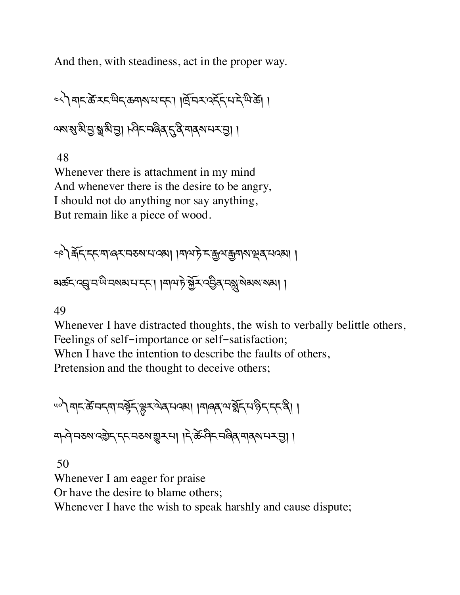And then, with steadiness, act in the proper way.

༤༨༽གང་ཚè་རང་ཡིད་ཆགས་པ་དང་། །ོ་བར་འདོད་པ་དེ་ཡི་ཚè། ། ལས་སུ་མི་བྱ་སྲུ་མི་བྱ། ། ଡ଼៹་བ་འིན་ད་ནི་བ།ནས་པར་བྱ། །

48

Whenever there is attachment in my mind And whenever there is the desire to be angry, I should not do anything nor say anything, But remain like a piece of wood.

༤༩༽µོད་དང་ག་ཞར་བཅས་པ་འམ། །གལ་ཏེ་ང་\$ལ་\$གས་çན་པའམ། ། མཚང་འœ་བ་ཡི་བསམ་པ་དང་། །གལ་ཏེ་fོར་འ6ིན་བæ་སེམས་སམ། །

49

Whenever I have distracted thoughts, the wish to verbally belittle others, Feelings of self-importance or self-satisfaction; When I have the intention to describe the faults of others, Pretension and the thought to deceive others;

<u>"</u> प्रान्केन्द्रामर्भेद्भुरयेव्यवस्था ।मालव्यार्भेद्भप्रेद्द्द्द्द्वा मुन्वे मरुष २३ दुर दुर मा । दे के बेद महेत्र मा अध्या ।

 50 Whenever I am eager for praise Or have the desire to blame others; Whenever I have the wish to speak harshly and cause dispute;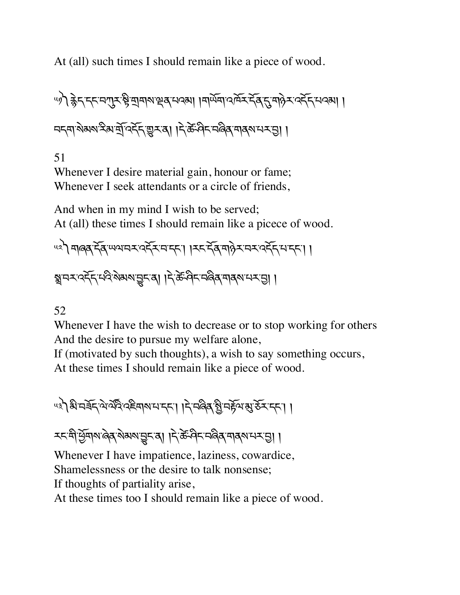At (all) such times I should remain like a piece of wood.

୴) क्लेन स्ट्रं नगर के बीचारा ब्रेजराउंश। बिलूची उप्रदेश से दिन तर्दर नाउंश। । নন্দাষ্টমম্মন্দ্রিত্দ্দুম্বা।দ্ক্রিণিমজির মার্মানম্ভা।

51

Whenever I desire material gain, honour or fame; Whenever I seek attendants or a circle of friends,

And when in my mind I wish to be served; At (all) these times I should remain like a picece of wood.

༥༢༽གཞན་དོན་ཡལ་བར་འདོར་བ་དང་། །རང་དོན་གཉེར་བར་འདོད་པ་དང་། ། ङ्गमर दर्दे मद्भिके अरु बिर बी। दिल्ले मद्भिक बार बार से ।

#### 52

Whenever I have the wish to decrease or to stop working for others And the desire to pursue my welfare alone,

If (motivated by such thoughts), a wish to say something occurs, At these times I should remain like a piece of wood.

<u>43) अं मर्बेन् ये यदि पहेमारा मनना । ने मलेव श्रे मर्हेया रा</u>उँ मनना।

<u> रहन्दी सेंबाबालेव ब्राज्ञा भारत के बिहास ब्रियं प्रसार क</u>

Whenever I have impatience, laziness, cowardice,

Shamelessness or the desire to talk nonsense;

If thoughts of partiality arise,

At these times too I should remain like a piece of wood.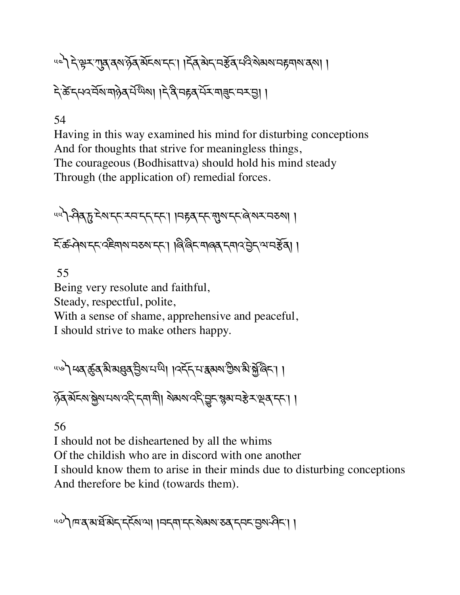५८) देखु र गुरु तथा है बांदल दहा। दिवा बे दार्च हे बांद से अरु नहमारा दुर्भा। ন্টিন্দেবর্মিশার্গ্য মন্ডিম। ।ন্টিন্দের্ম্মসমান্ত্র্য ।

#### 54

Having in this way examined his mind for disturbing conceptions And for thoughts that strive for meaningless things, The courageous (Bodhisattva) should hold his mind steady Through (the application of) remedial forces.

༥༥༽ཤིན་d་ངེས་དང་རབ་དད་དང་། །བrན་དང་Nས་དང་ཞེ་སར་བཅས། ། देळिं वेरा दर देहे बारा मरुष हरा। बिलिट बारा बर दबाद हेन् भार हेवा।

55

Being very resolute and faithful,

Steady, respectful, polite,

With a sense of shame, apprehensive and peaceful, I should strive to make others happy.

"৺ী ধৰ্ম্ভূৰ্ম্বি মিষ্ডৰ্ম্ব ট্ৰিম্মান্দী। । বৰ্ম্ব মেশ্বৰ মাত্ৰী ৰ্মান্ত মিক্টিনি ঠুব্ মঁহমাষ্ট্ৰমাণমাৰ্দ্দী দ্ৰাশী। মৰমাৰ্দ্দীভূ্দাস্কুমানষ্ট্ৰ স্থিবাদ্দা ।

56

I should not be disheartened by all the whims

Of the childish who are in discord with one another

I should know them to arise in their minds due to disturbing conceptions And therefore be kind (towards them).

un) एक क्षेत्र हैं कि बाद मानवा । अन्यान के अध्य अर्थन के साथ की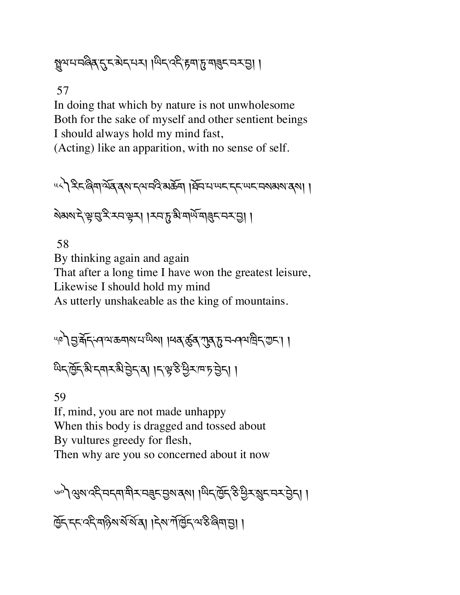। । । अन्यान क्षेत्र क्षेत्र क्षेत्र अन्यान क्षेत्र क्षेत्र क्षेत्र क्षेत्र क्षेत्र क्षेत्र क्षेत्र क्षेत्र क्

57

In doing that which by nature is not unwholesome Both for the sake of myself and other sentient beings I should always hold my mind fast, (Acting) like an apparition, with no sense of self.

५८) देदलिवार्थेब दशर विजय भिन्न । प्रेनिया अस्य स्यान का अभावणा ।

<u> খুপঠাই, কিন্টি গ্রাম্ট মুক্ত মন্ত্রী । (স্বাস্থ্র সমূহ দের বি</u>

58

By thinking again and again That after a long time I have won the greatest leisure, Likewise I should hold my mind As utterly unshakeable as the king of mountains.

୴৽ৗৢড়ৢ৾৾য়ঢ়ৼঀ৾ৢড়ড়য়৶য়ড়ৢ৶ৗ৸ঀৼড়ৢঽ৻য়৾ঀৼঢ়ড়৸ড়ঢ়ৼড়ঢ়ৗ

थैद्द्विद्धिन्तमरुभेट्टेन्त्या । दक्ष्ठे पुराम करोता।

59

If, mind, you are not made unhappy When this body is dragged and tossed about By vultures greedy for flesh, Then why are you so concerned about it now

্ବ) থ্ৰূম ব্দ্ৰ অধ্যাত্মী মামৰ্ছ ভিত্ত ৰিমা ৰাজ্য দিৱ হৈ দিব প্ৰদাস বিধা । দ্রিন্দ্দেণ্ড্রিমার্কিন্দ্রা। দ্বিমর্শন্তিন্দ্র উলিভা।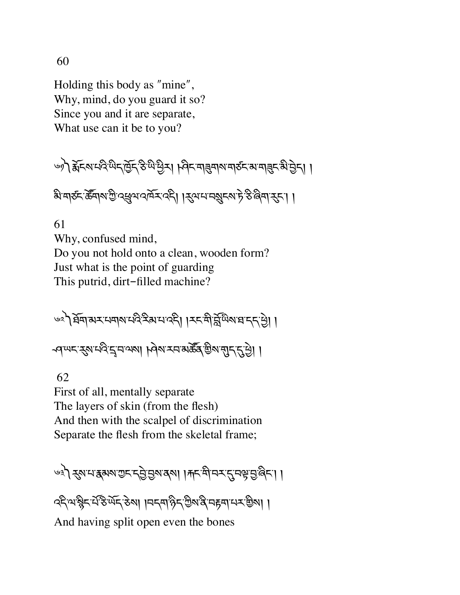60

Holding this body as "mine", Why, mind, do you guard it so? Since you and it are separate, What use can it be to you?

ঙ) हेन्स्यिमदेखनुकुन हेल्ले छैन। जिन्मानुबाय बार्डन अमानुन भे छेन।।

<u>ঋীবাহু দুৰুৱাৰ ফ্ৰী বৰ্ষৰ অনুসংগতী । প্ৰ</u>িক্ষাৰ্থ আৰু দুৰুৱা বিদ্যা ।

61 Why, confused mind, Do you not hold onto a clean, wooden form? Just what is the point of guarding This putrid, dirt-filled machine?

৬২) ষ্ট্ৰমান্সম্পেল্লেই মানাব্দী । মন্ত্ৰীৰ্মুখিমান্নদ্ৰ এ ৰ্শঅনস্থেত্ৰ'ন'ৰুমা ৷ কিৰাসন ৰাজ্য ব্ৰান'ৰ বিৰা

 62 First of all, mentally separate The layers of skin (from the flesh) And then with the scalpel of discrimination Separate the flesh from the skeletal frame;

७३) रुषमञ्जूषरा मुकेशियला । मनसिम् रुपुम्बुरु दिन।

ক্ষ্মিক মুখ্য দিৱতা । বিশ্বাই বিশ্বাস্থ্য প্ৰদেশ কৰি ।

And having split open even the bones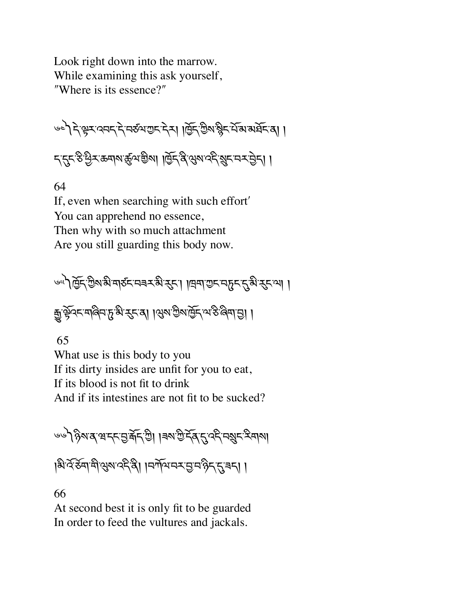Look right down into the marrow. While examining this ask yourself, "Where is its essence?"

༦༤༽དེ་kར་འབད་དེ་བཙལ་Iང་དེར། །ñོད་Iིས་ìིང་པོ་མ་མཐོང་ན། ། ད་\*ང་ཅི་Cིར་ཆགས་ôལ་aིས། །ñོད་ནི་Qས་འདི་ºང་བར་6ེད། །

64

If, even when searching with such effortʹ You can apprehend no essence, Then why with so much attachment Are you still guarding this body now.

্রী ব্রিন্টিমান্ত মার্কন নের মন্ত্রী ব্রুন। । । এমা শুন নার ন্য ব্যবা । कुर्केटर मानेन हु भे रहन्या । सुरु कुरु मुंद स्थित क्षम हु। ।

65

What use is this body to you If its dirty insides are unfit for you to eat, If its blood is not fit to drink And if its intestines are not fit to be sucked?

ভভীষ্ট গৰে'ৰ'দ্'হ'ৰ্দ্ৰ'গ্ৰী ।ৰম'শু দ্বি'ন্'ব্দ্'নগ্ৰুদ স্বিদ্যা ।৯১২ ইন্সিণ্ড এন বিভিন্ন । । এই এন এন এন এন এন এন বিভিন্ন কৰা

66

At second best it is only fit to be guarded In order to feed the vultures and jackals.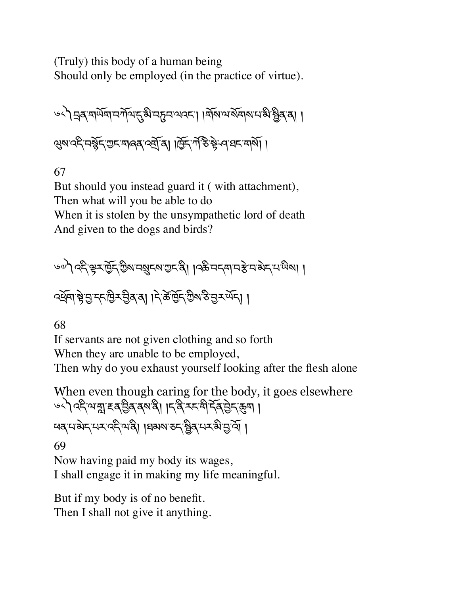(Truly) this body of a human being Should only be employed (in the practice of virtue).

༦༨༽áན་གཡོག་བཀོལ་\*་མི་བdབ་ལའང་། །གོས་ལ་སོགས་པ་མི་Xིན་ན། ། Qས་འདི་བìོད་Iང་གཞན་འtོ་ན། །ñོད་ཀ,་ཅ.་bེ་ཤ་ཐང་གསོ། །

67

But should you instead guard it ( with attachment), Then what will you be able to do When it is stolen by the unsympathetic lord of death And given to the dogs and birds?

৻৽৽) বেংস্কুমট্রেন্স অধ্যুদ্মা অদ্রী । বিস্তা অধ্যা এই অন্য অধ্যা । ক্সুনাস্ট্রান্ডাইস্ট্রিস্ট্রাণ । ব্রাইন্ট্রিস্টিস্ট ন্রুস্ঞ্দি। ।

68

If servants are not given clothing and so forth When they are unable to be employed, Then why do you exhaust yourself looking after the flesh alone

When even though caring for the body, it goes elsewhere ७५) २६२ अन्नुहू द बुरु कथा । द वे उत्तमी देव से दुकुमा ཕན་པ་མེད་པར་འདི་ལ་ནི། །ཐམས་ཅད་Xིན་པར་མི་6་འོ། །

69

Now having paid my body its wages, I shall engage it in making my life meaningful.

But if my body is of no benefit. Then I shall not give it anything.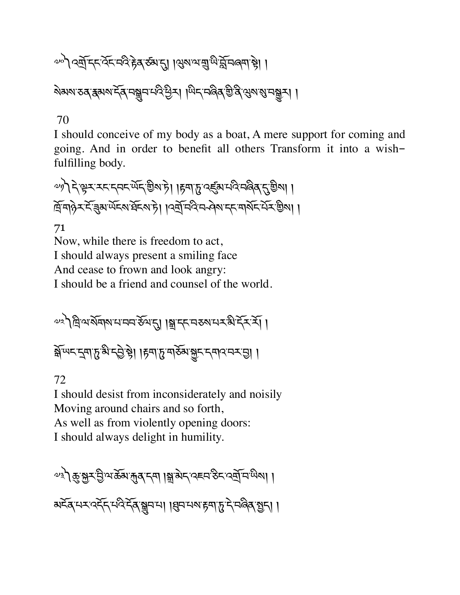# $\omega$ ଼ୀ ବର୍ଷ୍ମିମ୍ୟିନିସିନ୍ଦିର ବିଷାଣ୍ଡା । ସ୍ତବାଦାଶ୍ରୁ ଅର୍ଜ୍ୟିକାର୍ । ।

२३२२ रु कुन्नु मुख्य मुख्य प्रथम । अन्य के बाल के बाल के बाल के बाल के बाल के बाल के बाल के बाल के बाल के बाल

# 70

I should conceive of my body as a boat, A mere support for coming and going. And in order to benefit all others Transform it into a wishfulfilling body.

 $\omega$  $\eta$ ) देख़र रहन्तर सेंदु ग्रेश है। ।हृषा हु दर्दु अर्थदे नलेव हु ग्रेश। । দ্রিমাণ কর্মান বিশেষ বিশেষ দিব নিয়ম নিয়ম দেখি বিশেষ দিব।

#### 71

Now, while there is freedom to act, I should always present a smiling face And cease to frown and look angry: I should be a friend and counsel of the world.

༧༢༽ི་ལ་སོགས་པ་བབ་ཅོལ་\*། །ã་དང་བཅས་པར་མི་དོར་རོ། །

क्रॅम्पर द्वाहु बी हुनाहु मर्डें भू हुना के सुरस्कार का

# 72

I should desist from inconsiderately and noisily Moving around chairs and so forth, As well as from violently opening doors: I should always delight in humility.

༧༣༽8་fར་6ི་ལ་ཆོམ་Õན་དག །ã་མེད་འཇབ་ཅིང་འtོ་བ་ཡིས། ། མངོན་པར་འདོད་པའི་དོན་hབ་པ། །qབ་པས་rག་d་དེ་བཞིན་>ད། །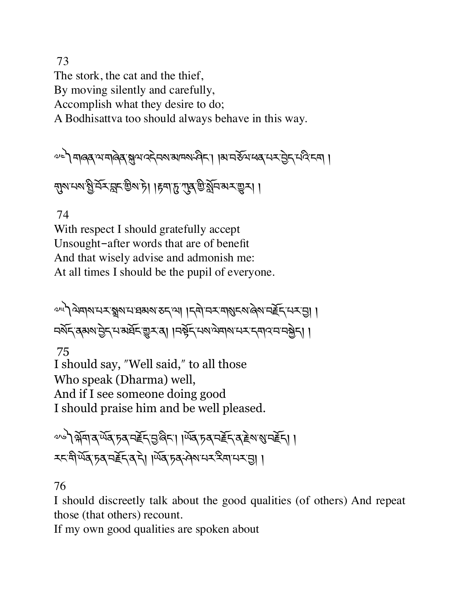73 The stork, the cat and the thief, By moving silently and carefully, Accomplish what they desire to do; A Bodhisattva too should always behave in this way.

༧༤༽གཞན་ལ་གཞེན་Jལ་འདེབས་མཁས་ཤིང་། །མ་བཅོལ་ཕན་པར་6ེད་པའི་ངག །

ন্মুমম্মাপ্ত মিস্মান্ড এটা । দিনাদ্র এর্ড মুনি মাস্মান্ড ।

74

With respect I should gratefully accept Unsought-after words that are of benefit And that wisely advise and admonish me: At all times I should be the pupil of everyone.

༧༥༽ལེགས་པར་»ས་པ་ཐམས་ཅད་ལ། །དགེ་བར་གÜངས་ཞེས་བTོད་པར་6། ། བསོད་ནམས་6ེད་པ་མཐོང་\_ར་ན། །བbོད་པས་ལེགས་པར་དགའ་བ་བfེད། །

 75 I should say, "Well said," to all those Who speak (Dharma) well, And if I see someone doing good I should praise him and be well pleased.

༧༦༽÷ོག་ན་ཡོན་ཏན་བTོད་6་ཞིང་། །ཡོན་ཏན་བTོད་ན་Tེས་Ü་བTོད། ། རང་གི་ཡོན་ཏན་བTོད་ན་དེ། །ཡོན་ཏན་ཤེས་པར་རིག་པར་6། །

# 76

I should discreetly talk about the good qualities (of others) And repeat those (that others) recount.

If my own good qualities are spoken about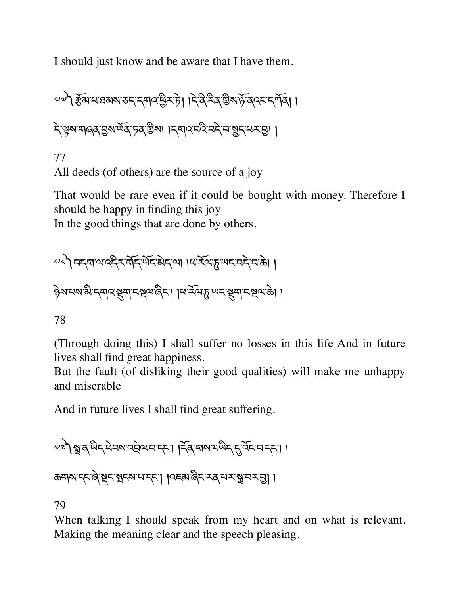I should just know and be aware that I have them.

༧༧༽[ོམ་པ་ཐམས་ཅད་དགའ་Cིར་ཏེ། །དེ་ནི་རིན་aིས་ཉོ་ནའང་དཀོན། ། དེ་kས་གཞན་6ས་ཡོན་ཏན་aིས། །དགའ་བའི་བདེ་བ་>ད་པར་6། །

77 All deeds (of others) are the source of a joy

That would be rare even if it could be bought with money. Therefore I should be happy in finding this joy

In the good things that are done by others.

༧༨༽བདག་ལ་འདིར་གོད་ཡོང་མེད་ལ། །ཕ་རོལ་d་ཡང་བདེ་བ་ཆེ། ། ཉེས་པས་མི་དགའ་Sག་བUལ་ཞིང་། །ཕ་རོལ་d་ཡང་Sག་བUལ་ཆེ། །

78

(Through doing this) I shall suffer no losses in this life And in future lives shall find great happiness.

But the fault (of disliking their good qualities) will make me unhappy and miserable

And in future lives I shall find great suffering.

༧༩༽»་ན་ཡིད་ཕེབས་འáེལ་བ་དང་། །དོན་གསལ་ཡིད་\*་འོང་བ་དང་། ། ཆགས་དང་ཞེ་Pང་üངས་པ་དང་། །འཇམ་ཞིང་རན་པར་»་བར་6། །

79

When talking I should speak from my heart and on what is relevant. Making the meaning clear and the speech pleasing.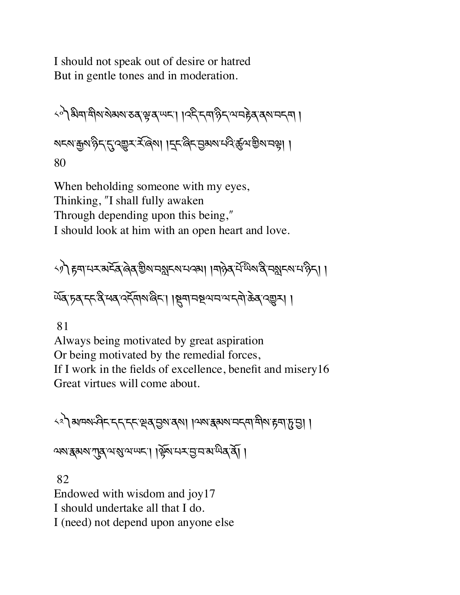I should not speak out of desire or hatred But in gentle tones and in moderation.

༨༠༽མིག་གིས་སེམས་ཅན་k་ན་ཡང་། །འདི་དག་ཉིད་ལ་བrེན་ནས་བདག ། སངས་\$ས་ཉིད་\*་འ\_ར་ར,་ཞ©ས། །îང་ཞིང་6མས་པའི་ôལ་aིས་བk། ། 80

When beholding someone with my eyes, Thinking, "I shall fully awaken Through depending upon this being," I should look at him with an open heart and love.

༨༡༽rག་པར་མངོན་ཞེན་aིས་བ¢ངས་པའམ། །གཉེན་པ,་ཡ.ས་ནི་བ¢ངས་པ་ཉིད། ། ཡོན་ཏན་དང་ནི་ཕན་འདོགས་ཞིང་། །Sག་བUལ་བ་ལ་དགེ་ཆེན་འ\_ར། །

81

Always being motivated by great aspiration Or being motivated by the remedial forces, If I work in the fields of excellence, benefit and misery16 Great virtues will come about.

༨༢༽མཁས་ཤིང་དད་དང་çན་6ས་ནས། །ལས་{མས་བདག་གིས་rག་d་6། ། ལས་{མས་Lན་ལ་Ü་ལ་ཡང་། །kོས་པར་6་བ་མ་ཡིན་ནོ། །

 82 Endowed with wisdom and joy17 I should undertake all that I do. I (need) not depend upon anyone else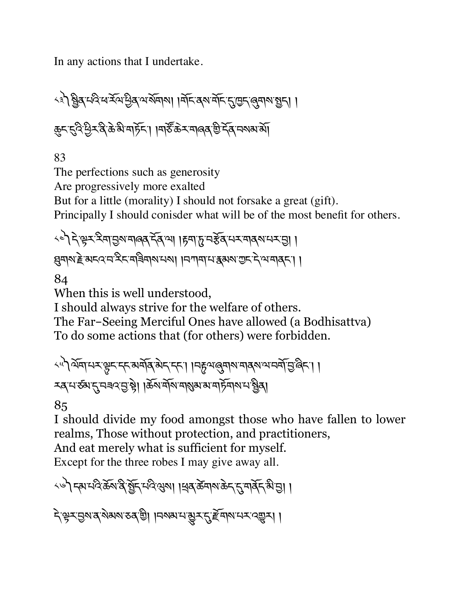In any actions that I undertake.

ক্ষী শ্বীৰ ঘণ্ড মন্দ্ৰীৰ অৰ্থমাৰা । মন্দিৰ মন্দি মুদ্ৰ ব্যৱস্থা । कुद्दुदे प्रेद्भेक्षे अमेरिंग । मार्डे के रामालव चे देव मनाया था

83

The perfections such as generosity Are progressively more exalted But for a little (morality) I should not forsake a great (gift). Principally I should conisder what will be of the most benefit for others.

<े देखर देवा छबा बाबद देवा । हवा हा नईवा सरावया सराछा । ह्मयाराष्ट्रे अद्रदयस्थित् मान्ना । मणवाय द्वयाराण्ट्र देखमाद्र

84

When this is well understood,

I should always strive for the welfare of others.

The Far-Seeing Merciful Ones have allowed (a Bodhisattva) To do some actions that (for others) were forbidden.

༨༥༽ལོག་པར་¿ང་དང་མགོན་མེད་དང་། །བ™ལ་ëགས་གནས་ལ་བགོ་6་ཞིང་། ། རན་པ་ཙམ་\*་བཟའ་6་bེ། །ཆོས་གོས་གÜམ་མ་གཏོགས་པ་Xིན།

85

I should divide my food amongst those who have fallen to lower realms, Those without protection, and practitioners,

And eat merely what is sufficient for myself.

Except for the three robes I may give away all.

<৬) কামাৰ্ব্ট্ৰুমন্ত্ৰীৰ মুহি মন্ত্ৰীৰ ৰাজ্য দিব ক্ৰমাৰ কৰা বিদ্যালয়।

২়ঞ্চুম্মভূম্যৰ্'ম্বাৰম'তৰ'শ্ৰী ।নম্মম'নভূম্'মুই বিশিল্পমে 'বেল্লুমা।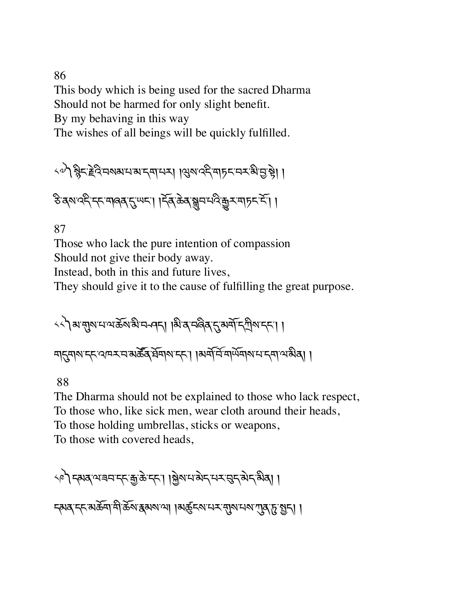## 86

This body which is being used for the sacred Dharma Should not be harmed for only slight benefit.

By my behaving in this way

The wishes of all beings will be quickly fulfilled.

५०) ह्वेदहेवे नवाय मया नया । अवाददे माह नक बी पुष्टे। ।

ङ्किय वर्दन् मालव दुः स्पन् । दिवः केवाञ्चन मविक्कर मान्न दे ।

### 87

Those who lack the pure intention of compassion Should not give their body away.

Instead, both in this and future lives,

They should give it to the cause of fulfilling the great purpose.

༨༨༽མ་Nས་པ་ལ་ཆོས་མི་བ ཤད། །མི་ན་བཞིན་\*་མགོ་ད°ིས་དང་། ། ག\*གས་དང་འཁར་བ་མཚ|ན་ཐོགས་དང་། །མག,་བu་གཡོགས་པ་དག་ལ་མིན། །

88

The Dharma should not be explained to those who lack respect, To those who, like sick men, wear cloth around their heads, To those holding umbrellas, sticks or weapons, To those with covered heads,

༨༩༽དམན་ལ་ཟབ་དང་\$་ཆེ་དང་། །fེས་པ་མེད་པར་gད་མེད་མིན། ། དམན་དང་མཆོག་གི་ཆོས་{མས་ལ། །མôངས་པར་Nས་པས་Lན་d་>ད། །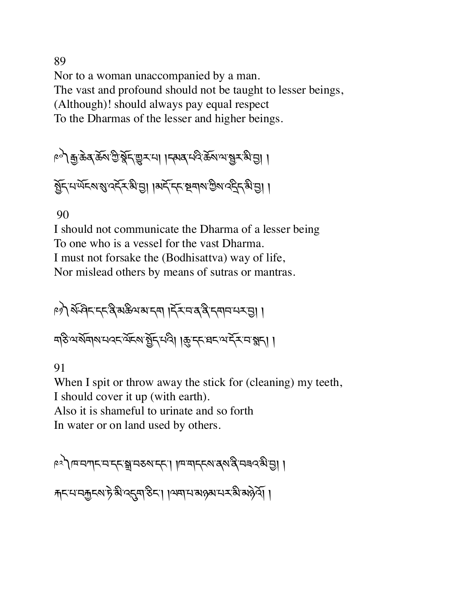89 Nor to a woman unaccompanied by a man. The vast and profound should not be taught to lesser beings, (Although)! should always pay equal respect To the Dharmas of the lesser and higher beings.

༩༠༽\$་ཆེན་ཆོས་Iི་pོད་\_ར་པ། །དམན་པའི་ཆོས་ལ་Xར་མི་6། ། >ོད་པ་ཡོངས་Ü་འདོར་མི་6། །མདོ་དང་Uགས་Iིས་འîིད་མི་6། །

90

I should not communicate the Dharma of a lesser being To one who is a vessel for the vast Dharma. I must not forsake the (Bodhisattva) way of life, Nor mislead others by means of sutras or mantras.

༩༡༽ས,་ཤ.ང་དང་ནི་མཆིལ་མ་དག །དོར་བ་ན་ནི་དགབ་པར་6། ། གཅི་ལ་སོགས་པའང་ལོངས་>ོད་པའི། །8་དང་ཐང་ལ་དོར་བ་éད། །

91

When I spit or throw away the stick for (cleaning) my teeth, I should cover it up (with earth). Also it is shameful to urinate and so forth In water or on land used by others.

༩༢༽ཁ་བཀང་བ་དང་ã་བཅས་དང་། །ཁ་གདངས་ནས་ནི་བཟའ་མི་6། ། Åང་པ་བ×ངས་ཏེ་མི་འ\*ག་ཅིང་། །ལག་པ་མཉམ་པར་མི་མཉེའོ། །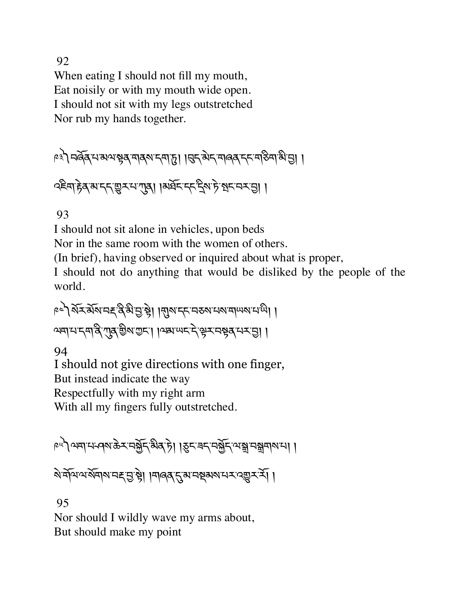92

When eating I should not fill my mouth, Eat noisily or with my mouth wide open. I should not sit with my legs outstretched Nor rub my hands together.

༩༣༽བཞོན་པ་མལ་bན་གནས་དག་d། །gད་མེད་གཞན་དང་གཅིག་མི་6། །

२९२१ हेव अद्र सुरमण्डू। ।अर्धेद द्रुश्मे भूदम्य ।

93

I should not sit alone in vehicles, upon beds

Nor in the same room with the women of others.

(In brief), having observed or inquired about what is proper,

I should not do anything that would be disliked by the people of the world.

༩༤༽སོར་མོས་བØ་ནི་མི་6་bེ། །Nས་དང་བཅས་པས་གཡས་པ་ཡི། ། ལག་པ་དག་ནི་Lན་aིས་Iང་། །ལམ་ཡང་དེ་kར་བbན་པར་6། །

94

I should not give directions with one finger,

But instead indicate the way

Respectfully with my right arm

With all my fingers fully outstretched.

༩༥༽ལག་པ་ཤས་ཆེར་བfོད་མིན་ཏེ། །øང་ཟད་བfོད་ལ་ã་བãགས་པ། །

<u>য়৾৸৸য়য়৸৸ৼৼৣড়৾ঀৢৗ৸৸ড়ঀৼ৻৸৸ৼ৸ড়ড়৸ৼ৻৻ড়৾ৼ৻ৼৄ</u>

95

Nor should I wildly wave my arms about, But should make my point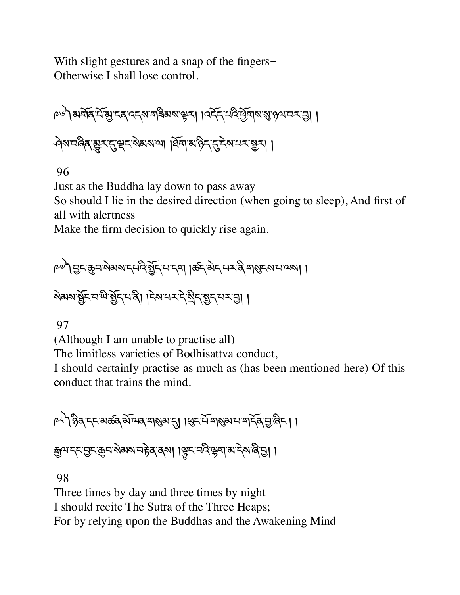With slight gestures and a snap of the fingers-Otherwise I shall lose control.

༩༦༽མགོན་པོ་õ་ངན་འདས་གཟིམས་kར། །འདོད་པའི་Cོགས་Ü་ཉལ་བར་6། ། ཤེས་བཞིན་¨ར་\*་çང་སེམས་ལ། །ཐོག་མ་ཉིད་\*་ངེས་པར་Xར། །

96

Just as the Buddha lay down to pass away

So should I lie in the desired direction (when going to sleep), And first of all with alertness

Make the firm decision to quickly rise again.

༩༧༽6ང་8བ་སེམས་དཔའི་>ོད་པ་དག །ཚད་མེད་པར་ནི་གÜངས་པ་ལས། ། སེམས་Xོང་བ་ཡི་>ོད་པ་ནི། །ངེས་པར་དེ་Kིད་>ད་པར་6། །

97

(Although I am unable to practise all)

The limitless varieties of Bodhisattva conduct,

I should certainly practise as much as (has been mentioned here) Of this conduct that trains the mind.

া । । उत्तर अस्य अधिकार का अध्य मुख्य मुख्य है। अ कुथम् सुम् कुम् केबरु नहेव दवा । सिन् मुद्र केबा अमेर अलुञ्जा ।

98

Three times by day and three times by night I should recite The Sutra of the Three Heaps; For by relying upon the Buddhas and the Awakening Mind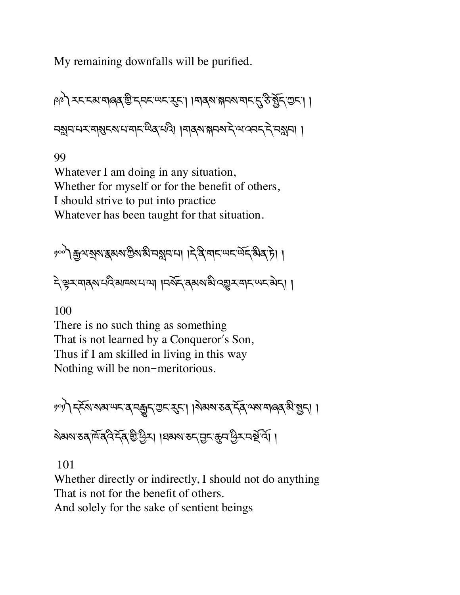My remaining downfalls will be purified.

া । । তেওঁ স্কাৰণ দেখা । স্কুল স্কাৰণ । স্কুল স্কাৰণ স্কাৰণ স্কাৰণ স্কাৰণ নহ্মনম্মৰামুদ্মামাৰ্দিঞ্জৰ্মণী ।নাৰ্মান্নমন্দিম্বৰ্দিসকলে ।

99

Whatever I am doing in any situation, Whether for myself or for the benefit of others, I should strive to put into practice Whatever has been taught for that situation.

ဖုတ် કનિર ક્રિઝાઇન્સિલિટ કર્યું કરી । । । से बैं चोट अट अर्ट कुछ है। ।

देঞ্চ र बादश मद्र अप्रयाला । प्रशूर र अरु भुर बार अर्ट अर्ट । ।

100

There is no such thing as something That is not learned by a Conqueror's Son, Thus if I am skilled in living in this way Nothing will be non-meritorious.

৽৽) ह्रॅबाराबाणदा वाकुदार दुदा। । गेबारा उब देवायरा मालवारी छुदा। ষ্মমাত্ত মূর্দ্র বুইন্দু জ্যুন্ট । । মুখ্য স্বর্তম এই বিভিন্ন এক বিভিন্ন

101

Whether directly or indirectly, I should not do anything That is not for the benefit of others.

And solely for the sake of sentient beings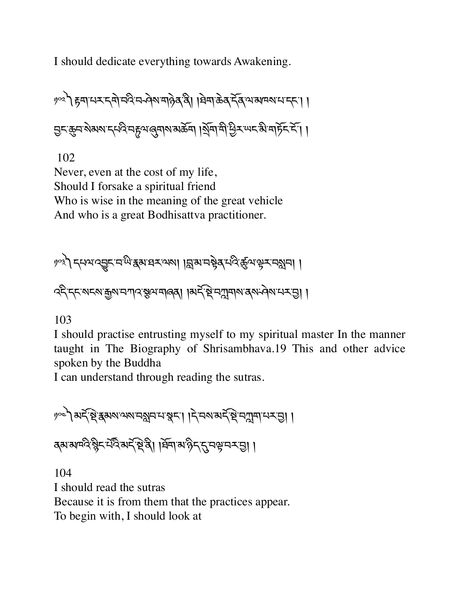I should dedicate everything towards Awakening.

༡༠༢༽rག་པར་དགེ་བའི་བ ཤེས་གཉེན་ནི། །ཐེག་ཆེན་དོན་ལ་མཁས་པ་དང་། ། 6ང་8བ་སེམས་དཔའི་བ™ལ་ëགས་མཆོག །Kོག་གི་Cིར་ཡང་མི་གཏོང་ངོ་། །

102

Never, even at the cost of my life, Should I forsake a spiritual friend Who is wise in the meaning of the great vehicle And who is a great Bodhisattva practitioner.

༡༠༣༽དཔལ་འVང་བ་ཡི་{མ་ཐར་ལས། །s་མ་བbེན་པའི་ôལ་kར་བ¢བ། ། འདི་དང་སངས་\$ས་བཀའ་´ལ་གཞན། །མད,་P©་བíགས་ནས་ཤེས་པར་6། །

103

I should practise entrusting myself to my spiritual master In the manner taught in The Biography of Shrisambhava.19 This and other advice spoken by the Buddha

I can understand through reading the sutras.

༡༠༤༽མད,་P©་{མས་ལས་བ¢བ་པ་pང་། །དེ་བས་མད,་P©་བíག་པར་6། ། ནམ་མཁའི་ìིང་པ,འ.་མད,་P©་ནི། །ཐོག་མ་ཉིད་\*་བk་བར་6། །

104 I should read the sutras Because it is from them that the practices appear. To begin with, I should look at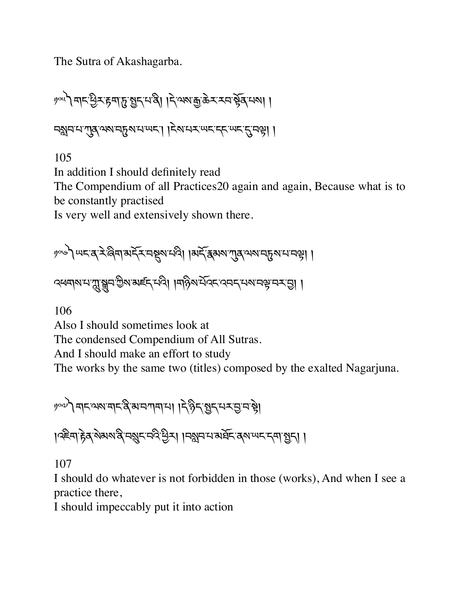The Sutra of Akashagarba.

ဖွက်ပြင်းမြိုင်းများ အိုင်းရေး မြို့အားဆို နေသည့် အကြံ ၂၄ ㅋ अन्य पात्र २२ महिला मण्डल । । २२ मय स्य दिन्यान दिन है।

105

In addition I should definitely read

The Compendium of all Practices20 again and again, Because what is to be constantly practised

Is very well and extensively shown there.

༡༠༦༽ཡང་ན་རེ་ཞིག་མདོར་བSས་པའི། །མདོ་{མས་Lན་ལས་བdས་པ་བk། །

ক্ষেন|মামামুম্ব্রুন'ট্রম'মইন্মেণ্ডী । মড়িম'র্মিন্দ'ব্বেন্'মমানঞ্জ'নমন্ত্রা ।

106

Also I should sometimes look at

The condensed Compendium of All Sutras.

And I should make an effort to study

The works by the same two (titles) composed by the exalted Nagarjuna.

၂) अदालबाद देखानगयाया । देहेन शुद्ध पर पुन है।

। २६सा हेव शेवरा दे मशुर मदे छैन। । मशुर मार् बर्वे द्वाणपर दमा छुन। ।

107

I should do whatever is not forbidden in those (works), And when I see a practice there,

I should impeccably put it into action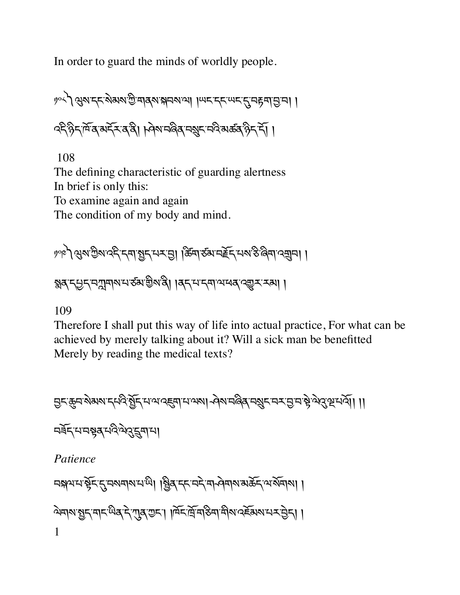In order to guard the minds of worldly people.

༡༠༨༽Qས་དང་སེམས་Iི་གནས་(བས་ལ། །ཡང་དང་ཡང་\*་བrག་6་བ། ། འདི་ཉིད་ཁོ་ན་མདོར་ན་ནི། །ཤེས་བཞིན་བºང་བའི་མཚན་ཉིད་དོ། །

108

The defining characteristic of guarding alertness In brief is only this: To examine again and again The condition of my body and mind.

༡༠༩༽Qས་Iིས་འདི་དག་>ད་པར་6། །ཚòག་ཙམ་བTོད་པས་ཅི་ཞིག་འ¥བ། ། éན་དªད་བíགས་པ་ཙམ་aིས་ནི། །ནད་པ་དག་ལ་ཕན་འ\_ར་རམ། །

109

Therefore I shall put this way of life into actual practice, For what can be achieved by merely talking about it? Will a sick man be benefitted Merely by reading the medical texts?

6ང་8བ་སེམས་དཔའི་>ོད་པ་ལ་འ@ག་པ་ལས། ཤེས་བཞིན་བºང་བར་6་བ་bེ་ལེù་Ÿ་པའོ།། །། བཟོད་པ་བbན་པའི་ལེù་⁄ག་པ། *Patience*  བ(ལ་པ་bོང་\*་བསགས་པ་ཡི། །Xིན་དང་བདེ་ག ཤེགས་མཆོད་ལ་སོགས། ། ལེགས་>ད་གང་ཡིན་དེ་Lན་Iང་། །ཁོང་ོ་གཅིག་གིས་འཇོམས་པར་6ེད། ། 1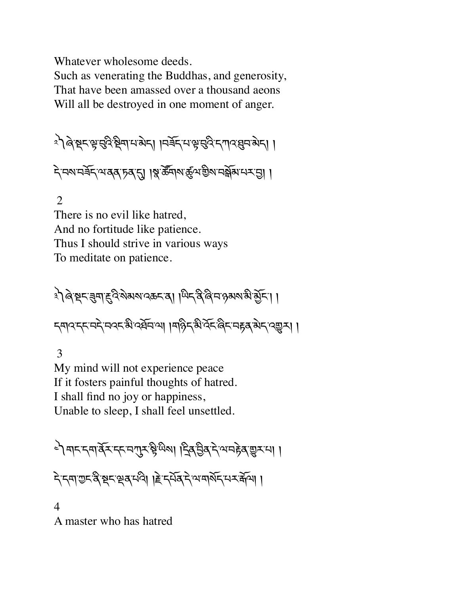Whatever wholesome deeds.

Such as venerating the Buddhas, and generosity, That have been amassed over a thousand aeons Will all be destroyed in one moment of anger.

ং) ৰি:ম্বন্দ্ৰ'ন্মুণ্ড্ৰী দিৱস্থাৰ ৷ । এৰ্ছন'ম'ঞ্জ'ন্থ্ৰী প্ৰেম'ৰ্মা ।

ন্দিবানৰ্শ সম্পৰ্ক দৰ্শ । মুক্তৰ বিৰাজ বিৰাজ্য নাৰ্শ প্ৰায় ।

2

There is no evil like hatred, And no fortitude like patience. Thus I should strive in various ways To meditate on patience.

३ो बे ष्ट्रमञ्ज्ञाहुदिशेमषादकमञ् । ਘिन् दे बिमान्न अर्था ग्रेम। । न्मादन्त्वदेवदक्षे दर्भनया ।महिन्धेर्देहलैन महब् अनु दणुन्। ।

 3 My mind will not experience peace If it fosters painful thoughts of hatred. I shall find no joy or happiness, Unable to sleep, I shall feel unsettled.

े बादनवार्वेदनदानगुरु ध्रेषेषा द्विव च्रेदयनहेव सूरमा ।

ন্দ্ৰাশুন্ত্ৰ স্থন শ্ৰুৰ দাবী। ছিন্দৰ্যৰ নামাৰ্ঘ্য দেখা আৰু দিবী।

4 A master who has hatred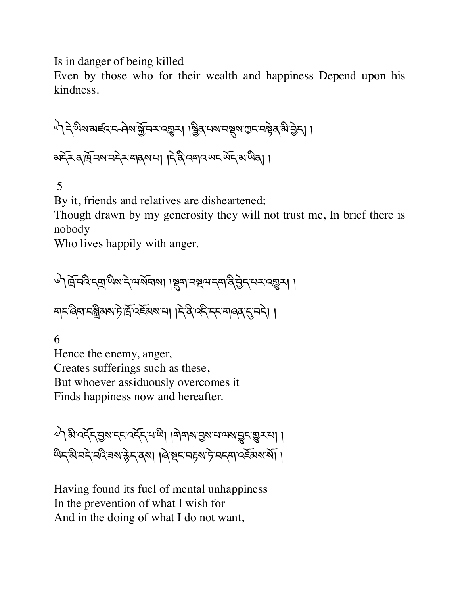Is in danger of being killed

Even by those who for their wealth and happiness Depend upon his kindness.

া । বিভিগ্ন প্ৰাক্ত পৰি প্ৰতি নিৰ্বাচন পৰি বিভিগ্ন পৰি বিভিগ্ন পৰি বিভিগ্ন । མདོར་ན་ོ་བས་བདེར་གནས་པ། །དེ་ནི་འགའ་ཡང་ཡོད་མ་ཡིན། །

5

By it, friends and relatives are disheartened;

Though drawn by my generosity they will not trust me, In brief there is nobody

Who lives happily with anger.

े मिन्देन्द्रमुखरूदे अञ्चल । इिचानस्रुपन्ता बुद्धेन् मन्दर सुन। নান'ৰিমা'নন্ত্ৰীৰাম'ট'ৰ্দ্ৰ'ব্ছৰাম'মা । দ্বি'ৰ্দ্দ'নাৰেৰ'ন'নদী। ।

6

Hence the enemy, anger, Creates sufferings such as these, But whoever assiduously overcomes it Finds happiness now and hereafter.

༧༽མི་འདོད་6ས་དང་འདོད་པ་ཡི། །གེགས་6ས་པ་ལས་Vང་\_ར་པ། ། ५५ अन्ये मदे नदे बार हैन का । बिञ्चन महल हे मनना पर्दे अरु या।

Having found its fuel of mental unhappiness In the prevention of what I wish for And in the doing of what I do not want,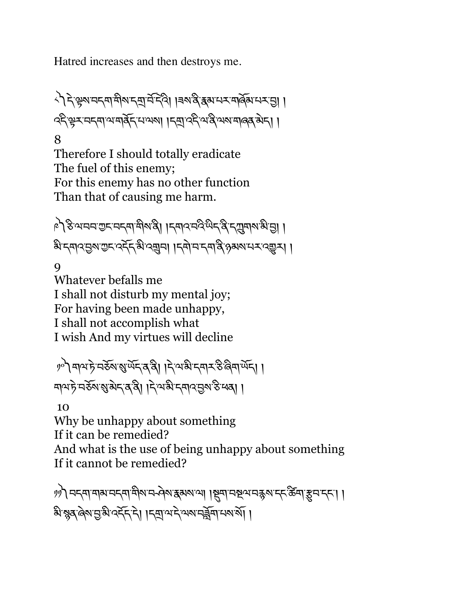Hatred increases and then destroys me.

े। दे क्षेत्र वदवा सुब्रा दर्ज दूर हु। । बरा दु स्थान संबंधि न र वि। । ব্দ্বিহ্মব্দ্বাম্বাৰ্ষ্ক্ৰিশেম্বৰ। ।দ্ৰাৰ্ষ্ক্ৰিশেষ্ট্ৰস্থাৰাৰ্ষ্ক্ৰীদ। । 8

Therefore I should totally eradicate The fuel of this enemy; For this enemy has no other function Than that of causing me harm.

ैऽ, अचन उद्भम बुथ । दिवाउन्दुलुद्धिर द्विष्यवाल भुवि। <u>औद्मादञ्जश्रुद्दादर्द्दश्रिव्युन। ।दमेमद्माद्वे २३ अरुप्रद्राद्युत्र।</u>

9

Whatever befalls me I shall not disturb my mental joy; For having been made unhappy, I shall not accomplish what I wish And my virtues will decline

༡༠༽གལ་ཏེ་བཅོས་Ü་ཡོད་ན་ནི། །དེ་ལ་མི་དགར་ཅི་ཞིག་ཡོད། ། নামট নর্ফুমাম্বার্মা । বিজ্ঞান করি বিজ্ঞান করে।

10

Why be unhappy about something

If it can be remedied?

And what is the use of being unhappy about something If it cannot be remedied?

ツツ) བདག་གམ་བདག་གིས་བརེལ་རྒྱས་རམས་ལ། །སྲག་བསྲལ་བརྱས་དང་རྱོག་རྱུབ་དང་། । <u>ষীস্থ</u>ন ৰৈমন্ত্ৰী বৰ্ননিদ। ।নম্ৰাম্মন মেমানব্ৰী ।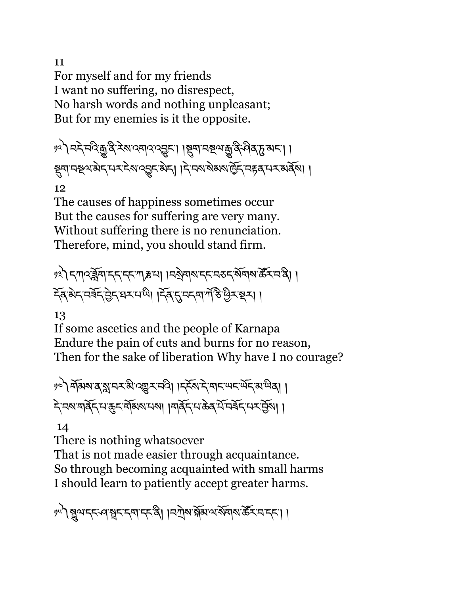11 For myself and for my friends I want no suffering, no disrespect, No harsh words and nothing unpleasant; But for my enemies is it the opposite.

༡༢༽བདེ་བའི་ê་ནི་རེས་འགའ་འVང་། །Sག་བUལ་ê་ནི་ཤིན་d་མང་། ། Sག་བUལ་མེད་པར་ངེས་འVང་མེད། །དེ་བས་སེམས་ñོད་བrན་པར་མནོས། །

12

The causes of happiness sometimes occur But the causes for suffering are very many. Without suffering there is no renunciation. Therefore, mind, you should stand firm.

༡༣༽དཀའ་ºོག་དད་དང་ཀ‹་པ། །བKེགས་དང་བཅད་སོགས་ཚ|ར་བ་ནི། ། དོན་མེད་བཟོད་6ེད་ཐར་པ་ཡི། །དོན་\*་བདག་ཀ,་ཅ.་Cིར་Pར། །

13

If some ascetics and the people of Karnapa Endure the pain of cuts and burns for no reason, Then for the sake of liberation Why have I no courage?

༡༤༽གོམས་ན་¢་བར་མི་འ\_ར་བའི། །དངོས་དེ་གང་ཡང་ཡོད་མ་ཡིན། ། དེ་བས་གནོད་པ་8ང་གོམས་པས། །གནོད་པ་ཆེན་པོ་བཟོད་པར་6ོས། །

14

There is nothing whatsoever That is not made easier through acquaintance. So through becoming acquainted with small harms I should learn to patiently accept greater harms.

৻৸) মুখদ্দৰ্শৰূদদ্বাদ্দৰী ।নশ্ৰমন্ত্ৰী আৰু বিদ্যালয় জীৱ দিব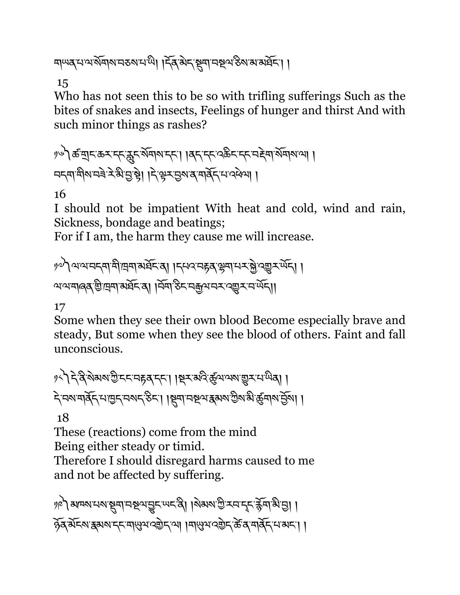གཡན་པ་ལ་སོགས་བཅས་པ་ཡི། །དོན་མེད་Sག་བUལ་ཅིས་མ་མཐོང་། །

15

Who has not seen this to be so with trifling sufferings Such as the bites of snakes and insects, Feelings of hunger and thirst And with such minor things as rashes?

༡༦༽ཚ་tང་ཆར་དང་fiང་སོགས་དང་། །ནད་དང་འཆིང་དང་བØེག་སོགས་ལ། ། བདག་གིས་བཟེ་རེ་མི་6་bེ། །དེ་kར་6ས་ན་གནོད་པ་འཕེལ། །

16

I should not be impatient With heat and cold, wind and rain, Sickness, bondage and beatings;

For if I am, the harm they cause me will increase.

༡༧༽ལ་ལ་བདག་གི་ག་མཐོང་ན། །དཔའ་བrན་Åག་པར་fེ་འ\_ར་ཡོད། ། ལ་ལ་གཞན་aི་ག་མཐོང་ན། །བོག་ཅིང་བ\$ལ་བར་འ\_ར་བ་ཡོད།།

# 17

Some when they see their own blood Become especially brave and steady, But some when they see the blood of others. Faint and fall unconscious.

༡༨༽དེ་ནི་སེམས་Iི་ངང་བrན་དང་། །Pར་མའི་ôལ་ལས་\_ར་པ་ཡིན། ། དེ་བས་གནོད་པ་ñད་བསད་ཅིང་། །Sག་བUལ་{མས་Iིས་མི་ôགས་6ོས། །

# 18

These (reactions) come from the mind Being either steady or timid.

Therefore I should disregard harms caused to me and not be affected by suffering.

१७) अम्बरासरा सुना नष्ठवाचुर लरू थे । बिराया गुरसर देन क्रेत्रा भुन् । ཉོན་མོངས་{མས་དང་གäལ་འaེད་ལ། །གäལ་འaེད་ཚè་ན་གནོད་པ་མང་། །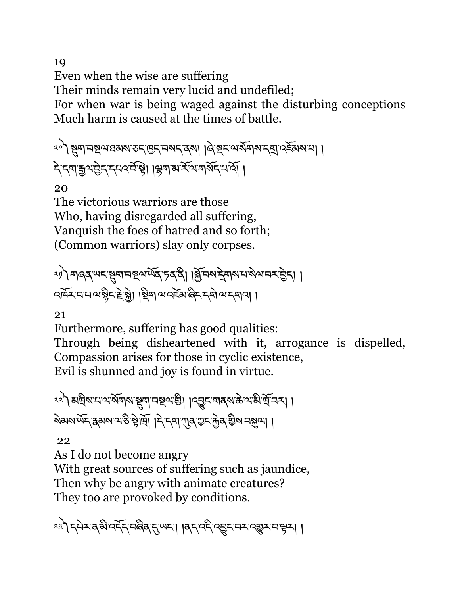19 Even when the wise are suffering Their minds remain very lucid and undefiled; For when war is being waged against the disturbing conceptions Much harm is caused at the times of battle.

ংশী ষ্ট্ৰমান্ম প্ৰথমৰ সংগ্ৰিহ নক্ষ্মৰ ৰিয়া । ৰি.ষ্ক্ৰন অৰ্থমান ৰি. বৰ্ষৰ প্ৰাণ दे दबाक़ुव हेद दमव में है। ।क्षेत्र अर्ज़्ज़्ञ्ज्ञ्द्र में प्र

20

The victorious warriors are those Who, having disregarded all suffering, Vanquish the foes of hatred and so forth; (Common warriors) slay only corpses.

༢༡༽གཞན་ཡང་Sག་བUལ་ཡོན་ཏན་ནི། །fོ་བས་îེགས་པ་སེལ་བར་6ེད། ། འཁོར་བ་པ་ལ་ìིང་Tེ་fེ། །Pིག་ལ་འཛèམ་ཞིང་དགེ་ལ་དགའ། །

21

Furthermore, suffering has good qualities: Through being disheartened with it, arrogance is dispelled, Compassion arises for those in cyclic existence, Evil is shunned and joy is found in virtue.

༢༢༽མིས་པ་ལ་སོགས་Sག་བUལ་aི། །འVང་གནས་ཆེ་ལ་མི་ོ་བར། ། ষমমাৰ্অন ক্ৰমৰাৰ উদ্ধাৰ্শ । বিদেশ প্ৰেৰ অন্যান জীৱ কৰা

22

As I do not become angry

With great sources of suffering such as jaundice, Then why be angry with animate creatures? They too are provoked by conditions.

༢༣༽དཔེར་ན་མི་འདོད་བཞིན་\*་ཡང་། །ནད་འདི་འVང་བར་འ\_ར་བ་kར། །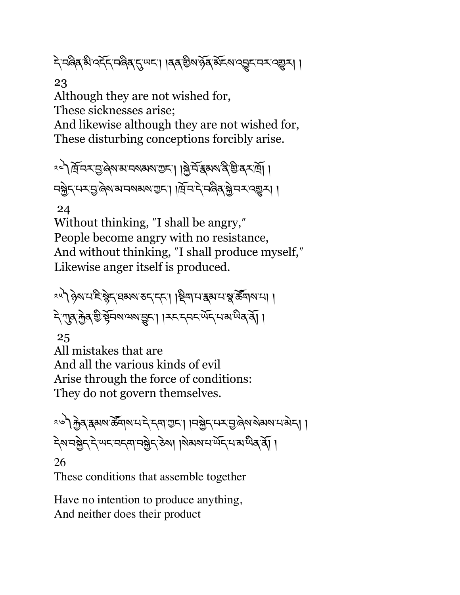दे नल्बेब बो २र्नेन नल्बेब नु प्रण्डा । बब ग्रेश द्वेब बेन्स २ व्युन्स । ।

23

Although they are not wished for, These sicknesses arise; And likewise although they are not wished for, These disturbing conceptions forcibly arise.

ৃৎ দিঁদ্দম্ভূৰি আৰু অগ্নী দুৰ্দী । বিভিন্ন আৰু বিশ্ববিদ্যা নষ্ট্র্দ্'ম্ম'ন্ড্'ৰ্জ্ম'ম'ন্ডাম্ম'ড্ৰ্ম' । । ব্রি'ন'ন'ন্ড্র্জ্'ন্স'ন্স' ।

24

Without thinking, "I shall be angry," People become angry with no resistance, And without thinking, "I shall produce myself," Likewise anger itself is produced.

ংশী দ্বিমানাই ষ্ট্ৰান্ম অন্য কৰা নাৰ । স্থিপানা স্থাই ক্ষী কৰা পাৰে। दे गुब के बैं किया थया पुरा । उदायदाय प्रयाण करता ।

25

All mistakes that are And all the various kinds of evil Arise through the force of conditions: They do not govern themselves.

<u>२७) क</u>्रेड्स्क्रा क्रॅब्मरामाने नवार् मानक्रे नगर मुलेशाये बारा भागेन्।। देशमञ्जेतदे स्पदम्बद्धानञ्जेत रेला । शेवारामर्प्येतप्राण्येवर्वे। । 26

These conditions that assemble together

Have no intention to produce anything, And neither does their product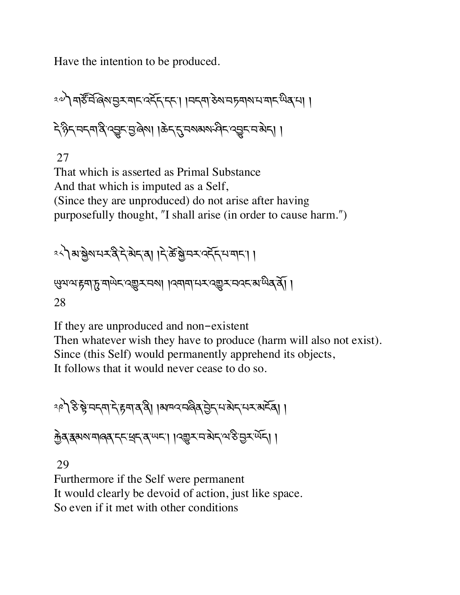Have the intention to be produced.

༢༧༽གཙ¶་བ,་ཞ©ས་6ར་གང་འདོད་དང་། །བདག་ཅེས་བཏགས་པ་གང་ཡིན་པ། ། དེ་ཉིད་བདག་ནི་འVང་6་ཞེས། །ཆེད་\*་བསམས་ཤིང་འVང་བ་མེད། །

27

That which is asserted as Primal Substance And that which is imputed as a Self, (Since they are unproduced) do not arise after having purposefully thought, "I shall arise (in order to cause harm.")

$$
2<\hspace{-1.5mm}\sqrt[3]{\text{avg}}
$$

äལ་ལ་rག་d་གཡེང་འ\_ར་བས། །འགག་པར་འ\_ར་བའང་མ་ཡིན་ནོ། ། 28

If they are unproduced and non-existent Then whatever wish they have to produce (harm will also not exist). Since (this Self) would permanently apprehend its objects, It follows that it would never cease to do so.

$$
\text{Re} \int \mathfrak{F} \cdot \mathfrak{F} = \text{Re} \left[ \mathcal{F} \cdot \mathfrak{F} \right] \text{Re} \left[ \mathcal{F} \cdot \mathfrak{F} \right] \text{Re} \left[ \mathcal{F} \cdot \mathfrak{F} \right] \text{Re} \left[ \mathcal{F} \cdot \mathfrak{F} \right] \text{Re} \left[ \mathcal{F} \cdot \mathfrak{F} \right] \text{Re} \left[ \mathcal{F} \cdot \mathfrak{F} \right] \text{Re} \left[ \mathcal{F} \cdot \mathfrak{F} \right] \text{Re} \left[ \mathcal{F} \cdot \mathfrak{F} \right] \text{Re} \left[ \mathcal{F} \cdot \mathfrak{F} \right] \text{Re} \left[ \mathcal{F} \cdot \mathfrak{F} \right] \text{Re} \left[ \mathcal{F} \cdot \mathfrak{F} \right] \text{Re} \left[ \mathcal{F} \cdot \mathfrak{F} \right] \text{Re} \left[ \mathcal{F} \cdot \mathfrak{F} \right] \text{Re} \left[ \mathcal{F} \cdot \mathfrak{F} \right] \text{Re} \left[ \mathcal{F} \cdot \mathfrak{F} \right] \text{Re} \left[ \mathcal{F} \cdot \mathfrak{F} \right] \text{Re} \left[ \mathcal{F} \cdot \mathfrak{F} \right] \text{Re} \left[ \mathcal{F} \cdot \mathfrak{F} \right] \text{Re} \left[ \mathcal{F} \cdot \mathfrak{F} \right] \text{Re} \left[ \mathcal{F} \cdot \mathfrak{F} \right] \text{Im} \left[ \mathcal{F} \cdot \mathfrak{F} \right] \text{Im} \left[ \mathcal{F} \cdot \mathfrak{F} \right] \text{Im} \left[ \mathcal{F} \cdot \mathfrak{F} \right] \text{Im} \left[ \mathcal{F} \cdot \mathfrak{F} \right] \text{Im} \left[ \mathcal{F} \cdot \mathfrak{F} \right] \text{Im} \left[ \mathcal{F} \cdot \mathfrak{F} \right] \text{Im} \left[ \mathcal{F} \cdot \mathfrak{F} \right] \text{Im} \left[ \mathcal{F} \cdot \mathfrak{F} \right] \text{Im} \left[
$$

क्तेत्र इसरा मानव दम्यद् । । यशुरा में अद्भु स्वार्थ के सुरूपेन् ।

29

Furthermore if the Self were permanent It would clearly be devoid of action, just like space. So even if it met with other conditions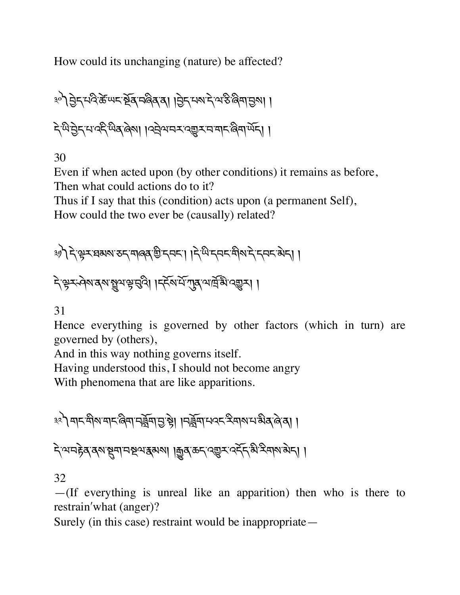How could its unchanging (nature) be affected?

३०) नेन मदिके लगह के बाद पुरुष के बाद में पहुंच हो । देखेड्डेदयददेखेइले। ।उन्नेवानर उच्चर न बार बिनार्लेद। ।

30

Even if when acted upon (by other conditions) it remains as before, Then what could actions do to it?

Thus if I say that this (condition) acts upon (a permanent Self),

How could the two ever be (causally) related?

༣༡༽དེ་kར་ཐམས་ཅད་གཞན་aི་དབང་། །དེ་ཡི་དབང་གིས་དེ་དབང་མེད། །

देक्ष्म्म्मेवरा बुवाभ्रुमुद्धी । दर्देशर्मे गुरु वार्मुह्य द्युम् ।

31

Hence everything is governed by other factors (which in turn) are governed by (others),

And in this way nothing governs itself.

Having understood this, I should not become angry

With phenomena that are like apparitions.

<u>३२) बाद बीबाबाद लिया नर्वेना न से । । नर्वेना मवद देवाबात अवले बा ।</u>

ন্দিমান্টৰ্ ৰ্মান্থমা নম্বম্বৰুমা । ক্ৰুৰ্ ক্ৰন্ ব্ৰ্ভুন বৰ্মন স্বী ৰ্মান্স ৰান।

32

—(If everything is unreal like an apparition) then who is there to restrain'what (anger)?

Surely (in this case) restraint would be inappropriate—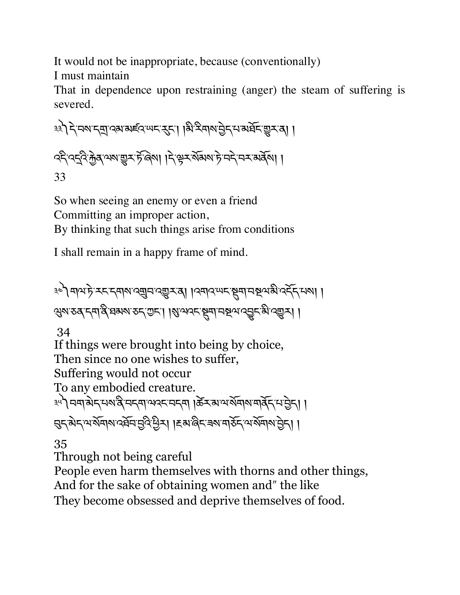It would not be inappropriate, because (conventionally) I must maintain

That in dependence upon restraining (anger) the steam of suffering is severed.

३३) दे मरा दया दया अर्हद स्पद रहा। बि स्वार मुंद म अर्घ द सुस्व। । ব্দ্বিক্ট্রেক্ট ক্রম্ভের্স্ট জিমা। দিঙ্গ্রুর্স্ট ব্রিমেক্স কর্মি। 33

So when seeing an enemy or even a friend Committing an improper action, By thinking that such things arise from conditions

I shall remain in a happy frame of mind.

༣༤༽གལ་ཏེ་རང་དགས་འ¥བ་འ\_ར་ན། །འགའ་ཡང་Sག་བUལ་མི་འདོད་པས། ། প্রমাত্তৰ দ্বার্থ ঘ্রম্মাত্ত দ্বাত্তা। ।ম্বান্সেম্ মুমানম্বন্য এক্সিমা । 34 If things were brought into being by choice, Then since no one wishes to suffer, Suffering would not occur To any embodied creature. ༣༥༽བག་མེད་པས་ནི་བདག་ལའང་བདག །ཚèར་མ་ལ་སོགས་གནོད་པ་6ེད། ། দ্ভুন্ ঝন্দ অর্মিন অবিশ্রুনি ভূবি উন্ন। । দ্রুমান্তিন অর্মান উন্ন। । 35

Through not being careful

People even harm themselves with thorns and other things,

And for the sake of obtaining women and" the like

They become obsessed and deprive themselves of food.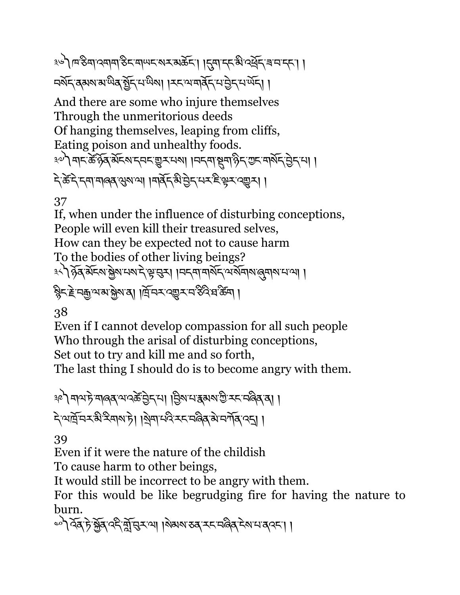༣༦༽ཁ་ཅིག་འགག་ཅིང་གཡང་སར་མཆོང་། །\*ག་དང་མི་འ~ོད་ཟ་བ་དང་། ། নৰ্মন ৰ্মমখন অৱস্থিত নামীৰ পৰা বিদেশ আৰু বিদেশ আৰু

And there are some who injure themselves Through the unmeritorious deeds Of hanging themselves, leaping from cliffs, Eating poison and unhealthy foods. <u>३०</u>) बादक्केंद्र अँदरू दादर सुरूपा । मदवा सुबा देन सार्वेद चेन पा । दे के दे दमा मार्ब् सुरा था ।मार्वे द अमेर मर है सर दशरा।

37

If, when under the influence of disturbing conceptions, People will even kill their treasured selves, How can they be expected not to cause harm To the bodies of other living beings? ३५) हेत्र बेंदर से बेरा मया दे से बीच । जनवा बोर्स लाया थी । ষ্ট্ৰিন্ট্ৰ'নক্ৰুণ্যপ্ৰাঞ্জীখৰা। দ্ৰিদ্ৰম্ভ্ৰেম্ব'ইবিংঘক্ট্ৰা।

38

Even if I cannot develop compassion for all such people Who through the arisal of disturbing conceptions, Set out to try and kill me and so forth,

The last thing I should do is to become angry with them.

ঞ্চ) নাম'ট'নাৰ্ব্ ম'নস্ক্ৰীন'না । শ্ৰিম'ন' ক্কমম'ণ্ডী স্ক'নৰ্ব্বি'ৰা । ন্দিমার্দ্রিম্বামটা। খিনাম্বিম্বাজীবলীর বন্য

39

Even if it were the nature of the childish

To cause harm to other beings,

It would still be incorrect to be angry with them.

For this would be like begrudging fire for having the nature to burn.

༤༠༽འོན་ཏེ་fོན་འདི་oོ་gར་ལ། །སེམས་ཅན་རང་བཞིན་ངེས་པ་ནའང་། །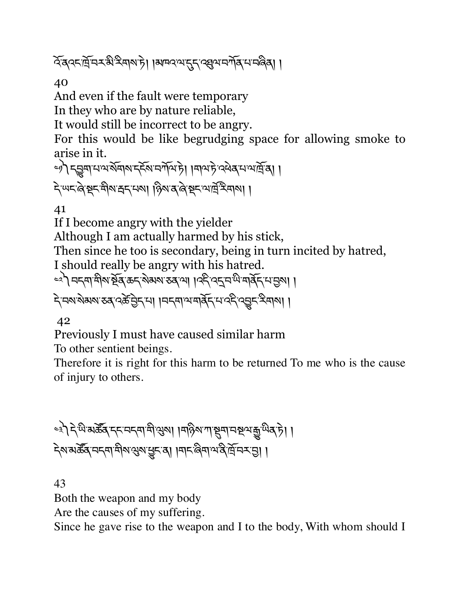হিঁৰ্বংদ্ৰিদমন্ত্ৰী ইৰাম'টা ।মাদ্ৰব্ৰেদ্দেদ্দেশ্ৰেণমাৰ্মিমান্ত্ৰী ।

40

And even if the fault were temporary

In they who are by nature reliable,

It would still be incorrect to be angry.

For this would be like begrudging space for allowing smoke to arise in it.

ৢ) কুমানা অর্থনা দুর্বর মানী দিব। বিবিদেশ দুর্বি। ই অন্তর্জুন শীৰাস্থা নিগা । টিখের জিটা প্রান্থ বিদ্রা

41

If I become angry with the yielder

Although I am actually harmed by his stick,

Then since he too is secondary, being in turn incited by hatred,

I should really be angry with his hatred.

্ৰী নন্দামীৰ ষ্ট্ৰ ক্ৰন ৰক্ষা হৰ'ল। । বন্দৰ বন্দৰ মাৰ্কি নামী।

दे नवा बेमबा रुव दर्भे होना । । नन्या वार्बेन मार्क्षे दुष्टन देवाना ।

42

Previously I must have caused similar harm To other sentient beings.

Therefore it is right for this harm to be returned To me who is the cause of injury to others.

<u>اِ</u> । ﴿ وَلَا يَعْلَمُ إِلَيْهِ إِلاَّ إِلاَّ إِلاَّ إِلَيْهِمْ إِلَيْهِ إِلَيْهِ إِلَيْهِ إِلَيْهِ إِلَيْهِ إِ ইমামক্টৰ নহনা নীমাপ্তমান্ত হা । মাহাৰীৰ অন্তৰ্ট নহন্ত। ।

43

Both the weapon and my body

Are the causes of my suffering.

Since he gave rise to the weapon and I to the body, With whom should I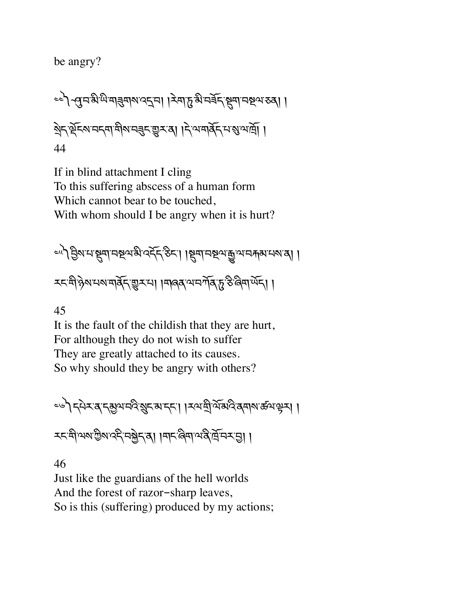be angry?

༤༤༽]་བ་མི་ཡི་གÑགས་འî་བ། །རེག་d་མི་བཟོད་Sག་བUལ་ཅན། ། Kེད་çོངས་བདག་གིས་བÑང་\_ར་ན། །དེ་ལ་གནོད་པ་Ü་ལ་ོ། ། 44

If in blind attachment I cling To this suffering abscess of a human form Which cannot bear to be touched, With whom should I be angry when it is hurt?

༤༥༽6ིས་པ་Sག་བUལ་མི་འདོད་ཅིང་། །Sག་བUལ་ê་ལ་བÅམ་པས་ན། ། རང་གི་ཉེས་པས་གནོད་\_ར་པ། །གཞན་ལ་བཀོན་d་ཅི་ཞིག་ཡོད། །

45

It is the fault of the childish that they are hurt, For although they do not wish to suffer They are greatly attached to its causes. So why should they be angry with others?

༤༦༽དཔེར་ན་དõལ་བའི་ºང་མ་དང་། །རལ་tི་ལོ་མའི་ནགས་ཚལ་kར། །

རང་གི་ལས་Iིས་འདི་བfེད་ན། །གང་ཞིག་ལ་ནི་ོ་བར་6། །

46

Just like the guardians of the hell worlds And the forest of razor-sharp leaves, So is this (suffering) produced by my actions;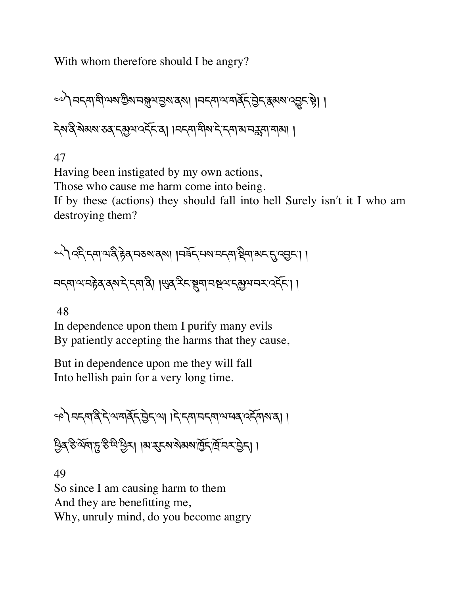With whom therefore should I be angry?

১৯) নন্দামীসমাট্টমানম্লুমান্তমাৰ্মা ।নন্দামানাৰ্ক্ ট্ৰিন্ ক্কমমান্ত্ৰ্য ষ্টা । देशद्वे शेमशङ्कर मुसुवादर्दे ब्रा । मन्या मीश ने न्या मानक्ष्मा भा

47

Having been instigated by my own actions, Those who cause me harm come into being. If by these (actions) they should fall into hell Surely isn't it I who am destroying them?

<े) २६ दमा अर्थ हेब नरुषा बुषा । मर्बेद मरा नदमा ष्ट्रेमा अदार दुख्य । । मद्दमाञ्चनहेव वर्षादे दमावी । सुव देद सूमा मन्नय द्युत्रमय दर्देद। ।

48

In dependence upon them I purify many evils By patiently accepting the harms that they cause,

But in dependence upon me they will fall Into hellish pain for a very long time.

ৃণী নন্দান্ত্ৰী নিমানবিদিলে। । বিদেশ নন্দা অপৰ বিদ্যালয়।

ਉब ठे येवा हु ठे थे छुन। । अर् इत्या रोबयार्द्वि दिनि र प्रेहा। ।

49 So since I am causing harm to them And they are benefitting me, Why, unruly mind, do you become angry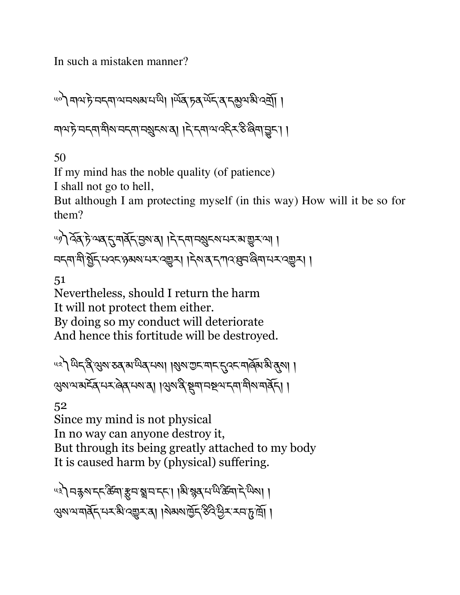In such a mistaken manner?

༥༠༽གལ་ཏེ་བདག་ལ་བསམ་པ་ཡི། །ཡོན་ཏན་ཡོད་ན་དõལ་མི་འtོ། ། གལ་ཏེ་བདག་གིས་བདག་བºངས་ན། །དེ་དག་ལ་འདིར་ཅི་ཞིག་Vང་། །

50

If my mind has the noble quality (of patience)

I shall not go to hell,

But although I am protecting myself (in this way) How will it be so for them?

୴) ব্রুট অব'ন্সের্ব্রি'ন্ডমাত্রা । দ্বাদমানগ্রুদমানসমাভ্তুসাতা। ন্দ্ৰান্দ্ৰীৰ্মুদ্মেৰ্দ্কাঞ্জৰ্মসম্মহাৰ্ছ্ম। । দ্ৰাৰ্ম্বাদ্বাৰ্থ্য বিদা

51

Nevertheless, should I return the harm It will not protect them either. By doing so my conduct will deteriorate And hence this fortitude will be destroyed.

<u>"</u> प्रो ਘेद देखुरा रुव राष्णेव परा। । शुरा गुरू माद दुवर मार्केस से बुरा। । Qས་ལ་མངོན་པར་ཞེན་པས་ན། །Qས་ནི་Sག་བUལ་དག་གིས་གནོད། །

52

Since my mind is not physical In no way can anyone destroy it, But through its being greatly attached to my body It is caused harm by (physical) suffering.

୴ଽ**৾**୲ଵङ्ग*ार्ट् अर्चः अर्थव*्था । कुछि । अन्नि अन्नान् कुछ। । २४४ थमार्गेन स्था २२२ वा । २२ ४ लिंग २२ क्षेत्र राजनी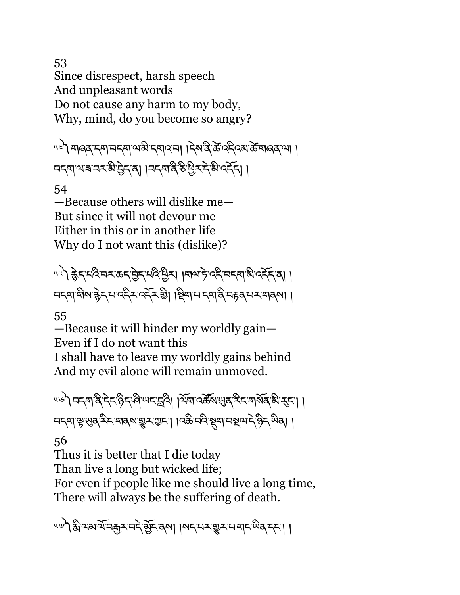53 Since disrespect, harsh speech And unpleasant words Do not cause any harm to my body, Why, mind, do you become so angry?

<u>"ब्लिक् इसामह्यालुक्क रसारमा । इसदिक्क क्रिकार्क बालव्या ।</u> নন্দাম্মৰ নমষ্টিট্ৰন্ম। ।নন্দাৰ্ষিষ্ট শ্ৰমন্দি ৰাবি

54

—Because others will dislike me— But since it will not devour me Either in this or in another life Why do I not want this (dislike)?

<u>uuे) क्ले</u>ंद्रायदिम्बाइन् सेन्ट्रा अविष्य । अत्र के दिन्यद्रमा अव्हेंद्रा । བདག་གིས་cེད་པ་འདིར་འདོར་aི། །Pིག་པ་དག་ནི་བrན་པར་གནས། །

55

—Because it will hinder my worldly gain— Even if I do not want this

I shall have to leave my worldly gains behind And my evil alone will remain unmoved.

५७) नदवादे देद हेन्देव स्पद्धवि। ।येवा २ के सुबु देद मार्शेव भे दुद। । নধ্যাঞ্চুখ্যৰ্স্কিমাৰ্জ্যমুম্ভমা। ।৭ষ্কিমণ্ডি মুম্বানম্বূপদ্ধ গ্ৰী ।

56

Thus it is better that I die today Than live a long but wicked life; For even if people like me should live a long time, There will always be the suffering of death.

५०) हैं अबार्ये मकुरामरे ब्रेहा दबा। बिहार सराज्ञ से बाहरा ।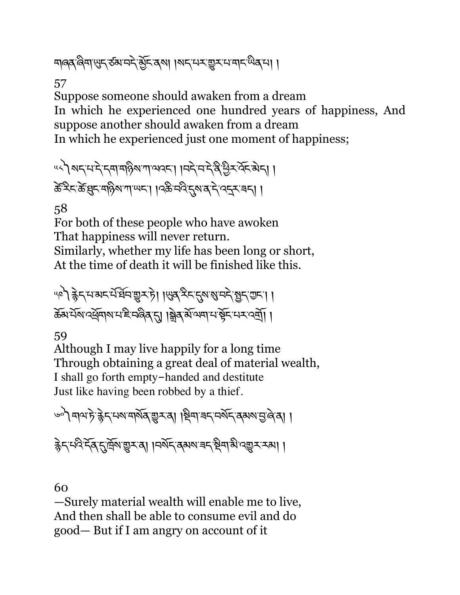শৰ্ক্ষিণ খুন্ঠ অ'নন্দ্ৰ মুঁন'ৰ্মা । মন্মেম্ভুম'ম'মান' অৰ্'মা ।

57

Suppose someone should awaken from a dream In which he experienced one hundred years of happiness, And suppose another should awaken from a dream In which he experienced just one moment of happiness;

५८) अन्यदेन बाबाढ़ेश गायवन् । । बने बन्धे देखिन बेन् । <u></u><br>केन्द्रिन् क्रें घ्रुट् महिषाणा प्यदा । । दक्षे मदि तुषा बाने व्यन् न्या ।

58

For both of these people who have awoken That happiness will never return. Similarly, whether my life has been long or short, At the time of death it will be finished like this.

<u>40) क्ले</u> राज्ञर में बेन सूर है। । सुबु रे राहु शबाने बुर सा । क्रॅग सॅरा दर्यू मार्ग हे नलिव रा । ब्रेव रॉज्या मर्सेट मर दर्गा ।

59

Although I may live happily for a long time Through obtaining a great deal of material wealth, I shall go forth empty-handed and destitute Just like having been robbed by a thief.

ভণী নামাট ক্লীন মামামার্মৰ ভূম ৰা । ষ্টিনা নম্বন নর্মন ক্রমমান্ত বিবা । हेन्द्रदेद्द्राप्र्कुराष्ट्राम् । । नव्रन्द्रक्षया बन्धिया अप्रुप्रम्या।

60

—Surely material wealth will enable me to live, And then shall be able to consume evil and do good— But if I am angry on account of it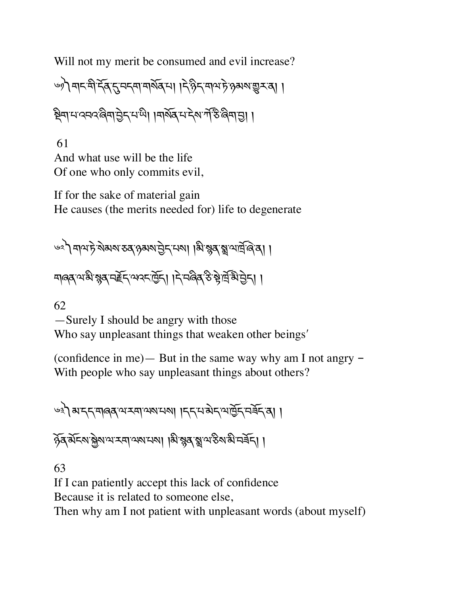Will not my merit be consumed and evil increase?

ঙ্গী নামনীর্দ্ধিদ্রাননামর্মির্মা। । দ্রিষ্টিদ্বাথা টুঞ্জমমাভ্যুমন্ত্র। ।

ষ্ট্ৰিনামান্ননৰ জিনাট্ৰান নামী। । মাৰ্থৰ মান মান্তি জিনাটা।

 61 And what use will be the life Of one who only commits evil,

If for the sake of material gain He causes (the merits needed for) life to degenerate

৬২) নাম চৃ.খৰুমা হৰ ওৰপ্ৰতি দৈতা । মুক্তি স্থানট্ৰিঙ্গৰ। ।

মাৰ্ক্সম্ম শ্বৰ মাইন্সম্বন্ট্ৰা। দিনৰিৰ ইন্ট্ৰান্নী ট্ৰান।

62

—Surely I should be angry with those Who say unpleasant things that weaken other beings'

(confidence in me) — But in the same way why am I not angry  $-$ With people who say unpleasant things about others?

༦༣༽མ་དད་གཞན་ལ་རག་ལས་པས། །དད་པ་མེད་ལ་ñོད་བཟོད་ན། །

ঠুব্ মঁহমাষ্ট্ৰমাণ্য হ্ৰাণ্ডমানমা। মি'ম্বুব্'ম্ব্ৰাণ্ড ক্ষান্ম হৰ্ন। ।

63

If I can patiently accept this lack of confidence

Because it is related to someone else,

Then why am I not patient with unpleasant words (about myself)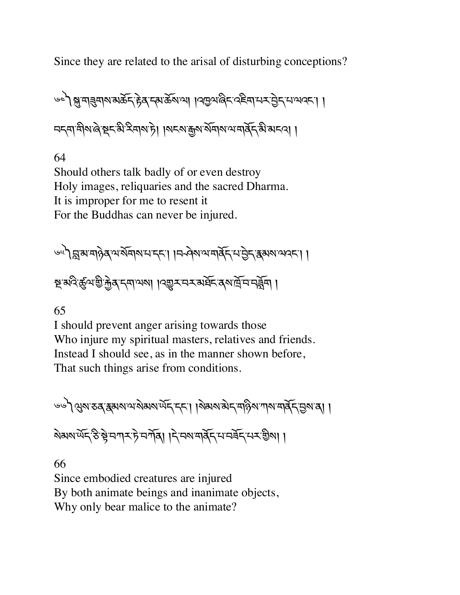Since they are related to the arisal of disturbing conceptions?

७८) अमार बार्ग अर्केट हेव द्या क्रमा । प्रवृत्या बेट रहेवा मन पेट मायवटा। བདག་གིས་ཞེ་Pང་མི་རིགས་ཏེ། །སངས་\$ས་སོགས་ལ་གནོད་མི་མངའ། །

64

Should others talk badly of or even destroy Holy images, reliquaries and the sacred Dharma. It is improper for me to resent it For the Buddhas can never be injured.

༦༥༽s་མ་གཉེན་ལ་སོགས་པ་དང་། །བ ཤེས་ལ་གནོད་པ་6ེད་{མས་ལའང་། ། U་མའི་ôལ་aི་×ེན་དག་ལས། །འ\_ར་བར་མཐོང་ནས་ོ་བ་བºོག །

65

I should prevent anger arising towards those Who injure my spiritual masters, relatives and friends. Instead I should see, as in the manner shown before, That such things arise from conditions.

$$
\text{exp}(2\pi\sqrt{2\pi\sqrt{2\pi}}\text{exp}(2\pi\sqrt{2\pi\sqrt{2\pi}}\text{exp}(2\pi\sqrt{2\pi\sqrt{2\pi}}\text{exp}(2\pi\sqrt{2\pi}\text{exp}(2\pi\sqrt{2\pi}\text{exp}(2\pi\sqrt{2\pi}\text{exp}(2\pi\text{exp}(2\pi\text{exp}(2\pi\text{exp}(2\pi\text{exp}(2\pi\text{exp}(2\pi\text{exp}(2\pi\text{exp}(2\pi\text{exp}(2\pi\text{exp}(2\pi\text{exp}(2\pi\text{exp}(2\pi\text{exp}(2\pi\text{exp}(2\pi\text{exp}(2\pi\text{exp}(2\pi\text{exp}(2\pi\text{exp}(2\pi\text{exp}(2\pi\text{exp}(2\pi\text{exp}(2\pi\text{exp}(2\pi\text{exp}(2\pi\text{exp}(2\pi\text{exp}(2\pi\text{exp}(2\pi\text{exp}(2\pi\text{exp}(2\pi\text{exp}(2\pi\text{exp}(2\pi\text{exp}(2\pi\text{exp}(2\pi\text{exp}(2\pi\text{exp}(2\pi\text{exp}(2\pi\text{exp}(2\pi\text{exp}(2\pi\text{exp}(2\pi\text{exp}(2\pi\text{exp}(2\pi\text{exp}(2\pi\text{exp}(2\pi\text{exp}(2\pi\text{exp}(2\pi\text{exp}(2\pi\text{exp}(2\pi\text{exp}(2\pi\text{exp}(2\pi\text{exp}(2\pi\text{exp}(2\pi\text{exp}(2\pi\text{exp}(2\pi\text{exp}(2\pi\text{exp}(2\pi\text{exp}(2\pi\text{exp}(2\pi\text{exp}(2\pi\text{exp}(2\pi\text{exp}(2\pi\text{exp}(2\pi\text{exp}(2\pi\text{exp}(2\pi\text{exp}(2\pi\text{exp}(2\pi\text{exp}(2\pi\text{exp}(2\pi\text{exp}(2\pi\text{exp}(2\pi\text{exp}(2\pi\text{exp}(2\pi\text{exp}(2\pi\text{exp}(2\pi\text{exp}(2\pi\text{exp}(2\pi\text{exp}(2\pi\text{exp}(2\pi\text{exp}(2\pi\text{exp}(2\pi\text{exp}(2\pi\text{exp}(2\pi\text{exp}(2\pi\text{exp}(2\
$$

ষ্মৰাৰ্অন্টিষ্ট্ৰাম্য দুটা নাৰি। । দ্বাৰ্মা মৰ্কিন মাৰ্কিন মৰ্কিন। ।

66

Since embodied creatures are injured By both animate beings and inanimate objects, Why only bear malice to the animate?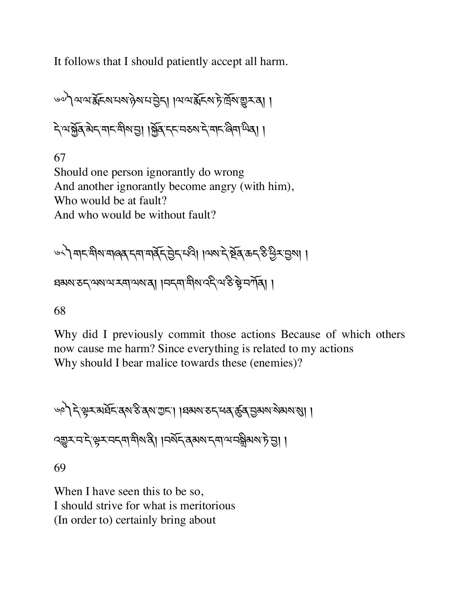It follows that I should patiently accept all harm.

༦༧༽ལ་ལ་ïོངས་པས་ཉེས་པ་6ེད། །ལ་ལ་ïོངས་ཏེ་ོས་\_ར་ན། ། དེ་ལ་fོན་མེད་གང་གིས་6། །fོན་དང་བཅས་དེ་གང་ཞིག་ཡིན། །

67 Should one person ignorantly do wrong And another ignorantly become angry (with him), Who would be at fault? And who would be without fault?

༦༨༽གང་གིས་གཞན་དག་གནོད་6ེད་པའི། །ལས་དེ་Uོན་ཆད་ཅི་Cིར་6ས། ། ཐམས་ཅད་ལས་ལ་རག་ལས་ན། །བདག་གིས་འདི་ལ་ཅི་bེ་བཀོན། །

68

Why did I previously commit those actions Because of which others now cause me harm? Since everything is related to my actions Why should I bear malice towards these (enemies)?

༦༩༽དེ་kར་མཐོང་ནས་ཅི་ནས་Iང་། །ཐམས་ཅད་ཕན་ôན་6མས་སེམས་Ü། ། འ\_ར་བ་དེ་kར་བདག་གིས་ནི། །བསོད་ནམས་དག་ལ་བãིམས་ཏེ་6། ། 69

When I have seen this to be so, I should strive for what is meritorious (In order to) certainly bring about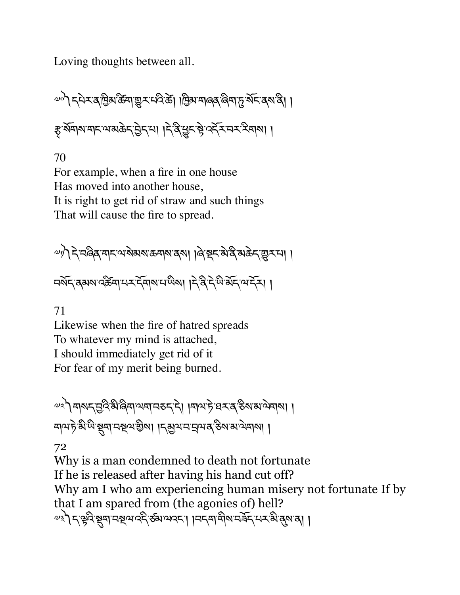Loving thoughts between all.

 $\omega$ ो ८२२४ व विष क्रमाञ्चर प्रदेखे। बिरामार्बर बिमार् र्थेट वर्षांदी। ङ्गर्श्वारामादायाराके रुपेदामा ।दे बैखेर हे उर्दे समया ।

70

For example, when a fire in one house Has moved into another house, It is right to get rid of straw and such things That will cause the fire to spread.

 $\omega$ गो दे वर्ढिव मदयशेयरा ऊवारा दला । बिञ्चद मे द्वे अक्रेद सुरमा । নৰ্মন ৰমম বৰ্ক্তমা নৰ্মনীৰ নাম দিৱী দিৱী আৰু নাম

71

Likewise when the fire of hatred spreads To whatever my mind is attached, I should immediately get rid of it For fear of my merit being burned.

 $\sim$ ੇ) मारा मुदिभिलिगियमा मरु दे| ।माय हे घर द ठैरा अप्रेमाया । নামট্রস্কুমী ক্রমান কর্তমা। বিদিন এর ক্রম কর্তমানা।

72

Why is a man condemned to death not fortunate If he is released after having his hand cut off? Why am I who am experiencing human misery not fortunate If by that I am spared from (the agonies of) hell?  $\sim$ ୬) דְុୱୃଦି ଷ୍ଟୁସ୍। ସଷ୍ଟ୍ରଦାଦ୍ନି କ୍ଷିୟାଦ୍ୟମ୍ । ।ସମ୍ୟା ସ୍ଥିବା ସଞ୍ଚି ମୟୁଷ୍ଟ ଜିବା ।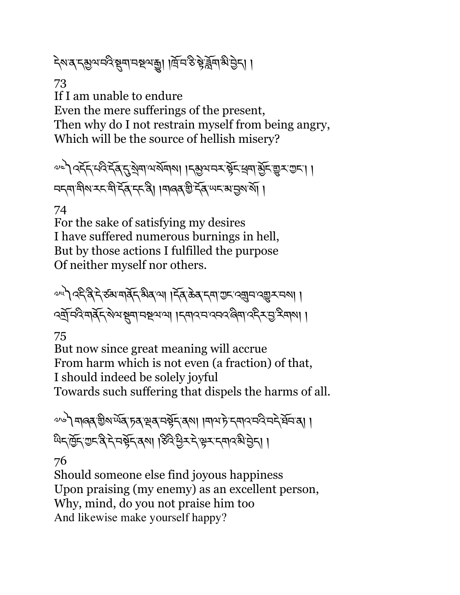২মত্ৰ ব্ৰম্ভূমনই স্থলানম্বন্দ্ৰী । দ্ৰিনস্ত ষ্টৰ্ৰুনাম্বন্তিবা ।

73

If I am unable to endure Even the mere sufferings of the present, Then why do I not restrain myself from being angry, Which will be the source of hellish misery?

 $\sim$ े २८८८ स्वेदेह्न रुवायर्ष्याया । रुष्ठे अस्य क्रूप बनार्बेट स्य दिन्य নন্দামীম মন্দী দ্বিদ্দেষী। ।মাৰৰ্ভীৰ্দৰ অনভাষ্যমা।

### 74

For the sake of satisfying my desires I have suffered numerous burnings in hell, But by those actions I fulfilled the purpose Of neither myself nor others.

୶୴) २६३२८ अबार्वेद सेवला । स्व केव दम राजन २ अवस्था। उत्त्रिमदिमार्देन्'रोभञ्चिमानञ्जना । नमाउम्रक्षमार्द्धिरप्रद्विप्राणा ।

75

But now since great meaning will accrue From harm which is not even (a fraction) of that, I should indeed be solely joyful Towards such suffering that dispels the harms of all.

 $\sim$ े) मालव् ग्री अर्थेव् मृत्यु स्वानर्भेन् वर्षा ।मायमे नमाय मेदे मने र्वेन व् ५२ लिंद गुरु दे दे नर्भेद वहा । हेर्दे पुर दे भूर दमार बे तेन् । ।

76

Should someone else find joyous happiness Upon praising (my enemy) as an excellent person, Why, mind, do you not praise him too And likewise make yourself happy?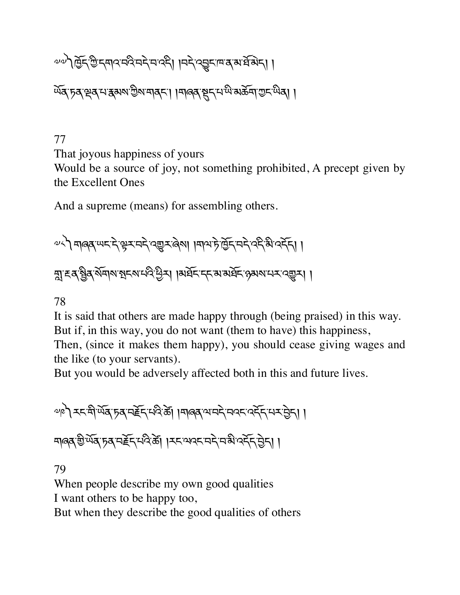## $\sim$  $\sim$ ମ୍ପ୍ରିମ୍ଡି'ମ୍ୟାଦ୍ୟଦି'ସମ୍ପ୍ୟା ।ସମ୍ପ୍ରେମ୍ାସ୍ଟ୍ୟାସିୟମ୍

<u>উ</u>ৰ্ট্ চৰ্ব্ব্ৰিয় প্ৰধানী আৰু বিধানী দিবলৈ প্ৰধানী ।

77

That joyous happiness of yours

Would be a source of joy, not something prohibited, A precept given by the Excellent Ones

And a supreme (means) for assembling others.

 $\sim$ ें मालब ਘद दे भूर मदे वर्षु र लेला ।माय हे प्रेन्टि मदे देते अं दर्दन् । ন্না হব খ্ৰিব ৰ্মনাথ শ্বনম দৰ্দ্ব দ্ৰী দা ৰাষ্ট্ৰন কৰা মাৰ্কি ওৰামান বেল্লন।।

78

It is said that others are made happy through (being praised) in this way. But if, in this way, you do not want (them to have) this happiness,

Then, (since it makes them happy), you should cease giving wages and the like (to your servants).

But you would be adversely affected both in this and future lives.

 $\sim$ ९) རང་སི་ལོན་ $5$ ན་བརོད་པའི་ਲੇୗ ।བ།འན་ལ་བརེ་བའང་འརོད་པར་བྱིད། । মাৰ ভূঞ্জি দুৰ্দ্দ দুৰ্দ্দ কৰে। বিশেষ বিদ্যালয় বিদ্যালয়

79

When people describe my own good qualities

I want others to be happy too,

But when they describe the good qualities of others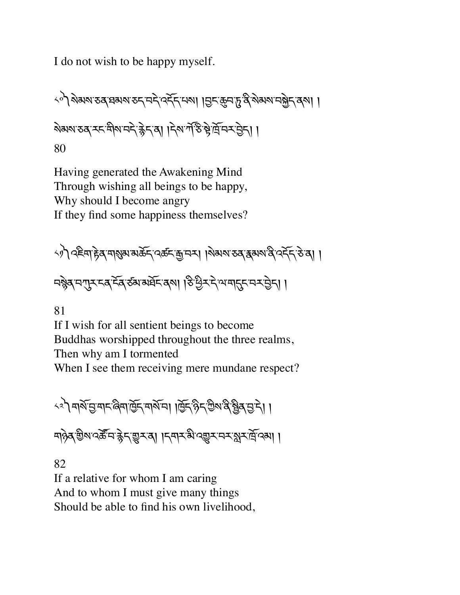I do not wish to be happy myself.

༨༠༽སེམས་ཅན་ཐམས་ཅད་བདེ་འདོད་པས། །6ང་8བ་d་ནི་སེམས་བfེད་ནས། ། སེམས་ཅན་རང་གིས་བདེ་cེད་ན། །དེས་ཀ,་ཅ.་bེ་ོ་བར་6ེད། ། 80

Having generated the Awakening Mind Through wishing all beings to be happy, Why should I become angry If they find some happiness themselves?

༨༡༽འཇིག་rེན་གÜམ་མཆོད་འཚང་\$་བར། །སེམས་ཅན་{མས་ནི་འདོད་ཅེ་ན། ། བìེན་བLར་ངན་ངོན་ཙམ་མཐོང་ནས། །ཅི་Cིར་དེ་ལ་ག\*ང་བར་6ེད། །

81

If I wish for all sentient beings to become Buddhas worshipped throughout the three realms, Then why am I tormented When I see them receiving mere mundane respect?

༨༢༽གསོ་6་གང་ཞིག་ñོད་གསོ་བ། །ñོད་ཉིད་Iིས་ནི་Xིན་6་དེ། ། གཉེན་aིས་འཚ|་བ་cེད་\_ར་ན། །དགར་མི་འ\_ར་བར་¢ར་ོ་འམ། །

82

If a relative for whom I am caring And to whom I must give many things Should be able to find his own livelihood,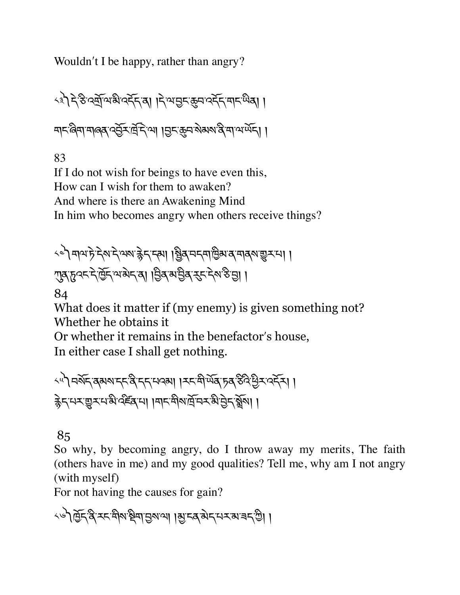Wouldn't I be happy, rather than angry?

༨༣༽དེ་ཅི་འtོ་ལ་མི་འདོད་ན། །དེ་ལ་6ང་8བ་འདོད་གང་ཡིན། ། শ্ৰ্ম'ন্ত্ৰিশ্মাৰ্জ্ব'ৰ্ই্সমন্ত্ৰী ৰাজ্য বিভাগ কৰি ।।

83

If I do not wish for beings to have even this, How can I wish for them to awaken? And where is there an Awakening Mind In him who becomes angry when others receive things?

༨༤༽གལ་ཏེ་དེས་དེ་ལས་cེད་དམ། །Xིན་བདག་ñིམ་ན་གནས་\_ར་པ། ། Lན་dའང་དེ་ñོད་ལ་མེད་ན། །6ིན་མ་6ིན་nང་དེས་ཅི་6། །

84

What does it matter if (my enemy) is given something not? Whether he obtains it

Or whether it remains in the benefactorʹs house,

In either case I shall get nothing.

༨༥༽བསོད་ནམས་དང་ནི་དད་པའམ། །རང་གི་ཡོན་ཏན་ཅིའི་Cིར་འདོར། ། cེད་པར་\_ར་པ་མི་འཛòན་པ། །གང་གིས་ོ་བར་མི་6ེད་»ོས། །

### 85

So why, by becoming angry, do I throw away my merits, The faith (others have in me) and my good qualities? Tell me, why am I not angry (with myself)

For not having the causes for gain?

১৬) ব্ৰিন্ত্ৰ হন শীৰ ষ্ট্ৰশন্ত্ৰ আৰু বিভিন্ন প্ৰদৰ্শ গ্ৰাম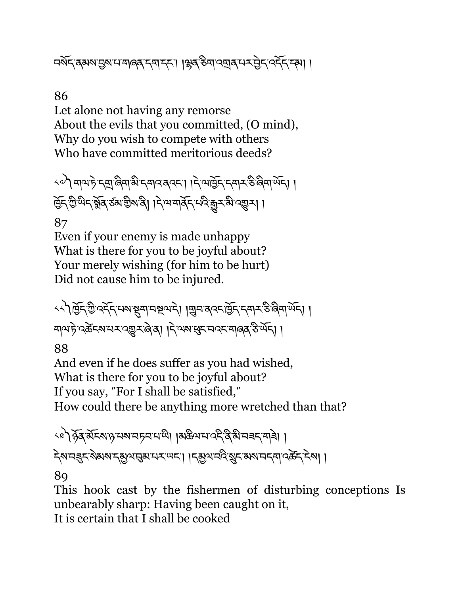নর্মন্'ব্রমম'ন্ডম'ম'মাৰ্ব্ব'ন্ম'ন্দ'। ।ৠব্র'স্তমা'ব্স্র্ব'ন্ম'ট্রন'ৰ্ম্নন্দ'।

86

Let alone not having any remorse About the evils that you committed, (O mind), Why do you wish to compete with others Who have committed meritorious deeds?

 $\sim$ े माय हे न्यू बिमा से नमाय बयन। दियार्हिन नमार रु बिमा र्पेन। ট্রিন্ট্রিশ্মন্'ষ্ট্র্ব্'র্ডম'শ্রীম'ৰী। দি'ম'মার্ব্ন্'ম'ন্ট্রেন্'মী'ন্মুন্।। 87

Even if your enemy is made unhappy What is there for you to be joyful about? Your merely wishing (for him to be hurt) Did not cause him to be injured.

<<े ब्रिंड् ये क्रिंस्था है ब्राजरूप । ब्रिम बेरस्क्रिं स्वार अलग लेन् । । ঘাথ চ়' ব্ৰক্টহম'মহ'ব্ছেহ'ৰ বা । দ্বাৰম' ধ্ৰুহ'মব্দ' মাৰ্ক্ স্কুল্ম ।

88

And even if he does suffer as you had wished, What is there for you to be joyful about? If you say, "For I shall be satisfied," How could there be anything more wretched than that?

༨༩༽ཉོན་མོངས་ཉ་པས་བཏབ་པ་ཡི། །མཆིལ་པ་འདི་ནི་མི་བཟད་གཟེ། ། देशमञ्जूदर्शव्यश्रमञ्जूबास्रस्थदा । द्रबुखमदेखुदायशमदमादर्केदम्बा ।

89

This hook cast by the fishermen of disturbing conceptions Is unbearably sharp: Having been caught on it, It is certain that I shall be cooked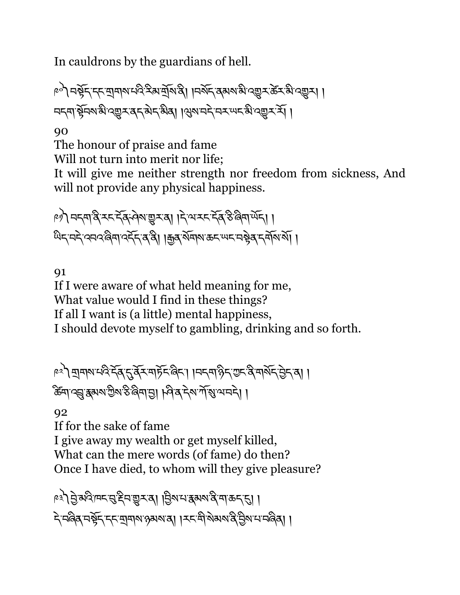In cauldrons by the guardians of hell.

৻৽৾৾৲ নষ্ট্ৰহ হয় যাৰাপ নত্ত হয় যুঁথ প্ৰ। ।নপূৰ্ব প্ৰপথ স্কু ব্ৰহ্ম স্কু ব্ৰন্থ বক্তী । নন্দার্শ্বনমার্ক্যবদ্ভুস্বন্দ্বন্দ্বীর্মাণ্ড্রমান্দ্র্যমন্দ্র বিভ্যুস্মী।

90

The honour of praise and fame Will not turn into merit nor life; It will give me neither strength nor freedom from sickness, And will not provide any physical happiness.

�) নন্দাৰ্ষ হন বৰ্ পৰা ভূতৰা । দ্বাৰ মন বৰ্ষ উদ্ধাৰ্ষন। । থিন্'নন্দ'ৰ্নৰ'ৰ্জিমা'ৰ্ন্দ্ৰন্দ'ৰ্ষৰী ।ক্ৰুৰ'ৰ্মিমাক্তন'ঋন'নছৰ'ন্মমাৰ্মা ।

91

If I were aware of what held meaning for me, What value would I find in these things? If all I want is (a little) mental happiness, I should devote myself to gambling, drinking and so forth.

ৃ৽৾৲ মুদামানবির্দ্ক্রান্ত্র্বিমান্ট্রিদ্জিন। ।নন্দাপ্তিন্ত্র্য বার্মিন্ট্রন্বা। ক্টিমাণ্ড্ৰাধ্ৰুমমণ্ট্ৰীমণ্ড ৰিমান্ডা । পিৰেন্টমাৰ্শি ।।

92

If for the sake of fame I give away my wealth or get myself killed, What can the mere words (of fame) do then? Once I have died, to whom will they give pleasure?

ৃঃ) ট্রাম্বর্দেন'ন্মুইন'ভ্রাস'ব। |ট্রিম'ন'ক্কমম'ব্র'মা'ক্রন'ন্ম। दे नर्विव नर्भेद दद मानाश रुबारा वा । रूद मी शेवारा दे मिशन नर्विवा ।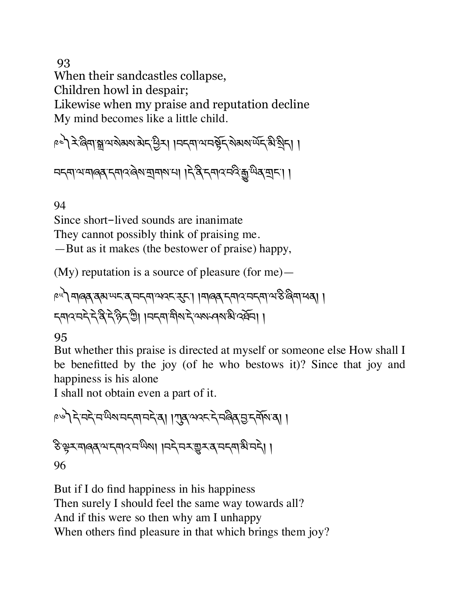93

When their sandcastles collapse,

Children howl in despair;

Likewise when my praise and reputation decline My mind becomes like a little child.

া । । । हिंदी अधिकार भारतीय है। हिंदी भारतीय क्रिये के बार के बार के स्था ।

བདག་ལ་གཞན་དགའ་ཞེས་tགས་པ། །དེ་ནི་དགའ་བའི་ê་ཡིན་tང་། །

94

Since short-lived sounds are inanimate

They cannot possibly think of praising me.

—But as it makes (the bestower of praise) happy,

(My) reputation is a source of pleasure (for me)—

༩༥༽གཞན་ནམ་ཡང་ན་བདག་ལའང་nང་། །གཞན་དགའ་བདག་ལ་ཅི་ཞིག་ཕན། ། དགའ་བདེ་དེ་ནི་དེ་ཉིད་Iི། །བདག་གིས་དེ་ལས་ཤས་མི་འཐོབ། །

### 95

But whether this praise is directed at myself or someone else How shall I be benefitted by the joy (of he who bestows it)? Since that joy and happiness is his alone

I shall not obtain even a part of it.

༩༦༽དེ་བདེ་བ་ཡིས་བདག་བདེ་ན། །Lན་ལའང་དེ་བཞིན་6་དགོས་ན། ། ཅི་kར་གཞན་ལ་དགའ་བ་ཡིས། །བདེ་བར་\_ར་ན་བདག་མི་བདེ། ། 96

But if I do find happiness in his happiness Then surely I should feel the same way towards all? And if this were so then why am I unhappy When others find pleasure in that which brings them joy?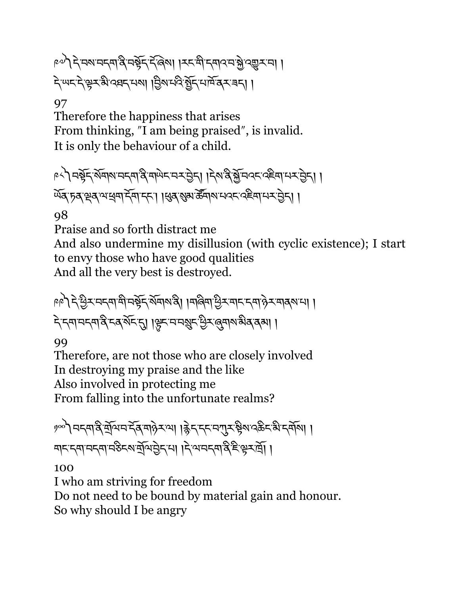১৯) ২ নম'নব্দাপ্ত নষ্ট্ৰ দ্ৰুজে। । মন্ত্ৰী ব্ৰাওনস্ত্ৰী ব্ৰহ্ম না । दे ਘद दे भूर बी दवद मया। त्रिय मदे बेह मार्म दर बना।

### 97

Therefore the happiness that arises From thinking, "I am being praised", is invalid. It is only the behaviour of a child.

༩༨༽བbོད་སོགས་བདག་ནི་གཡེང་བར་6ེད། །དེས་ནི་fོ་བའང་འཇིག་པར་6ེད། ། ৰ্ਘব্ চৰাপ্লবাৰ্থমাইমাদ্দা ।ধ্ৰুৰাম্ব্ৰাৰ্জনামানবাৰ্থইমাদ্ৰাইনা ।

98

Praise and so forth distract me And also undermine my disillusion (with cyclic existence); I start to envy those who have good qualities And all the very best is destroyed.

༩༩༽དེ་Cིར་བདག་གི་བbོད་སོགས་ནི། །གཞིག་Cིར་གང་དག་ཉེར་གནས་པ། ། বিদ্যানন্দান্ত্ৰিনৰ মঁদন্য ।ঞ্লুদানন্মুদণ্ড্ৰি, ৰূমাৰ্জীৰ ৰূমা ।

99

Therefore, are not those who are closely involved In destroying my praise and the like Also involved in protecting me From falling into the unfortunate realms?

ဖွတ် ၁८၀) उद्यान देव मुख्य । हेन दन्यान के अन्य करने । নানন্দানকৰা নঠিনজনীত বিদেশৰ বিদেশ দিবলৈ প্ৰকাশ ।

100

I who am striving for freedom Do not need to be bound by material gain and honour. So why should I be angry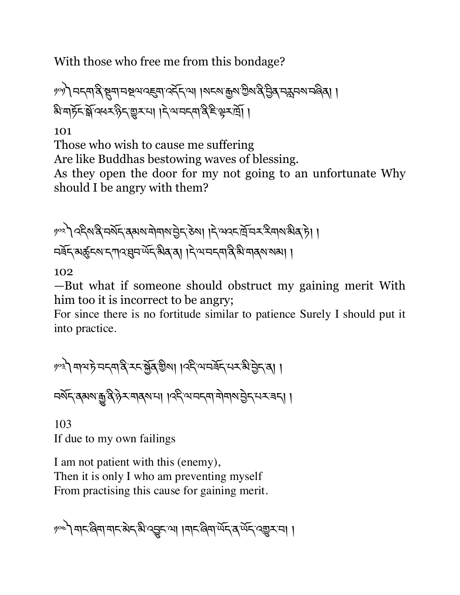With those who free me from this bondage?

��ী নন্দাৰ্ষ মুম্ম নম্ব্ৰাব্দ্ৰমা বৰ্মনাথা । মনমাক্কুমান্ট্ৰমান্ব ট্ৰিৰ নমুনমানৰ্জ্জা । ষি মার্চুহার্ষ্ণব্ধেহন্ত হম।। दिव्य पदमा दे हिन्दू मा

101

Those who wish to cause me suffering

Are like Buddhas bestowing waves of blessing.

As they open the door for my not going to an unfortunate Why should I be angry with them?

༡༠༢༽འདིས་ནི་བསོད་ནམས་གེགས་6ེད་ཅེས། །དེ་ལའང་ོ་བར་རིགས་མིན་ཏེ། ། བཟོད་མôངས་དཀའ་qབ་ཡོད་མིན་ན། །དེ་ལ་བདག་ནི་མི་གནས་སམ། །

102

—But what if someone should obstruct my gaining merit With him too it is incorrect to be angry;

For since there is no fortitude similar to patience Surely I should put it into practice.

༡༠༣༽གལ་ཏེ་བདག་ནི་རང་fོན་aིས། །འདི་ལ་བཟོད་པར་མི་6ེད་ན། ། བསོད་ནམས་ê་ནི་ཉེར་གནས་པ། །འདི་ལ་བདག་གེགས་6ེད་པར་ཟད། །

103 If due to my own failings

I am not patient with this (enemy), Then it is only I who am preventing myself From practising this cause for gaining merit.

༡༠༤༽གང་ཞིག་གང་མེད་མི་འVང་ལ། །གང་ཞིག་ཡོད་ན་ཡོད་འ\_ར་བ། །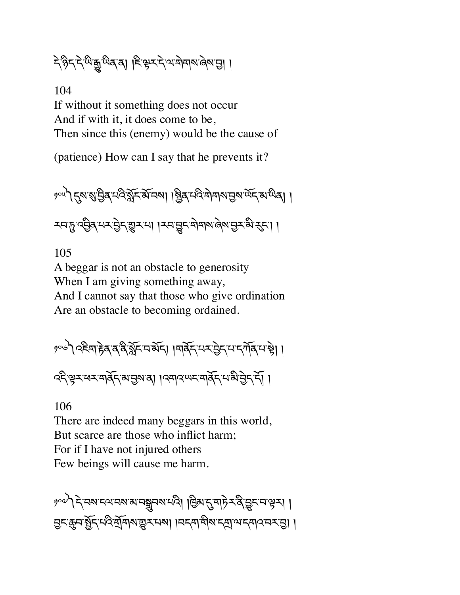২১৯২২ জিক্সিজুৰ ডি. জি. জি. জি. ( জি. জি. १९९१ )

104 If without it something does not occur And if with it, it does come to be, Then since this (enemy) would be the cause of

(patience) How can I say that he prevents it?

၂၀૫) 5 अब्जुलिं मद्र के अन्य । ब्रिब् स्वयं माना मुख्य के साथिया। རབ་ᠮུ་འབྱིན་པར་བྱེད་གྱར་པ། ।རབ་བྱང་གེགས་མེས་བྱར་མི་རུང་། ।

105

A beggar is not an obstacle to generosity When I am giving something away, And I cannot say that those who give ordination Are an obstacle to becoming ordained.

༡༠༦༽འཇིག་rེན་ན་ནི་¢ོང་བ་མོད། །གནོད་པར་6ེད་པ་དཀོན་པ་bེ། ། འདི་kར་ཕར་གནོད་མ་6ས་ན། །འགའ་ཡང་གནོད་པ་མི་6ེད་དོ། །

106

There are indeed many beggars in this world, But scarce are those who inflict harm; For if I have not injured others Few beings will cause me harm.

၂၀၀) देखरादयात्रा अयानुबार भवी । क्रिशहरा महेर देखुर मञ्जर। । सिट्सिनअॅर्ट्स्ट्स्स्कुर्द्द्भवार बारी । जर्द्या सुरुद्र्य जर्द्याउन्द्र्यि ।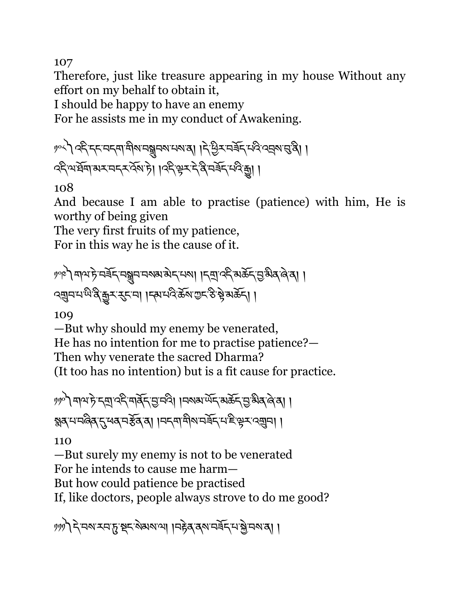107

Therefore, just like treasure appearing in my house Without any effort on my behalf to obtain it,

I should be happy to have an enemy

For he assists me in my conduct of Awakening.

༡༠༨༽འདི་དང་བདག་གིས་བhབས་པས་ན། །དེ་Cིར་བཟོད་པའི་འáས་g་ནི། ། འདི་ལ་ཐོག་མར་བདར་འོས་ཏེ། །འདི་kར་དེ་ནི་བཟོད་པའི་ê། །

108

And because I am able to practise (patience) with him, He is worthy of being given

The very first fruits of my patience,

For in this way he is the cause of it.

༡༠༩༽གལ་ཏེ་བཟོད་བhབ་བསམ་མེད་པས། །དt་འདི་མཆོད་6་མིན་ཞེ་ན། ། འ¥བ་པ་ཡི་ནི་êར་nང་བ། །དམ་པའི་ཆོས་Iང་ཅི་bེ་མཆོད། །

109

—But why should my enemy be venerated, He has no intention for me to practise patience?— Then why venerate the sacred Dharma? (It too has no intention) but is a fit cause for practice.

༡༡༠༽གལ་ཏེ་དt་འདི་གནོད་6་བའི། །བསམ་ཡོད་མཆོད་6་མིན་ཞེ་ན། ། ह्यवायाव विवार संबद्ध । मनवा मोरा मर्जन साहे से राजनीया।

110

—But surely my enemy is not to be venerated For he intends to cause me harm— But how could patience be practised If, like doctors, people always strove to do me good?

༡༡༡༽དེ་བས་རབ་d་Pང་སེམས་ལ། །བrེན་ནས་བཟོད་པ་fེ་བས་ན། །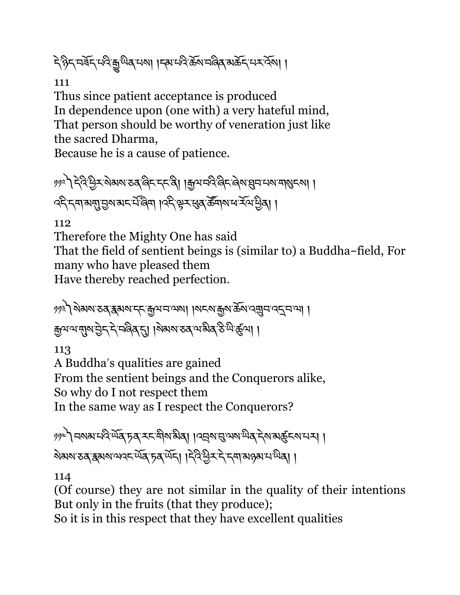दे हेन्द्र मर्बेन् मदि हुँ सब सब्बा । इस मदि क्रय मलेव अर्केन् मर्स्ट्रब्स् ।

111

Thus since patient acceptance is produced In dependence upon (one with) a very hateful mind, That person should be worthy of veneration just like the sacred Dharma,

Because he is a cause of patience.

१११२ देवैद्विद्र बेमबा उब बिहाहहु । कुथचवै बिहाबेबालुमा भाषामाञ्चल । ব্দিনেশন্যান্তমামনর্মজিমা ।বদ্কিত্বসম্বর্জনামন্দর্যমন্ত্রী।

112

Therefore the Mighty One has said

That the field of sentient beings is (similar to) a Buddha-field, For many who have pleased them Have thereby reached perfection.

༡༡༣༽སེམས་ཅན་{མས་དང་\$ལ་བ་ལས། །སངས་\$ས་ཆོས་འ¥བ་འî་བ་ལ། ། ক্কুমম্ম্মুম্ম ট্ৰন্'ন্'নৰ্জিৰ্'ন্ম ।ম্মম্ম তৰ্'ম'ৰ্ক্সিক্ট খি'ৰ্ক্কুমা ।

113

A Buddhaʹs qualities are gained From the sentient beings and the Conquerors alike, So why do I not respect them In the same way as I respect the Conquerors?

༡༡༤༽བསམ་པའི་ཡོན་ཏན་རང་གིས་མིན། །འáས་g་ལས་ཡིན་དེས་མôངས་པར། ། <u> মিমমাত্ত (স্কুমমাত্র অর্ডি) । বিইণ্ডি মাই বিদ্যালয় ক্রমাণা</u> এন

114

(Of course) they are not similar in the quality of their intentions But only in the fruits (that they produce);

So it is in this respect that they have excellent qualities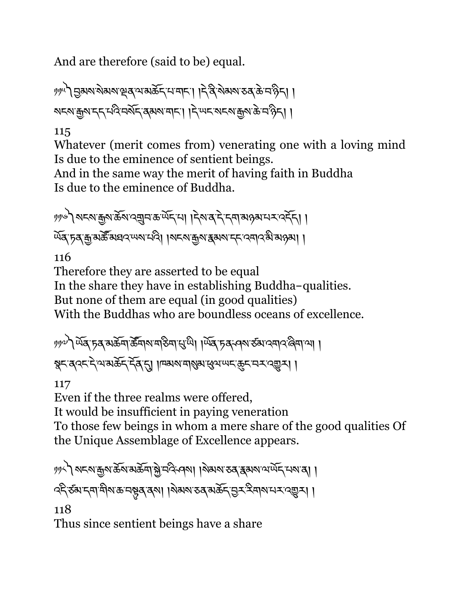And are therefore (said to be) equal.

༡༡༥༽6མས་སེམས་çན་ལ་མཆོད་པ་གང་། །དེ་ནི་སེམས་ཅན་ཆེ་བ་ཉིད། ། སངས་\$ས་དད་པའི་བསོད་ནམས་གང་། །དེ་ཡང་སངས་\$ས་ཆེ་བ་ཉིད། །

### 115

Whatever (merit comes from) venerating one with a loving mind Is due to the eminence of sentient beings.

And in the same way the merit of having faith in Buddha Is due to the eminence of Buddha.

༡༡༦༽སངས་\$ས་ཆོས་འ¥བ་ཆ་ཡོད་པ། །དེས་ན་དེ་དག་མཉམ་པར་འདོད། ། ৰ্ਘব্ চূব্ ক্ৰু মৰ্ক্ট মঘ্ৰ খেম ঘণ্ট । মহমাক্কুমা ক্ৰমমাহৰ বেশৰ মীৰ সক্ষা ।

116

Therefore they are asserted to be equal

In the share they have in establishing Buddha-qualities.

But none of them are equal (in good qualities)

With the Buddhas who are boundless oceans of excellence.

༡༡༧༽ཡོན་ཏན་མཆོག་ཚ|གས་གཅིག་Ö་ཡི། །ཡོན་ཏན་ཤས་ཙམ་འགའ་ཞིག་ལ། ། क्ष्टब्दरदेवरूदे हुन्। । एकसमार स्यास्य प्रदेशर महार

117

Even if the three realms were offered,

It would be insufficient in paying veneration

To those few beings in whom a mere share of the good qualities Of the Unique Assemblage of Excellence appears.

༡༡༨༽སངས་\$ས་ཆོས་མཆོག་fེ་བའི་ཤས། །སེམས་ཅན་{མས་ལ་ཡོད་པས་ན། ། ব্দ্বিক্ষাদ্দাশীমাক্ত নম্ভুৰ্ ব্ৰমা ।মিমমাত্তৰ অৰ্ক্তদ্ভূম্ব ব্ৰহ্মাদান্দৰেভ্ৰুমা।

118

Thus since sentient beings have a share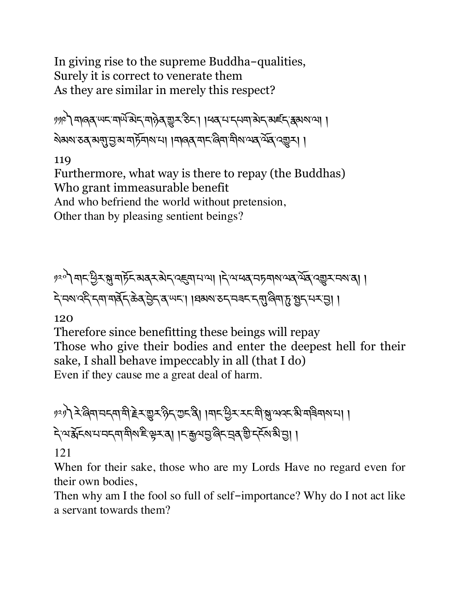In giving rise to the supreme Buddha-qualities, Surely it is correct to venerate them As they are similar in merely this respect?

༡༡༩༽གཞན་ཡང་གཡ,་མ©ད་གཉེན་\_ར་ཅིང་། །ཕན་པ་དཔག་མེད་མཛད་{མས་ལ། ། ৯৯৯ ১৯৯৭ জুম দুর্দু নিজি এ নিজি এক বিদ্যালয় বিদ্যালয় কর্ম

119

Furthermore, what way is there to repay (the Buddhas) Who grant immeasurable benefit And who befriend the world without pretension, Other than by pleasing sentient beings?

༡༢༠༽གང་Cིར་J་གཏོང་མནར་མེད་འ@ག་པ་ལ། །དེ་ལ་ཕན་བཏགས་ལན་ལོན་འ\_ར་བས་ན། ། དེ་བས་འདི་དག་གནོད་ཆེན་6ེད་ན་ཡང་། །ཐམས་ཅད་བཟང་དN་ཞིག་d་>ད་པར་6། །

120

Therefore since benefitting these beings will repay Those who give their bodies and enter the deepest hell for their sake, I shall behave impeccably in all (that I do) Even if they cause me a great deal of harm.

१२१) देखिमा मनमा में हेर सुरु हैन राज्य है। । मान पुर राज्य भु अपर अभविमा भा। दे अर्झेदरायनदमाबीर दिम् दा। ।दक्षयनु दिन बुद्धि दर्दे अर्थ नु।।

121

When for their sake, those who are my Lords Have no regard even for their own bodies,

Then why am I the fool so full of self-importance? Why do I not act like a servant towards them?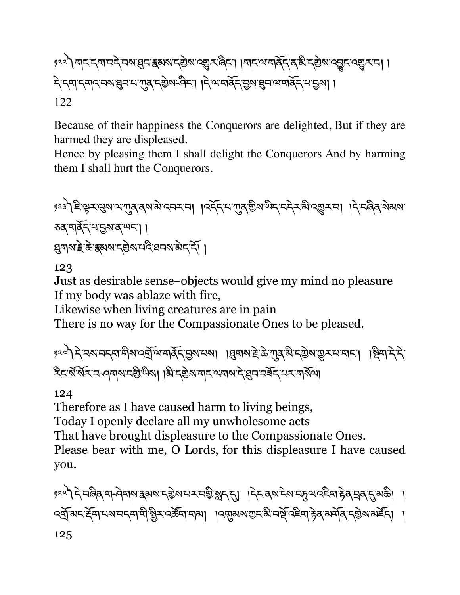### १२२) बादन्याचदे वराञ्चित्र स्थलन्छिलाद्युम् बिदा । बादायाबर्दित्य अन्युलाद्युदादयुम्पा । देन्द्रमाद्मवदावराषुवायागुबादछेष्म्भेदा ।देखमबॅदाउषाक्षुवायमबॅदायञ्जूषा । 122

Because of their happiness the Conquerors are delighted, But if they are harmed they are displeased.

Hence by pleasing them I shall delight the Conquerors And by harming them I shall hurt the Conquerors.

༡༢༣༽ཇི་kར་Qས་ལ་Lན་ནས་མེ་འབར་བ། །འདོད་པ་Lན་aིས་ཡིད་བདེར་མི་འ\_ར་བ། །དེ་བཞིན་སེམས་ ཅན་གནོད་པ་6ས་ན་ཡང་། ། qགས་Tེ་ཆེ་{མས་དaེས་པའི་ཐབས་མེད་དོ། །

123

Just as desirable sense-objects would give my mind no pleasure If my body was ablaze with fire,

Likewise when living creatures are in pain

There is no way for the Compassionate Ones to be pleased.

༡༢༤༽དེ་བས་བདག་གིས་འtོ་ལ་གནོད་6ས་པས། །qགས་Tེ་ཆེ་Lན་མི་དaེས་\_ར་པ་གང་། །Pིག་དེ་དེ་ རིང་ས,་སuར་བ ཤགས་བaི་ཡིས། །མི་དaེས་གང་ལགས་དེ་qབ་བཟོད་པར་གསོལ།

124

Therefore as I have caused harm to living beings, Today I openly declare all my unwholesome acts That have brought displeasure to the Compassionate Ones. Please bear with me, O Lords, for this displeasure I have caused you.

༡༢༥༽དེ་བཞིན་ག ཤེགས་{མས་དaེས་པར་བaི་¢ད་\*། །དེང་ནས་ངེས་བdལ་འཇིག་rེན་áན་\*་མཆི། ། <u>্বর্</u>শঝন ইনামমানন্দামী খ্রিন বর্ক্টমামাঝা । ব্রন্মুঝমাত্তন ঝানর্ষু বইনাদ্ভব মর্মান্ ন্রন্তমান্ত্র দি। । 125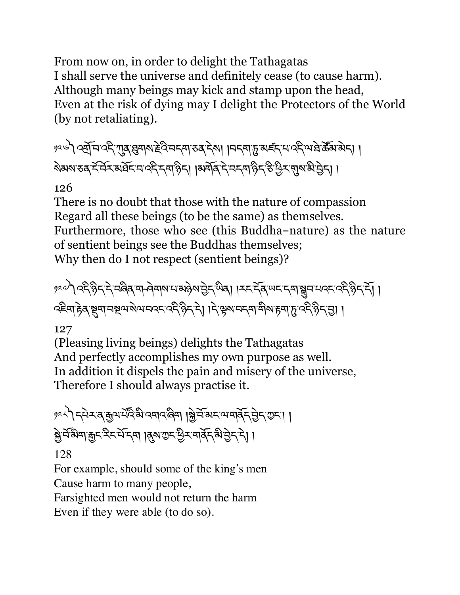From now on, in order to delight the Tathagatas I shall serve the universe and definitely cease (to cause harm). Although many beings may kick and stamp upon the head, Even at the risk of dying may I delight the Protectors of the World (by not retaliating).

༡༢༦༽འtོ་བ་འདི་Lན་qགས་Tེའི་བདག་ཅན་དེས། །བདག་d་མཛད་པ་འདི་ལ་ཐེ་ཚ|མ་མེད། ། སེམས་ཅན་ང,་བuར་མཐོང་བ་འདི་དག་ཉིད། །མགོན་དེ་བདག་ཉིད་ཅི་Cིར་Nས་མི་6ེད། །

### 126

There is no doubt that those with the nature of compassion Regard all these beings (to be the same) as themselves. Furthermore, those who see (this Buddha-nature) as the nature of sentient beings see the Buddhas themselves; Why then do I not respect (sentient beings)?

༡༢༧༽འདི་ཉིད་དེ་བཞིན་ག ཤེགས་པ་མཉེས་6ེད་ཡིན། །རང་དོན་ཡང་དག་hབ་པའང་འདི་ཉིད་དོ། ། འཇིག་rེན་Sག་བUལ་སེལ་བའང་འདི་ཉིད་དེ། །དེ་kས་བདག་གིས་rག་d་འདི་ཉིད་6། །

### 127

(Pleasing living beings) delights the Tathagatas And perfectly accomplishes my own purpose as well. In addition it dispels the pain and misery of the universe, Therefore I should always practise it.

༡༢༨༽དཔེར་ན་\$ལ་པ,འ.་མི་འགའ་ཞིག །fེ་བོ་མང་ལ་གནོད་6ེད་Iང་། ། fེ་བ,་མ.ག་\$ང་རིང་པོ་དག །Æས་Iང་Cིར་གནོད་མི་6ེད་དེ། ། 128

For example, should some of the king's men

Cause harm to many people,

Farsighted men would not return the harm

Even if they were able (to do so).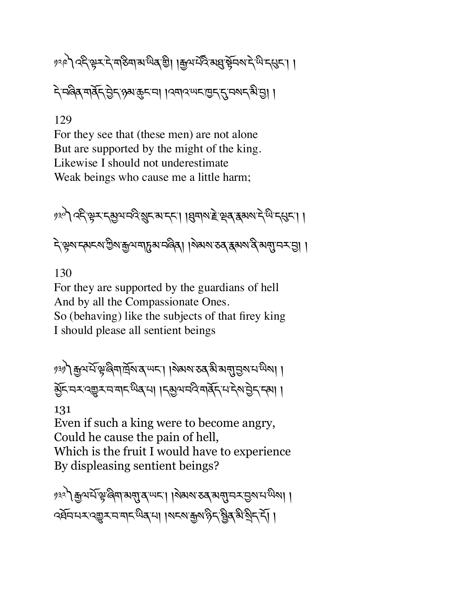# १२९) २८८३ र दे बढ़िबा अर्लव छै। । कुथर्प्यू अबुर् से वर्ष्य दक्षि । दे मलेव मार्वेन सेन्टा अरुहा । । प्रमान सम्बद्ध सम्बद्ध है। ।

### 129

For they see that (these men) are not alone But are supported by the might of the king. Likewise I should not underestimate Weak beings who cause me a little harm;

༡༣༠༽འདི་kར་དõལ་བའི་ºང་མ་དང་། །qགས་Tེ་çན་{མས་དེ་ཡི་དÖང་། ། ২ স্কুম'ন্মেন্ম'গ্ৰীম'ক্কুম'নাচুম'নৰিৰা ।ম্মমম'তৰ'ক্কুমম'ৰ্ব'মন্মু'ন-মন্ত্ৰা ।

130

For they are supported by the guardians of hell And by all the Compassionate Ones. So (behaving) like the subjects of that firey king I should please all sentient beings

༡༣༡༽\$ལ་པོ་k་ཞིག་ོས་ན་ཡང་། །སེམས་ཅན་མི་མN་6ས་པ་ཡིས། ། õོང་བར་འ\_ར་བ་གང་ཡིན་པ། །དõལ་བའི་གནོད་པ་དེས་6ེད་དམ། །

131

Even if such a king were to become angry, Could he cause the pain of hell, Which is the fruit I would have to experience By displeasing sentient beings?

༡༣༢༽\$ལ་པོ་k་ཞིག་མN་ན་ཡང་། །སེམས་ཅན་མN་བར་6ས་པ་ཡིས། ། ক্ষ্মিশ্মম্বেশ্যুম্মমাম্মিক্ষমা ।অন্যান্ধ্ৰূমণ্ঠিন'ষ্ট্ৰিক্সি'ষ্ট্ৰীন'ৰ্মী ।